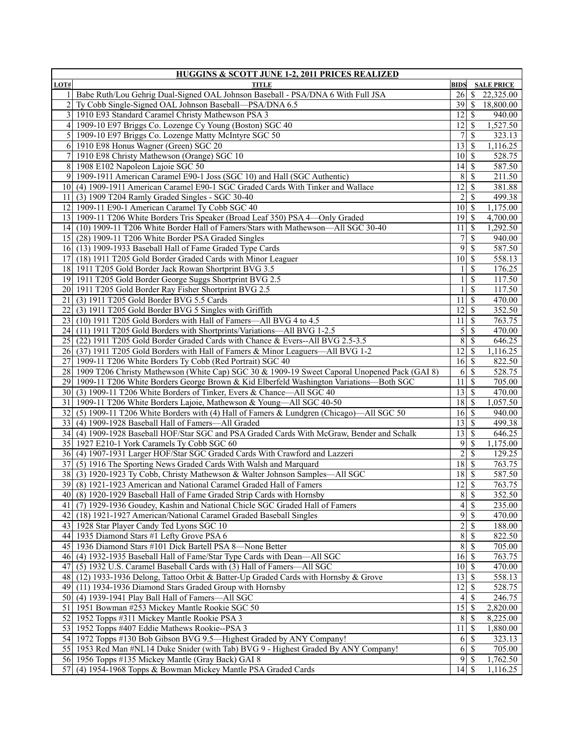|           | <b>HUGGINS &amp; SCOTT JUNE 1-2, 2011 PRICES REALIZED</b>                                       |                    |               |                   |  |  |
|-----------|-------------------------------------------------------------------------------------------------|--------------------|---------------|-------------------|--|--|
| LOT#      | <b>TITLE</b>                                                                                    | <b>BIDS</b>        |               | <b>SALE PRICE</b> |  |  |
|           | Babe Ruth/Lou Gehrig Dual-Signed OAL Johnson Baseball - PSA/DNA 6 With Full JSA                 | 26                 | <sup>\$</sup> | 22,325.00         |  |  |
|           | Ty Cobb Single-Signed OAL Johnson Baseball—PSA/DNA 6.5                                          |                    |               | 18,800.00         |  |  |
|           | 1910 E93 Standard Caramel Christy Mathewson PSA 3                                               | 12                 | S             | 940.00            |  |  |
| 4         | 1909-10 E97 Briggs Co. Lozenge Cy Young (Boston) SGC 40                                         | 12                 | -S            | 1,527.50          |  |  |
|           | 5 1909-10 E97 Briggs Co. Lozenge Matty McIntyre SGC 50                                          | 7                  | <sup>\$</sup> | 323.13            |  |  |
|           | 6 1910 E98 Honus Wagner (Green) SGC 20                                                          | 13                 | <sup>\$</sup> | 1,116.25          |  |  |
| $7 \vert$ | 1910 E98 Christy Mathewson (Orange) SGC 10                                                      | $10 \mid S$        |               | 528.75            |  |  |
|           | 8 1908 E102 Napoleon Lajoie SGC 50                                                              | 4                  | S             | 587.50            |  |  |
| 9         | 1909-1911 American Caramel E90-1 Joss (SGC 10) and Hall (SGC Authentic)                         | 8                  | S             | 211.50            |  |  |
|           | 10 (4) 1909-1911 American Caramel E90-1 SGC Graded Cards With Tinker and Wallace                | 12                 | \$            | 381.88            |  |  |
|           | 11 (3) 1909 T204 Ramly Graded Singles - SGC 30-40                                               | $\overline{2}$     | S             | 499.38            |  |  |
|           | 12 1909-11 E90-1 American Caramel Ty Cobb SGC 40                                                | $10 \mid S$        |               | 1,175.00          |  |  |
|           | 13 1909-11 T206 White Borders Tris Speaker (Broad Leaf 350) PSA 4—Only Graded                   | 19                 | S             | 4,700.00          |  |  |
|           | 14 (10) 1909-11 T206 White Border Hall of Famers/Stars with Mathewson—All SGC 30-40             | 11                 | S             | 1,292.50          |  |  |
|           | 15 (28) 1909-11 T206 White Border PSA Graded Singles                                            | 7                  | <sup>\$</sup> | 940.00            |  |  |
|           | 16 (13) 1909-1933 Baseball Hall of Fame Graded Type Cards                                       | $\overline{9}$     | \$            | 587.50            |  |  |
| 17I       | (18) 1911 T205 Gold Border Graded Cards with Minor Leaguer                                      | 10 <sup>1</sup>    | \$            | 558.13            |  |  |
|           | 18 1911 T205 Gold Border Jack Rowan Shortprint BVG 3.5                                          |                    | S             | 176.25            |  |  |
|           | 19 1911 T205 Gold Border George Suggs Shortprint BVG 2.5                                        |                    | <sup>\$</sup> | 117.50            |  |  |
|           | 20 1911 T205 Gold Border Ray Fisher Shortprint BVG 2.5                                          |                    | <sup>\$</sup> | 117.50            |  |  |
|           | 21 (3) 1911 T205 Gold Border BVG 5.5 Cards                                                      | 11                 | \$            | 470.00            |  |  |
| 22        | (3) 1911 T205 Gold Border BVG 5 Singles with Griffith                                           | 12                 | <sup>\$</sup> | 352.50            |  |  |
| 23        | (10) 1911 T205 Gold Borders with Hall of Famers—All BVG 4 to 4.5                                | 11                 | S             | 763.75            |  |  |
|           | 24 (11) 1911 T205 Gold Borders with Shortprints/Variations—All BVG 1-2.5                        | 5                  | S             | 470.00            |  |  |
|           | 25 (22) 1911 T205 Gold Border Graded Cards with Chance & Evers--All BVG 2.5-3.5                 | $\overline{8}$     | <sup>\$</sup> | 646.25            |  |  |
|           | 26 (37) 1911 T205 Gold Borders with Hall of Famers & Minor Leaguers—All BVG 1-2                 | 12 <sup>1</sup>    | <sup>\$</sup> | 1,116.25          |  |  |
| 27        | 1909-11 T206 White Borders Ty Cobb (Red Portrait) SGC 40                                        | $16 \mid$ \$       |               | 822.50            |  |  |
|           | 28 1909 T206 Christy Mathewson (White Cap) SGC 30 & 1909-19 Sweet Caporal Unopened Pack (GAI 8) | 6                  | S             | 528.75            |  |  |
|           | 29 1909-11 T206 White Borders George Brown & Kid Elberfeld Washington Variations-Both SGC       | 11                 | S             | 705.00            |  |  |
|           | 30 (3) 1909-11 T206 White Borders of Tinker, Evers & Chance—All SGC 40                          | 13                 | S             | 470.00            |  |  |
|           | 31   1909-11 T206 White Borders Lajoie, Mathewson & Young-All SGC 40-50                         | $\overline{18}$ \$ |               | 1,057.50          |  |  |
| 32        | (5) 1909-11 T206 White Borders with (4) Hall of Famers & Lundgren (Chicago)—All SGC 50          | $16 \mid$ \$       |               | 940.00            |  |  |
| 33        | (4) 1909-1928 Baseball Hall of Famers-All Graded                                                | 13                 | S             | 499.38            |  |  |
|           | 34 (4) 1909-1928 Baseball HOF/Star SGC and PSA Graded Cards With McGraw, Bender and Schalk      | 13                 | -S            | 646.25            |  |  |
|           | 35 1927 E210-1 York Caramels Ty Cobb SGC 60                                                     | 9                  | \$            | 1,175.00          |  |  |
|           | 36 (4) 1907-1931 Larger HOF/Star SGC Graded Cards With Crawford and Lazzeri                     | $\overline{c}$     | S             | 129.25            |  |  |
| 37        | (5) 1916 The Sporting News Graded Cards With Walsh and Marquard                                 |                    |               | 763.75            |  |  |
|           | 38 (3) 1920-1923 Ty Cobb, Christy Mathewson & Walter Johnson Samples—All SGC                    | 18                 | S             | 587.50            |  |  |
|           | 39 (8) 1921-1923 American and National Caramel Graded Hall of Famers                            | 12                 | - \$          | 763.75            |  |  |
|           | 40 (8) 1920-1929 Baseball Hall of Fame Graded Strip Cards with Hornsby                          | 8S                 |               | 352.50            |  |  |
|           | 41 (7) 1929-1936 Goudey, Kashin and National Chicle SGC Graded Hall of Famers                   | $4\sqrt{3}$        |               | 235.00            |  |  |
|           | 42 (18) 1921-1927 American/National Caramel Graded Baseball Singles                             | 9                  | \$            | 470.00            |  |  |
|           | 43 1928 Star Player Candy Ted Lyons SGC 10                                                      | $\overline{2}$     | S             | 188.00            |  |  |
| 44        | 1935 Diamond Stars #1 Lefty Grove PSA 6                                                         | $\sqrt{8}$         | S             | 822.50            |  |  |
|           | 45 1936 Diamond Stars #101 Dick Bartell PSA 8-None Better                                       | 8                  | \$            | 705.00            |  |  |
|           | 46 (4) 1932-1935 Baseball Hall of Fame/Star Type Cards with Dean—All SGC                        | $16\overline{3}$   |               | 763.75            |  |  |
|           | (5) 1932 U.S. Caramel Baseball Cards with (3) Hall of Famers—All SGC                            | $10 \mid S$        |               | 470.00            |  |  |
| 47        |                                                                                                 |                    |               |                   |  |  |
|           | 48 (12) 1933-1936 Delong, Tattoo Orbit & Batter-Up Graded Cards with Hornsby & Grove            | 13                 | S             | 558.13            |  |  |
|           | 49 (11) 1934-1936 Diamond Stars Graded Group with Hornsby                                       | 12                 | S             | 528.75            |  |  |
|           | 50 (4) 1939-1941 Play Ball Hall of Famers—All SGC                                               | 4                  | S             | 246.75            |  |  |
|           | 51 1951 Bowman #253 Mickey Mantle Rookie SGC 50                                                 | 15                 | <sup>\$</sup> | 2,820.00          |  |  |
| 52        | 1952 Topps #311 Mickey Mantle Rookie PSA 3                                                      | 8                  | S             | 8,225.00          |  |  |
| 53        | 1952 Topps #407 Eddie Mathews Rookie--PSA 3                                                     | 11                 | S             | 1,880.00          |  |  |
| 54        | 1972 Topps #130 Bob Gibson BVG 9.5-Highest Graded by ANY Company!                               | 6                  | S             | 323.13            |  |  |
|           | 55 1953 Red Man #NL14 Duke Snider (with Tab) BVG 9 - Highest Graded By ANY Company!             | 6                  | S             | 705.00            |  |  |
|           | 56 1956 Topps #135 Mickey Mantle (Gray Back) GAI 8                                              | 95                 |               | 1,762.50          |  |  |
|           | 57 (4) 1954-1968 Topps & Bowman Mickey Mantle PSA Graded Cards                                  | $14\overline{3}$   |               | 1,116.25          |  |  |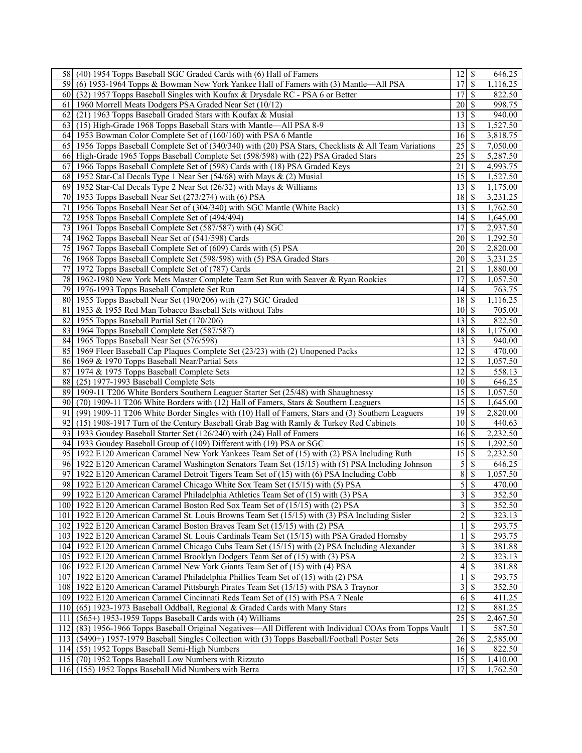| 17 <sup>1</sup><br><sup>\$</sup><br>(6) 1953-1964 Topps & Bowman New York Yankee Hall of Famers with (3) Mantle—All PSA<br>1,116.25<br>591<br>(32) 1957 Topps Baseball Singles with Koufax & Drysdale RC - PSA 6 or Better<br>17<br>\$<br>822.50<br>60 I<br>20 <sup> </sup><br><sup>\$</sup><br>998.75<br>61<br>1960 Morrell Meats Dodgers PSA Graded Near Set (10/12)<br>13<br><sup>\$</sup><br>940.00<br>62<br>(21) 1963 Topps Baseball Graded Stars with Koufax & Musial<br>(15) High-Grade 1968 Topps Baseball Stars with Mantle—All PSA 8-9<br>13 <sup>1</sup><br>\$<br>1,527.50<br>63<br>1953 Bowman Color Complete Set of (160/160) with PSA 6 Mantle<br>16 <sup> </sup><br>-S<br>3,818.75<br>64<br>65<br>1956 Topps Baseball Complete Set of (340/340) with (20) PSA Stars, Checklists & All Team Variations<br>25<br>\$<br>7,050.00<br>25<br>High-Grade 1965 Topps Baseball Complete Set (598/598) with (22) PSA Graded Stars<br>66<br>S<br>5,287.50<br>67<br>1966 Topps Baseball Complete Set of (598) Cards with (18) PSA Graded Keys<br>21<br>4,993.75<br>-S<br>1952 Star-Cal Decals Type 1 Near Set (54/68) with Mays & (2) Musial<br>15 <sup>1</sup><br>\$<br>1,527.50<br>68<br>1952 Star-Cal Decals Type 2 Near Set (26/32) with Mays & Williams<br>$13$ $\sqrt{5}$<br>1,175.00<br>69<br>70<br>1953 Topps Baseball Near Set (273/274) with (6) PSA<br>18 <sup> </sup><br>\$<br>3,231.25<br>71<br>13 <sup>1</sup><br>1956 Topps Baseball Near Set of (304/340) with SGC Mantle (White Back)<br>S<br>1,762.50<br>72<br>1958 Topps Baseball Complete Set of (494/494)<br> 4 <br><sup>\$</sup><br>1,645.00<br>73<br>1961 Topps Baseball Complete Set (587/587) with (4) SGC<br>17 <sup>1</sup><br>\$<br>2,937.50<br>74<br>1962 Topps Baseball Near Set of (541/598) Cards<br>20 <sup> </sup><br><sup>\$</sup><br>1,292.50<br>75<br>1967 Topps Baseball Complete Set of (609) Cards with (5) PSA<br>20<br>\$<br>2,820.00<br>20 <sup> </sup><br><sup>\$</sup><br>76<br>1968 Topps Baseball Complete Set (598/598) with (5) PSA Graded Stars<br>3,231.25<br>77<br>1972 Topps Baseball Complete Set of (787) Cards<br>21<br><sup>\$</sup><br>1,880.00<br>1962-1980 New York Mets Master Complete Team Set Run with Seaver & Ryan Rookies<br>17<br>\$<br>1,057.50<br>78<br>$\mathbf{\$}$<br>763.75<br>79<br>1976-1993 Topps Baseball Complete Set Run<br> 4 <br>80 1955 Topps Baseball Near Set (190/206) with (27) SGC Graded<br>18 <sup> </sup><br>\$<br>1,116.25<br>81<br>10 <sup> </sup><br>-S<br>1953 & 1955 Red Man Tobacco Baseball Sets without Tabs<br>705.00<br>82<br><sup>\$</sup><br>822.50<br>1955 Topps Baseball Partial Set (170/206)<br>13 <sup>1</sup><br>83<br>1964 Topps Baseball Complete Set (587/587)<br>18 <sup> </sup><br>\$<br>1,175.00<br>\$<br>84<br>1965 Topps Baseball Near Set (576/598)<br>13 <sup>1</sup><br>940.00<br>85<br>1969 Fleer Baseball Cap Plaques Complete Set (23/23) with (2) Unopened Packs<br>12<br>\$<br>470.00<br> 12 <br>\$<br>1,057.50<br>86<br>1969 & 1970 Topps Baseball Near/Partial Sets<br>87<br>12<br>S<br>558.13<br>1974 & 1975 Topps Baseball Complete Sets<br>(25) 1977-1993 Baseball Complete Sets<br>10 <sup>1</sup><br><sup>\$</sup><br>88<br>646.25<br>15<br>89<br>1909-11 T206 White Borders Southern Leaguer Starter Set (25/48) with Shaughnessy<br><sup>\$</sup><br>1,057.50<br>15<br>90<br>(70) 1909-11 T206 White Borders with (12) Hall of Famers, Stars & Southern Leaguers<br>\$<br>1,645.00<br>19<br>(99) 1909-11 T206 White Border Singles with (10) Hall of Famers, Stars and (3) Southern Leaguers<br>\$<br>2,820.00<br>91<br>(15) 1908-1917 Turn of the Century Baseball Grab Bag with Ramly & Turkey Red Cabinets<br>101S<br>92<br>440.63<br>1933 Goudey Baseball Starter Set (126/240) with (24) Hall of Famers<br>16 <sup> </sup><br>2,232.50<br>931<br>S<br>94 1933 Goudey Baseball Group of (109) Different with (19) PSA or SGC<br>1,292.50<br>15<br>95<br>1922 E120 American Caramel New York Yankees Team Set of (15) with (2) PSA Including Ruth<br>\$<br>2,232.50<br>$\overline{5}$<br>S<br>96<br>1922 E120 American Caramel Washington Senators Team Set (15/15) with (5) PSA Including Johnson<br>646.25<br>$\sqrt{8}$<br>S<br>97<br>1922 E120 American Caramel Detroit Tigers Team Set of (15) with (6) PSA Including Cobb<br>1,057.50<br>$\overline{5}$<br>\$<br>1922 E120 American Caramel Chicago White Sox Team Set (15/15) with (5) PSA<br>470.00<br>981<br>$\overline{3}$<br>$\overline{\$}$<br>352.50<br>99 1922 E120 American Caramel Philadelphia Athletics Team Set of (15) with (3) PSA<br>$\overline{3}$<br>$\mathbb{S}$<br>100 1922 E120 American Caramel Boston Red Sox Team Set of (15/15) with (2) PSA<br>352.50<br>$\overline{2}$<br>\$<br>1922 E120 American Caramel St. Louis Browns Team Set (15/15) with (3) PSA Including Sisler<br>323.13<br>101<br>$\overline{1}$<br>\$<br>293.75<br>102 1922 E120 American Caramel Boston Braves Team Set (15/15) with (2) PSA<br>\$<br>293.75<br>103 1922 E120 American Caramel St. Louis Cardinals Team Set (15/15) with PSA Graded Hornsby<br>$\mathbf{1}$<br>$\overline{3}$<br>\$<br>104 1922 E120 American Caramel Chicago Cubs Team Set (15/15) with (2) PSA Including Alexander<br>381.88<br>$\overline{2}$<br>105 1922 E120 American Caramel Brooklyn Dodgers Team Set of (15) with (3) PSA<br>\$<br>323.13<br>$\overline{4}$<br>\$<br>381.88<br>106 1922 E120 American Caramel New York Giants Team Set of (15) with (4) PSA<br>1 <sup>1</sup><br>\$<br>293.75<br>107 1922 E120 American Caramel Philadelphia Phillies Team Set of (15) with (2) PSA<br>$3\vert$<br>108 1922 E120 American Caramel Pittsburgh Pirates Team Set (15/15) with PSA 3 Traynor<br>\$<br>352.50<br>6<br>\$<br>109 1922 E120 American Caramel Cincinnati Reds Team Set of (15) with PSA 7 Neale<br>411.25<br> 12 <br>\$<br>110<br>(65) 1923-1973 Baseball Oddball, Regional & Graded Cards with Many Stars<br>881.25<br>25<br>$(565+)$ 1953-1959 Topps Baseball Cards with $(4)$ Williams<br>\$<br>2,467.50<br>111<br>112<br>(83) 1956-1966 Topps Baseball Original Negatives-All Different with Individual COAs from Topps Vault<br><sup>\$</sup><br>587.50<br>26<br>113<br>(5490+) 1957-1979 Baseball Singles Collection with (3) Topps Baseball/Football Poster Sets<br>2,585.00<br>S<br>$16\overline{3}$<br>114 (55) 1952 Topps Baseball Semi-High Numbers<br>822.50<br>115 (70) 1952 Topps Baseball Low Numbers with Rizzuto<br>$15 \mid$ \$<br>1,410.00<br>17 <sup>1</sup><br><sup>\$</sup><br>116 (155) 1952 Topps Baseball Mid Numbers with Berra<br>1,762.50 | (40) 1954 Topps Baseball SGC Graded Cards with (6) Hall of Famers<br>58 I | $12 \mid$ \$ | 646.25 |
|-------------------------------------------------------------------------------------------------------------------------------------------------------------------------------------------------------------------------------------------------------------------------------------------------------------------------------------------------------------------------------------------------------------------------------------------------------------------------------------------------------------------------------------------------------------------------------------------------------------------------------------------------------------------------------------------------------------------------------------------------------------------------------------------------------------------------------------------------------------------------------------------------------------------------------------------------------------------------------------------------------------------------------------------------------------------------------------------------------------------------------------------------------------------------------------------------------------------------------------------------------------------------------------------------------------------------------------------------------------------------------------------------------------------------------------------------------------------------------------------------------------------------------------------------------------------------------------------------------------------------------------------------------------------------------------------------------------------------------------------------------------------------------------------------------------------------------------------------------------------------------------------------------------------------------------------------------------------------------------------------------------------------------------------------------------------------------------------------------------------------------------------------------------------------------------------------------------------------------------------------------------------------------------------------------------------------------------------------------------------------------------------------------------------------------------------------------------------------------------------------------------------------------------------------------------------------------------------------------------------------------------------------------------------------------------------------------------------------------------------------------------------------------------------------------------------------------------------------------------------------------------------------------------------------------------------------------------------------------------------------------------------------------------------------------------------------------------------------------------------------------------------------------------------------------------------------------------------------------------------------------------------------------------------------------------------------------------------------------------------------------------------------------------------------------------------------------------------------------------------------------------------------------------------------------------------------------------------------------------------------------------------------------------------------------------------------------------------------------------------------------------------------------------------------------------------------------------------------------------------------------------------------------------------------------------------------------------------------------------------------------------------------------------------------------------------------------------------------------------------------------------------------------------------------------------------------------------------------------------------------------------------------------------------------------------------------------------------------------------------------------------------------------------------------------------------------------------------------------------------------------------------------------------------------------------------------------------------------------------------------------------------------------------------------------------------------------------------------------------------------------------------------------------------------------------------------------------------------------------------------------------------------------------------------------------------------------------------------------------------------------------------------------------------------------------------------------------------------------------------------------------------------------------------------------------------------------------------------------------------------------------------------------------------------------------------------------------------------------------------------------------------------------------------------------------------------------------------------------------------------------------------------------------------------------------------------------------------------------------------------------------------------------------------------------------------------------------------------------------------------------------------------------------------------------------------------------------------------------------------------------------------------------------------------------------------------------------------------------------------------------------------------------------------------------------------------------------------------------------------------------------------------------------------------------------------------------------------------------------------------------------------------------------------------------------------------------------------------------------------------------------------------------------------------------------------------------------------------------------------------------------------------------------------------------------------------------------------------------------------|---------------------------------------------------------------------------|--------------|--------|
|                                                                                                                                                                                                                                                                                                                                                                                                                                                                                                                                                                                                                                                                                                                                                                                                                                                                                                                                                                                                                                                                                                                                                                                                                                                                                                                                                                                                                                                                                                                                                                                                                                                                                                                                                                                                                                                                                                                                                                                                                                                                                                                                                                                                                                                                                                                                                                                                                                                                                                                                                                                                                                                                                                                                                                                                                                                                                                                                                                                                                                                                                                                                                                                                                                                                                                                                                                                                                                                                                                                                                                                                                                                                                                                                                                                                                                                                                                                                                                                                                                                                                                                                                                                                                                                                                                                                                                                                                                                                                                                                                                                                                                                                                                                                                                                                                                                                                                                                                                                                                                                                                                                                                                                                                                                                                                                                                                                                                                                                                                                                                                                                                                                                                                                                                                                                                                                                                                                                                                                                                                                                                                                                                                                                                                                                                                                                                                                                                                                                                                                                                                                                                   |                                                                           |              |        |
|                                                                                                                                                                                                                                                                                                                                                                                                                                                                                                                                                                                                                                                                                                                                                                                                                                                                                                                                                                                                                                                                                                                                                                                                                                                                                                                                                                                                                                                                                                                                                                                                                                                                                                                                                                                                                                                                                                                                                                                                                                                                                                                                                                                                                                                                                                                                                                                                                                                                                                                                                                                                                                                                                                                                                                                                                                                                                                                                                                                                                                                                                                                                                                                                                                                                                                                                                                                                                                                                                                                                                                                                                                                                                                                                                                                                                                                                                                                                                                                                                                                                                                                                                                                                                                                                                                                                                                                                                                                                                                                                                                                                                                                                                                                                                                                                                                                                                                                                                                                                                                                                                                                                                                                                                                                                                                                                                                                                                                                                                                                                                                                                                                                                                                                                                                                                                                                                                                                                                                                                                                                                                                                                                                                                                                                                                                                                                                                                                                                                                                                                                                                                                   |                                                                           |              |        |
|                                                                                                                                                                                                                                                                                                                                                                                                                                                                                                                                                                                                                                                                                                                                                                                                                                                                                                                                                                                                                                                                                                                                                                                                                                                                                                                                                                                                                                                                                                                                                                                                                                                                                                                                                                                                                                                                                                                                                                                                                                                                                                                                                                                                                                                                                                                                                                                                                                                                                                                                                                                                                                                                                                                                                                                                                                                                                                                                                                                                                                                                                                                                                                                                                                                                                                                                                                                                                                                                                                                                                                                                                                                                                                                                                                                                                                                                                                                                                                                                                                                                                                                                                                                                                                                                                                                                                                                                                                                                                                                                                                                                                                                                                                                                                                                                                                                                                                                                                                                                                                                                                                                                                                                                                                                                                                                                                                                                                                                                                                                                                                                                                                                                                                                                                                                                                                                                                                                                                                                                                                                                                                                                                                                                                                                                                                                                                                                                                                                                                                                                                                                                                   |                                                                           |              |        |
|                                                                                                                                                                                                                                                                                                                                                                                                                                                                                                                                                                                                                                                                                                                                                                                                                                                                                                                                                                                                                                                                                                                                                                                                                                                                                                                                                                                                                                                                                                                                                                                                                                                                                                                                                                                                                                                                                                                                                                                                                                                                                                                                                                                                                                                                                                                                                                                                                                                                                                                                                                                                                                                                                                                                                                                                                                                                                                                                                                                                                                                                                                                                                                                                                                                                                                                                                                                                                                                                                                                                                                                                                                                                                                                                                                                                                                                                                                                                                                                                                                                                                                                                                                                                                                                                                                                                                                                                                                                                                                                                                                                                                                                                                                                                                                                                                                                                                                                                                                                                                                                                                                                                                                                                                                                                                                                                                                                                                                                                                                                                                                                                                                                                                                                                                                                                                                                                                                                                                                                                                                                                                                                                                                                                                                                                                                                                                                                                                                                                                                                                                                                                                   |                                                                           |              |        |
|                                                                                                                                                                                                                                                                                                                                                                                                                                                                                                                                                                                                                                                                                                                                                                                                                                                                                                                                                                                                                                                                                                                                                                                                                                                                                                                                                                                                                                                                                                                                                                                                                                                                                                                                                                                                                                                                                                                                                                                                                                                                                                                                                                                                                                                                                                                                                                                                                                                                                                                                                                                                                                                                                                                                                                                                                                                                                                                                                                                                                                                                                                                                                                                                                                                                                                                                                                                                                                                                                                                                                                                                                                                                                                                                                                                                                                                                                                                                                                                                                                                                                                                                                                                                                                                                                                                                                                                                                                                                                                                                                                                                                                                                                                                                                                                                                                                                                                                                                                                                                                                                                                                                                                                                                                                                                                                                                                                                                                                                                                                                                                                                                                                                                                                                                                                                                                                                                                                                                                                                                                                                                                                                                                                                                                                                                                                                                                                                                                                                                                                                                                                                                   |                                                                           |              |        |
|                                                                                                                                                                                                                                                                                                                                                                                                                                                                                                                                                                                                                                                                                                                                                                                                                                                                                                                                                                                                                                                                                                                                                                                                                                                                                                                                                                                                                                                                                                                                                                                                                                                                                                                                                                                                                                                                                                                                                                                                                                                                                                                                                                                                                                                                                                                                                                                                                                                                                                                                                                                                                                                                                                                                                                                                                                                                                                                                                                                                                                                                                                                                                                                                                                                                                                                                                                                                                                                                                                                                                                                                                                                                                                                                                                                                                                                                                                                                                                                                                                                                                                                                                                                                                                                                                                                                                                                                                                                                                                                                                                                                                                                                                                                                                                                                                                                                                                                                                                                                                                                                                                                                                                                                                                                                                                                                                                                                                                                                                                                                                                                                                                                                                                                                                                                                                                                                                                                                                                                                                                                                                                                                                                                                                                                                                                                                                                                                                                                                                                                                                                                                                   |                                                                           |              |        |
|                                                                                                                                                                                                                                                                                                                                                                                                                                                                                                                                                                                                                                                                                                                                                                                                                                                                                                                                                                                                                                                                                                                                                                                                                                                                                                                                                                                                                                                                                                                                                                                                                                                                                                                                                                                                                                                                                                                                                                                                                                                                                                                                                                                                                                                                                                                                                                                                                                                                                                                                                                                                                                                                                                                                                                                                                                                                                                                                                                                                                                                                                                                                                                                                                                                                                                                                                                                                                                                                                                                                                                                                                                                                                                                                                                                                                                                                                                                                                                                                                                                                                                                                                                                                                                                                                                                                                                                                                                                                                                                                                                                                                                                                                                                                                                                                                                                                                                                                                                                                                                                                                                                                                                                                                                                                                                                                                                                                                                                                                                                                                                                                                                                                                                                                                                                                                                                                                                                                                                                                                                                                                                                                                                                                                                                                                                                                                                                                                                                                                                                                                                                                                   |                                                                           |              |        |
|                                                                                                                                                                                                                                                                                                                                                                                                                                                                                                                                                                                                                                                                                                                                                                                                                                                                                                                                                                                                                                                                                                                                                                                                                                                                                                                                                                                                                                                                                                                                                                                                                                                                                                                                                                                                                                                                                                                                                                                                                                                                                                                                                                                                                                                                                                                                                                                                                                                                                                                                                                                                                                                                                                                                                                                                                                                                                                                                                                                                                                                                                                                                                                                                                                                                                                                                                                                                                                                                                                                                                                                                                                                                                                                                                                                                                                                                                                                                                                                                                                                                                                                                                                                                                                                                                                                                                                                                                                                                                                                                                                                                                                                                                                                                                                                                                                                                                                                                                                                                                                                                                                                                                                                                                                                                                                                                                                                                                                                                                                                                                                                                                                                                                                                                                                                                                                                                                                                                                                                                                                                                                                                                                                                                                                                                                                                                                                                                                                                                                                                                                                                                                   |                                                                           |              |        |
|                                                                                                                                                                                                                                                                                                                                                                                                                                                                                                                                                                                                                                                                                                                                                                                                                                                                                                                                                                                                                                                                                                                                                                                                                                                                                                                                                                                                                                                                                                                                                                                                                                                                                                                                                                                                                                                                                                                                                                                                                                                                                                                                                                                                                                                                                                                                                                                                                                                                                                                                                                                                                                                                                                                                                                                                                                                                                                                                                                                                                                                                                                                                                                                                                                                                                                                                                                                                                                                                                                                                                                                                                                                                                                                                                                                                                                                                                                                                                                                                                                                                                                                                                                                                                                                                                                                                                                                                                                                                                                                                                                                                                                                                                                                                                                                                                                                                                                                                                                                                                                                                                                                                                                                                                                                                                                                                                                                                                                                                                                                                                                                                                                                                                                                                                                                                                                                                                                                                                                                                                                                                                                                                                                                                                                                                                                                                                                                                                                                                                                                                                                                                                   |                                                                           |              |        |
|                                                                                                                                                                                                                                                                                                                                                                                                                                                                                                                                                                                                                                                                                                                                                                                                                                                                                                                                                                                                                                                                                                                                                                                                                                                                                                                                                                                                                                                                                                                                                                                                                                                                                                                                                                                                                                                                                                                                                                                                                                                                                                                                                                                                                                                                                                                                                                                                                                                                                                                                                                                                                                                                                                                                                                                                                                                                                                                                                                                                                                                                                                                                                                                                                                                                                                                                                                                                                                                                                                                                                                                                                                                                                                                                                                                                                                                                                                                                                                                                                                                                                                                                                                                                                                                                                                                                                                                                                                                                                                                                                                                                                                                                                                                                                                                                                                                                                                                                                                                                                                                                                                                                                                                                                                                                                                                                                                                                                                                                                                                                                                                                                                                                                                                                                                                                                                                                                                                                                                                                                                                                                                                                                                                                                                                                                                                                                                                                                                                                                                                                                                                                                   |                                                                           |              |        |
|                                                                                                                                                                                                                                                                                                                                                                                                                                                                                                                                                                                                                                                                                                                                                                                                                                                                                                                                                                                                                                                                                                                                                                                                                                                                                                                                                                                                                                                                                                                                                                                                                                                                                                                                                                                                                                                                                                                                                                                                                                                                                                                                                                                                                                                                                                                                                                                                                                                                                                                                                                                                                                                                                                                                                                                                                                                                                                                                                                                                                                                                                                                                                                                                                                                                                                                                                                                                                                                                                                                                                                                                                                                                                                                                                                                                                                                                                                                                                                                                                                                                                                                                                                                                                                                                                                                                                                                                                                                                                                                                                                                                                                                                                                                                                                                                                                                                                                                                                                                                                                                                                                                                                                                                                                                                                                                                                                                                                                                                                                                                                                                                                                                                                                                                                                                                                                                                                                                                                                                                                                                                                                                                                                                                                                                                                                                                                                                                                                                                                                                                                                                                                   |                                                                           |              |        |
|                                                                                                                                                                                                                                                                                                                                                                                                                                                                                                                                                                                                                                                                                                                                                                                                                                                                                                                                                                                                                                                                                                                                                                                                                                                                                                                                                                                                                                                                                                                                                                                                                                                                                                                                                                                                                                                                                                                                                                                                                                                                                                                                                                                                                                                                                                                                                                                                                                                                                                                                                                                                                                                                                                                                                                                                                                                                                                                                                                                                                                                                                                                                                                                                                                                                                                                                                                                                                                                                                                                                                                                                                                                                                                                                                                                                                                                                                                                                                                                                                                                                                                                                                                                                                                                                                                                                                                                                                                                                                                                                                                                                                                                                                                                                                                                                                                                                                                                                                                                                                                                                                                                                                                                                                                                                                                                                                                                                                                                                                                                                                                                                                                                                                                                                                                                                                                                                                                                                                                                                                                                                                                                                                                                                                                                                                                                                                                                                                                                                                                                                                                                                                   |                                                                           |              |        |
|                                                                                                                                                                                                                                                                                                                                                                                                                                                                                                                                                                                                                                                                                                                                                                                                                                                                                                                                                                                                                                                                                                                                                                                                                                                                                                                                                                                                                                                                                                                                                                                                                                                                                                                                                                                                                                                                                                                                                                                                                                                                                                                                                                                                                                                                                                                                                                                                                                                                                                                                                                                                                                                                                                                                                                                                                                                                                                                                                                                                                                                                                                                                                                                                                                                                                                                                                                                                                                                                                                                                                                                                                                                                                                                                                                                                                                                                                                                                                                                                                                                                                                                                                                                                                                                                                                                                                                                                                                                                                                                                                                                                                                                                                                                                                                                                                                                                                                                                                                                                                                                                                                                                                                                                                                                                                                                                                                                                                                                                                                                                                                                                                                                                                                                                                                                                                                                                                                                                                                                                                                                                                                                                                                                                                                                                                                                                                                                                                                                                                                                                                                                                                   |                                                                           |              |        |
|                                                                                                                                                                                                                                                                                                                                                                                                                                                                                                                                                                                                                                                                                                                                                                                                                                                                                                                                                                                                                                                                                                                                                                                                                                                                                                                                                                                                                                                                                                                                                                                                                                                                                                                                                                                                                                                                                                                                                                                                                                                                                                                                                                                                                                                                                                                                                                                                                                                                                                                                                                                                                                                                                                                                                                                                                                                                                                                                                                                                                                                                                                                                                                                                                                                                                                                                                                                                                                                                                                                                                                                                                                                                                                                                                                                                                                                                                                                                                                                                                                                                                                                                                                                                                                                                                                                                                                                                                                                                                                                                                                                                                                                                                                                                                                                                                                                                                                                                                                                                                                                                                                                                                                                                                                                                                                                                                                                                                                                                                                                                                                                                                                                                                                                                                                                                                                                                                                                                                                                                                                                                                                                                                                                                                                                                                                                                                                                                                                                                                                                                                                                                                   |                                                                           |              |        |
|                                                                                                                                                                                                                                                                                                                                                                                                                                                                                                                                                                                                                                                                                                                                                                                                                                                                                                                                                                                                                                                                                                                                                                                                                                                                                                                                                                                                                                                                                                                                                                                                                                                                                                                                                                                                                                                                                                                                                                                                                                                                                                                                                                                                                                                                                                                                                                                                                                                                                                                                                                                                                                                                                                                                                                                                                                                                                                                                                                                                                                                                                                                                                                                                                                                                                                                                                                                                                                                                                                                                                                                                                                                                                                                                                                                                                                                                                                                                                                                                                                                                                                                                                                                                                                                                                                                                                                                                                                                                                                                                                                                                                                                                                                                                                                                                                                                                                                                                                                                                                                                                                                                                                                                                                                                                                                                                                                                                                                                                                                                                                                                                                                                                                                                                                                                                                                                                                                                                                                                                                                                                                                                                                                                                                                                                                                                                                                                                                                                                                                                                                                                                                   |                                                                           |              |        |
|                                                                                                                                                                                                                                                                                                                                                                                                                                                                                                                                                                                                                                                                                                                                                                                                                                                                                                                                                                                                                                                                                                                                                                                                                                                                                                                                                                                                                                                                                                                                                                                                                                                                                                                                                                                                                                                                                                                                                                                                                                                                                                                                                                                                                                                                                                                                                                                                                                                                                                                                                                                                                                                                                                                                                                                                                                                                                                                                                                                                                                                                                                                                                                                                                                                                                                                                                                                                                                                                                                                                                                                                                                                                                                                                                                                                                                                                                                                                                                                                                                                                                                                                                                                                                                                                                                                                                                                                                                                                                                                                                                                                                                                                                                                                                                                                                                                                                                                                                                                                                                                                                                                                                                                                                                                                                                                                                                                                                                                                                                                                                                                                                                                                                                                                                                                                                                                                                                                                                                                                                                                                                                                                                                                                                                                                                                                                                                                                                                                                                                                                                                                                                   |                                                                           |              |        |
|                                                                                                                                                                                                                                                                                                                                                                                                                                                                                                                                                                                                                                                                                                                                                                                                                                                                                                                                                                                                                                                                                                                                                                                                                                                                                                                                                                                                                                                                                                                                                                                                                                                                                                                                                                                                                                                                                                                                                                                                                                                                                                                                                                                                                                                                                                                                                                                                                                                                                                                                                                                                                                                                                                                                                                                                                                                                                                                                                                                                                                                                                                                                                                                                                                                                                                                                                                                                                                                                                                                                                                                                                                                                                                                                                                                                                                                                                                                                                                                                                                                                                                                                                                                                                                                                                                                                                                                                                                                                                                                                                                                                                                                                                                                                                                                                                                                                                                                                                                                                                                                                                                                                                                                                                                                                                                                                                                                                                                                                                                                                                                                                                                                                                                                                                                                                                                                                                                                                                                                                                                                                                                                                                                                                                                                                                                                                                                                                                                                                                                                                                                                                                   |                                                                           |              |        |
|                                                                                                                                                                                                                                                                                                                                                                                                                                                                                                                                                                                                                                                                                                                                                                                                                                                                                                                                                                                                                                                                                                                                                                                                                                                                                                                                                                                                                                                                                                                                                                                                                                                                                                                                                                                                                                                                                                                                                                                                                                                                                                                                                                                                                                                                                                                                                                                                                                                                                                                                                                                                                                                                                                                                                                                                                                                                                                                                                                                                                                                                                                                                                                                                                                                                                                                                                                                                                                                                                                                                                                                                                                                                                                                                                                                                                                                                                                                                                                                                                                                                                                                                                                                                                                                                                                                                                                                                                                                                                                                                                                                                                                                                                                                                                                                                                                                                                                                                                                                                                                                                                                                                                                                                                                                                                                                                                                                                                                                                                                                                                                                                                                                                                                                                                                                                                                                                                                                                                                                                                                                                                                                                                                                                                                                                                                                                                                                                                                                                                                                                                                                                                   |                                                                           |              |        |
|                                                                                                                                                                                                                                                                                                                                                                                                                                                                                                                                                                                                                                                                                                                                                                                                                                                                                                                                                                                                                                                                                                                                                                                                                                                                                                                                                                                                                                                                                                                                                                                                                                                                                                                                                                                                                                                                                                                                                                                                                                                                                                                                                                                                                                                                                                                                                                                                                                                                                                                                                                                                                                                                                                                                                                                                                                                                                                                                                                                                                                                                                                                                                                                                                                                                                                                                                                                                                                                                                                                                                                                                                                                                                                                                                                                                                                                                                                                                                                                                                                                                                                                                                                                                                                                                                                                                                                                                                                                                                                                                                                                                                                                                                                                                                                                                                                                                                                                                                                                                                                                                                                                                                                                                                                                                                                                                                                                                                                                                                                                                                                                                                                                                                                                                                                                                                                                                                                                                                                                                                                                                                                                                                                                                                                                                                                                                                                                                                                                                                                                                                                                                                   |                                                                           |              |        |
|                                                                                                                                                                                                                                                                                                                                                                                                                                                                                                                                                                                                                                                                                                                                                                                                                                                                                                                                                                                                                                                                                                                                                                                                                                                                                                                                                                                                                                                                                                                                                                                                                                                                                                                                                                                                                                                                                                                                                                                                                                                                                                                                                                                                                                                                                                                                                                                                                                                                                                                                                                                                                                                                                                                                                                                                                                                                                                                                                                                                                                                                                                                                                                                                                                                                                                                                                                                                                                                                                                                                                                                                                                                                                                                                                                                                                                                                                                                                                                                                                                                                                                                                                                                                                                                                                                                                                                                                                                                                                                                                                                                                                                                                                                                                                                                                                                                                                                                                                                                                                                                                                                                                                                                                                                                                                                                                                                                                                                                                                                                                                                                                                                                                                                                                                                                                                                                                                                                                                                                                                                                                                                                                                                                                                                                                                                                                                                                                                                                                                                                                                                                                                   |                                                                           |              |        |
|                                                                                                                                                                                                                                                                                                                                                                                                                                                                                                                                                                                                                                                                                                                                                                                                                                                                                                                                                                                                                                                                                                                                                                                                                                                                                                                                                                                                                                                                                                                                                                                                                                                                                                                                                                                                                                                                                                                                                                                                                                                                                                                                                                                                                                                                                                                                                                                                                                                                                                                                                                                                                                                                                                                                                                                                                                                                                                                                                                                                                                                                                                                                                                                                                                                                                                                                                                                                                                                                                                                                                                                                                                                                                                                                                                                                                                                                                                                                                                                                                                                                                                                                                                                                                                                                                                                                                                                                                                                                                                                                                                                                                                                                                                                                                                                                                                                                                                                                                                                                                                                                                                                                                                                                                                                                                                                                                                                                                                                                                                                                                                                                                                                                                                                                                                                                                                                                                                                                                                                                                                                                                                                                                                                                                                                                                                                                                                                                                                                                                                                                                                                                                   |                                                                           |              |        |
|                                                                                                                                                                                                                                                                                                                                                                                                                                                                                                                                                                                                                                                                                                                                                                                                                                                                                                                                                                                                                                                                                                                                                                                                                                                                                                                                                                                                                                                                                                                                                                                                                                                                                                                                                                                                                                                                                                                                                                                                                                                                                                                                                                                                                                                                                                                                                                                                                                                                                                                                                                                                                                                                                                                                                                                                                                                                                                                                                                                                                                                                                                                                                                                                                                                                                                                                                                                                                                                                                                                                                                                                                                                                                                                                                                                                                                                                                                                                                                                                                                                                                                                                                                                                                                                                                                                                                                                                                                                                                                                                                                                                                                                                                                                                                                                                                                                                                                                                                                                                                                                                                                                                                                                                                                                                                                                                                                                                                                                                                                                                                                                                                                                                                                                                                                                                                                                                                                                                                                                                                                                                                                                                                                                                                                                                                                                                                                                                                                                                                                                                                                                                                   |                                                                           |              |        |
|                                                                                                                                                                                                                                                                                                                                                                                                                                                                                                                                                                                                                                                                                                                                                                                                                                                                                                                                                                                                                                                                                                                                                                                                                                                                                                                                                                                                                                                                                                                                                                                                                                                                                                                                                                                                                                                                                                                                                                                                                                                                                                                                                                                                                                                                                                                                                                                                                                                                                                                                                                                                                                                                                                                                                                                                                                                                                                                                                                                                                                                                                                                                                                                                                                                                                                                                                                                                                                                                                                                                                                                                                                                                                                                                                                                                                                                                                                                                                                                                                                                                                                                                                                                                                                                                                                                                                                                                                                                                                                                                                                                                                                                                                                                                                                                                                                                                                                                                                                                                                                                                                                                                                                                                                                                                                                                                                                                                                                                                                                                                                                                                                                                                                                                                                                                                                                                                                                                                                                                                                                                                                                                                                                                                                                                                                                                                                                                                                                                                                                                                                                                                                   |                                                                           |              |        |
|                                                                                                                                                                                                                                                                                                                                                                                                                                                                                                                                                                                                                                                                                                                                                                                                                                                                                                                                                                                                                                                                                                                                                                                                                                                                                                                                                                                                                                                                                                                                                                                                                                                                                                                                                                                                                                                                                                                                                                                                                                                                                                                                                                                                                                                                                                                                                                                                                                                                                                                                                                                                                                                                                                                                                                                                                                                                                                                                                                                                                                                                                                                                                                                                                                                                                                                                                                                                                                                                                                                                                                                                                                                                                                                                                                                                                                                                                                                                                                                                                                                                                                                                                                                                                                                                                                                                                                                                                                                                                                                                                                                                                                                                                                                                                                                                                                                                                                                                                                                                                                                                                                                                                                                                                                                                                                                                                                                                                                                                                                                                                                                                                                                                                                                                                                                                                                                                                                                                                                                                                                                                                                                                                                                                                                                                                                                                                                                                                                                                                                                                                                                                                   |                                                                           |              |        |
|                                                                                                                                                                                                                                                                                                                                                                                                                                                                                                                                                                                                                                                                                                                                                                                                                                                                                                                                                                                                                                                                                                                                                                                                                                                                                                                                                                                                                                                                                                                                                                                                                                                                                                                                                                                                                                                                                                                                                                                                                                                                                                                                                                                                                                                                                                                                                                                                                                                                                                                                                                                                                                                                                                                                                                                                                                                                                                                                                                                                                                                                                                                                                                                                                                                                                                                                                                                                                                                                                                                                                                                                                                                                                                                                                                                                                                                                                                                                                                                                                                                                                                                                                                                                                                                                                                                                                                                                                                                                                                                                                                                                                                                                                                                                                                                                                                                                                                                                                                                                                                                                                                                                                                                                                                                                                                                                                                                                                                                                                                                                                                                                                                                                                                                                                                                                                                                                                                                                                                                                                                                                                                                                                                                                                                                                                                                                                                                                                                                                                                                                                                                                                   |                                                                           |              |        |
|                                                                                                                                                                                                                                                                                                                                                                                                                                                                                                                                                                                                                                                                                                                                                                                                                                                                                                                                                                                                                                                                                                                                                                                                                                                                                                                                                                                                                                                                                                                                                                                                                                                                                                                                                                                                                                                                                                                                                                                                                                                                                                                                                                                                                                                                                                                                                                                                                                                                                                                                                                                                                                                                                                                                                                                                                                                                                                                                                                                                                                                                                                                                                                                                                                                                                                                                                                                                                                                                                                                                                                                                                                                                                                                                                                                                                                                                                                                                                                                                                                                                                                                                                                                                                                                                                                                                                                                                                                                                                                                                                                                                                                                                                                                                                                                                                                                                                                                                                                                                                                                                                                                                                                                                                                                                                                                                                                                                                                                                                                                                                                                                                                                                                                                                                                                                                                                                                                                                                                                                                                                                                                                                                                                                                                                                                                                                                                                                                                                                                                                                                                                                                   |                                                                           |              |        |
|                                                                                                                                                                                                                                                                                                                                                                                                                                                                                                                                                                                                                                                                                                                                                                                                                                                                                                                                                                                                                                                                                                                                                                                                                                                                                                                                                                                                                                                                                                                                                                                                                                                                                                                                                                                                                                                                                                                                                                                                                                                                                                                                                                                                                                                                                                                                                                                                                                                                                                                                                                                                                                                                                                                                                                                                                                                                                                                                                                                                                                                                                                                                                                                                                                                                                                                                                                                                                                                                                                                                                                                                                                                                                                                                                                                                                                                                                                                                                                                                                                                                                                                                                                                                                                                                                                                                                                                                                                                                                                                                                                                                                                                                                                                                                                                                                                                                                                                                                                                                                                                                                                                                                                                                                                                                                                                                                                                                                                                                                                                                                                                                                                                                                                                                                                                                                                                                                                                                                                                                                                                                                                                                                                                                                                                                                                                                                                                                                                                                                                                                                                                                                   |                                                                           |              |        |
|                                                                                                                                                                                                                                                                                                                                                                                                                                                                                                                                                                                                                                                                                                                                                                                                                                                                                                                                                                                                                                                                                                                                                                                                                                                                                                                                                                                                                                                                                                                                                                                                                                                                                                                                                                                                                                                                                                                                                                                                                                                                                                                                                                                                                                                                                                                                                                                                                                                                                                                                                                                                                                                                                                                                                                                                                                                                                                                                                                                                                                                                                                                                                                                                                                                                                                                                                                                                                                                                                                                                                                                                                                                                                                                                                                                                                                                                                                                                                                                                                                                                                                                                                                                                                                                                                                                                                                                                                                                                                                                                                                                                                                                                                                                                                                                                                                                                                                                                                                                                                                                                                                                                                                                                                                                                                                                                                                                                                                                                                                                                                                                                                                                                                                                                                                                                                                                                                                                                                                                                                                                                                                                                                                                                                                                                                                                                                                                                                                                                                                                                                                                                                   |                                                                           |              |        |
|                                                                                                                                                                                                                                                                                                                                                                                                                                                                                                                                                                                                                                                                                                                                                                                                                                                                                                                                                                                                                                                                                                                                                                                                                                                                                                                                                                                                                                                                                                                                                                                                                                                                                                                                                                                                                                                                                                                                                                                                                                                                                                                                                                                                                                                                                                                                                                                                                                                                                                                                                                                                                                                                                                                                                                                                                                                                                                                                                                                                                                                                                                                                                                                                                                                                                                                                                                                                                                                                                                                                                                                                                                                                                                                                                                                                                                                                                                                                                                                                                                                                                                                                                                                                                                                                                                                                                                                                                                                                                                                                                                                                                                                                                                                                                                                                                                                                                                                                                                                                                                                                                                                                                                                                                                                                                                                                                                                                                                                                                                                                                                                                                                                                                                                                                                                                                                                                                                                                                                                                                                                                                                                                                                                                                                                                                                                                                                                                                                                                                                                                                                                                                   |                                                                           |              |        |
|                                                                                                                                                                                                                                                                                                                                                                                                                                                                                                                                                                                                                                                                                                                                                                                                                                                                                                                                                                                                                                                                                                                                                                                                                                                                                                                                                                                                                                                                                                                                                                                                                                                                                                                                                                                                                                                                                                                                                                                                                                                                                                                                                                                                                                                                                                                                                                                                                                                                                                                                                                                                                                                                                                                                                                                                                                                                                                                                                                                                                                                                                                                                                                                                                                                                                                                                                                                                                                                                                                                                                                                                                                                                                                                                                                                                                                                                                                                                                                                                                                                                                                                                                                                                                                                                                                                                                                                                                                                                                                                                                                                                                                                                                                                                                                                                                                                                                                                                                                                                                                                                                                                                                                                                                                                                                                                                                                                                                                                                                                                                                                                                                                                                                                                                                                                                                                                                                                                                                                                                                                                                                                                                                                                                                                                                                                                                                                                                                                                                                                                                                                                                                   |                                                                           |              |        |
|                                                                                                                                                                                                                                                                                                                                                                                                                                                                                                                                                                                                                                                                                                                                                                                                                                                                                                                                                                                                                                                                                                                                                                                                                                                                                                                                                                                                                                                                                                                                                                                                                                                                                                                                                                                                                                                                                                                                                                                                                                                                                                                                                                                                                                                                                                                                                                                                                                                                                                                                                                                                                                                                                                                                                                                                                                                                                                                                                                                                                                                                                                                                                                                                                                                                                                                                                                                                                                                                                                                                                                                                                                                                                                                                                                                                                                                                                                                                                                                                                                                                                                                                                                                                                                                                                                                                                                                                                                                                                                                                                                                                                                                                                                                                                                                                                                                                                                                                                                                                                                                                                                                                                                                                                                                                                                                                                                                                                                                                                                                                                                                                                                                                                                                                                                                                                                                                                                                                                                                                                                                                                                                                                                                                                                                                                                                                                                                                                                                                                                                                                                                                                   |                                                                           |              |        |
|                                                                                                                                                                                                                                                                                                                                                                                                                                                                                                                                                                                                                                                                                                                                                                                                                                                                                                                                                                                                                                                                                                                                                                                                                                                                                                                                                                                                                                                                                                                                                                                                                                                                                                                                                                                                                                                                                                                                                                                                                                                                                                                                                                                                                                                                                                                                                                                                                                                                                                                                                                                                                                                                                                                                                                                                                                                                                                                                                                                                                                                                                                                                                                                                                                                                                                                                                                                                                                                                                                                                                                                                                                                                                                                                                                                                                                                                                                                                                                                                                                                                                                                                                                                                                                                                                                                                                                                                                                                                                                                                                                                                                                                                                                                                                                                                                                                                                                                                                                                                                                                                                                                                                                                                                                                                                                                                                                                                                                                                                                                                                                                                                                                                                                                                                                                                                                                                                                                                                                                                                                                                                                                                                                                                                                                                                                                                                                                                                                                                                                                                                                                                                   |                                                                           |              |        |
|                                                                                                                                                                                                                                                                                                                                                                                                                                                                                                                                                                                                                                                                                                                                                                                                                                                                                                                                                                                                                                                                                                                                                                                                                                                                                                                                                                                                                                                                                                                                                                                                                                                                                                                                                                                                                                                                                                                                                                                                                                                                                                                                                                                                                                                                                                                                                                                                                                                                                                                                                                                                                                                                                                                                                                                                                                                                                                                                                                                                                                                                                                                                                                                                                                                                                                                                                                                                                                                                                                                                                                                                                                                                                                                                                                                                                                                                                                                                                                                                                                                                                                                                                                                                                                                                                                                                                                                                                                                                                                                                                                                                                                                                                                                                                                                                                                                                                                                                                                                                                                                                                                                                                                                                                                                                                                                                                                                                                                                                                                                                                                                                                                                                                                                                                                                                                                                                                                                                                                                                                                                                                                                                                                                                                                                                                                                                                                                                                                                                                                                                                                                                                   |                                                                           |              |        |
|                                                                                                                                                                                                                                                                                                                                                                                                                                                                                                                                                                                                                                                                                                                                                                                                                                                                                                                                                                                                                                                                                                                                                                                                                                                                                                                                                                                                                                                                                                                                                                                                                                                                                                                                                                                                                                                                                                                                                                                                                                                                                                                                                                                                                                                                                                                                                                                                                                                                                                                                                                                                                                                                                                                                                                                                                                                                                                                                                                                                                                                                                                                                                                                                                                                                                                                                                                                                                                                                                                                                                                                                                                                                                                                                                                                                                                                                                                                                                                                                                                                                                                                                                                                                                                                                                                                                                                                                                                                                                                                                                                                                                                                                                                                                                                                                                                                                                                                                                                                                                                                                                                                                                                                                                                                                                                                                                                                                                                                                                                                                                                                                                                                                                                                                                                                                                                                                                                                                                                                                                                                                                                                                                                                                                                                                                                                                                                                                                                                                                                                                                                                                                   |                                                                           |              |        |
|                                                                                                                                                                                                                                                                                                                                                                                                                                                                                                                                                                                                                                                                                                                                                                                                                                                                                                                                                                                                                                                                                                                                                                                                                                                                                                                                                                                                                                                                                                                                                                                                                                                                                                                                                                                                                                                                                                                                                                                                                                                                                                                                                                                                                                                                                                                                                                                                                                                                                                                                                                                                                                                                                                                                                                                                                                                                                                                                                                                                                                                                                                                                                                                                                                                                                                                                                                                                                                                                                                                                                                                                                                                                                                                                                                                                                                                                                                                                                                                                                                                                                                                                                                                                                                                                                                                                                                                                                                                                                                                                                                                                                                                                                                                                                                                                                                                                                                                                                                                                                                                                                                                                                                                                                                                                                                                                                                                                                                                                                                                                                                                                                                                                                                                                                                                                                                                                                                                                                                                                                                                                                                                                                                                                                                                                                                                                                                                                                                                                                                                                                                                                                   |                                                                           |              |        |
|                                                                                                                                                                                                                                                                                                                                                                                                                                                                                                                                                                                                                                                                                                                                                                                                                                                                                                                                                                                                                                                                                                                                                                                                                                                                                                                                                                                                                                                                                                                                                                                                                                                                                                                                                                                                                                                                                                                                                                                                                                                                                                                                                                                                                                                                                                                                                                                                                                                                                                                                                                                                                                                                                                                                                                                                                                                                                                                                                                                                                                                                                                                                                                                                                                                                                                                                                                                                                                                                                                                                                                                                                                                                                                                                                                                                                                                                                                                                                                                                                                                                                                                                                                                                                                                                                                                                                                                                                                                                                                                                                                                                                                                                                                                                                                                                                                                                                                                                                                                                                                                                                                                                                                                                                                                                                                                                                                                                                                                                                                                                                                                                                                                                                                                                                                                                                                                                                                                                                                                                                                                                                                                                                                                                                                                                                                                                                                                                                                                                                                                                                                                                                   |                                                                           |              |        |
|                                                                                                                                                                                                                                                                                                                                                                                                                                                                                                                                                                                                                                                                                                                                                                                                                                                                                                                                                                                                                                                                                                                                                                                                                                                                                                                                                                                                                                                                                                                                                                                                                                                                                                                                                                                                                                                                                                                                                                                                                                                                                                                                                                                                                                                                                                                                                                                                                                                                                                                                                                                                                                                                                                                                                                                                                                                                                                                                                                                                                                                                                                                                                                                                                                                                                                                                                                                                                                                                                                                                                                                                                                                                                                                                                                                                                                                                                                                                                                                                                                                                                                                                                                                                                                                                                                                                                                                                                                                                                                                                                                                                                                                                                                                                                                                                                                                                                                                                                                                                                                                                                                                                                                                                                                                                                                                                                                                                                                                                                                                                                                                                                                                                                                                                                                                                                                                                                                                                                                                                                                                                                                                                                                                                                                                                                                                                                                                                                                                                                                                                                                                                                   |                                                                           |              |        |
|                                                                                                                                                                                                                                                                                                                                                                                                                                                                                                                                                                                                                                                                                                                                                                                                                                                                                                                                                                                                                                                                                                                                                                                                                                                                                                                                                                                                                                                                                                                                                                                                                                                                                                                                                                                                                                                                                                                                                                                                                                                                                                                                                                                                                                                                                                                                                                                                                                                                                                                                                                                                                                                                                                                                                                                                                                                                                                                                                                                                                                                                                                                                                                                                                                                                                                                                                                                                                                                                                                                                                                                                                                                                                                                                                                                                                                                                                                                                                                                                                                                                                                                                                                                                                                                                                                                                                                                                                                                                                                                                                                                                                                                                                                                                                                                                                                                                                                                                                                                                                                                                                                                                                                                                                                                                                                                                                                                                                                                                                                                                                                                                                                                                                                                                                                                                                                                                                                                                                                                                                                                                                                                                                                                                                                                                                                                                                                                                                                                                                                                                                                                                                   |                                                                           |              |        |
|                                                                                                                                                                                                                                                                                                                                                                                                                                                                                                                                                                                                                                                                                                                                                                                                                                                                                                                                                                                                                                                                                                                                                                                                                                                                                                                                                                                                                                                                                                                                                                                                                                                                                                                                                                                                                                                                                                                                                                                                                                                                                                                                                                                                                                                                                                                                                                                                                                                                                                                                                                                                                                                                                                                                                                                                                                                                                                                                                                                                                                                                                                                                                                                                                                                                                                                                                                                                                                                                                                                                                                                                                                                                                                                                                                                                                                                                                                                                                                                                                                                                                                                                                                                                                                                                                                                                                                                                                                                                                                                                                                                                                                                                                                                                                                                                                                                                                                                                                                                                                                                                                                                                                                                                                                                                                                                                                                                                                                                                                                                                                                                                                                                                                                                                                                                                                                                                                                                                                                                                                                                                                                                                                                                                                                                                                                                                                                                                                                                                                                                                                                                                                   |                                                                           |              |        |
|                                                                                                                                                                                                                                                                                                                                                                                                                                                                                                                                                                                                                                                                                                                                                                                                                                                                                                                                                                                                                                                                                                                                                                                                                                                                                                                                                                                                                                                                                                                                                                                                                                                                                                                                                                                                                                                                                                                                                                                                                                                                                                                                                                                                                                                                                                                                                                                                                                                                                                                                                                                                                                                                                                                                                                                                                                                                                                                                                                                                                                                                                                                                                                                                                                                                                                                                                                                                                                                                                                                                                                                                                                                                                                                                                                                                                                                                                                                                                                                                                                                                                                                                                                                                                                                                                                                                                                                                                                                                                                                                                                                                                                                                                                                                                                                                                                                                                                                                                                                                                                                                                                                                                                                                                                                                                                                                                                                                                                                                                                                                                                                                                                                                                                                                                                                                                                                                                                                                                                                                                                                                                                                                                                                                                                                                                                                                                                                                                                                                                                                                                                                                                   |                                                                           |              |        |
|                                                                                                                                                                                                                                                                                                                                                                                                                                                                                                                                                                                                                                                                                                                                                                                                                                                                                                                                                                                                                                                                                                                                                                                                                                                                                                                                                                                                                                                                                                                                                                                                                                                                                                                                                                                                                                                                                                                                                                                                                                                                                                                                                                                                                                                                                                                                                                                                                                                                                                                                                                                                                                                                                                                                                                                                                                                                                                                                                                                                                                                                                                                                                                                                                                                                                                                                                                                                                                                                                                                                                                                                                                                                                                                                                                                                                                                                                                                                                                                                                                                                                                                                                                                                                                                                                                                                                                                                                                                                                                                                                                                                                                                                                                                                                                                                                                                                                                                                                                                                                                                                                                                                                                                                                                                                                                                                                                                                                                                                                                                                                                                                                                                                                                                                                                                                                                                                                                                                                                                                                                                                                                                                                                                                                                                                                                                                                                                                                                                                                                                                                                                                                   |                                                                           |              |        |
|                                                                                                                                                                                                                                                                                                                                                                                                                                                                                                                                                                                                                                                                                                                                                                                                                                                                                                                                                                                                                                                                                                                                                                                                                                                                                                                                                                                                                                                                                                                                                                                                                                                                                                                                                                                                                                                                                                                                                                                                                                                                                                                                                                                                                                                                                                                                                                                                                                                                                                                                                                                                                                                                                                                                                                                                                                                                                                                                                                                                                                                                                                                                                                                                                                                                                                                                                                                                                                                                                                                                                                                                                                                                                                                                                                                                                                                                                                                                                                                                                                                                                                                                                                                                                                                                                                                                                                                                                                                                                                                                                                                                                                                                                                                                                                                                                                                                                                                                                                                                                                                                                                                                                                                                                                                                                                                                                                                                                                                                                                                                                                                                                                                                                                                                                                                                                                                                                                                                                                                                                                                                                                                                                                                                                                                                                                                                                                                                                                                                                                                                                                                                                   |                                                                           |              |        |
|                                                                                                                                                                                                                                                                                                                                                                                                                                                                                                                                                                                                                                                                                                                                                                                                                                                                                                                                                                                                                                                                                                                                                                                                                                                                                                                                                                                                                                                                                                                                                                                                                                                                                                                                                                                                                                                                                                                                                                                                                                                                                                                                                                                                                                                                                                                                                                                                                                                                                                                                                                                                                                                                                                                                                                                                                                                                                                                                                                                                                                                                                                                                                                                                                                                                                                                                                                                                                                                                                                                                                                                                                                                                                                                                                                                                                                                                                                                                                                                                                                                                                                                                                                                                                                                                                                                                                                                                                                                                                                                                                                                                                                                                                                                                                                                                                                                                                                                                                                                                                                                                                                                                                                                                                                                                                                                                                                                                                                                                                                                                                                                                                                                                                                                                                                                                                                                                                                                                                                                                                                                                                                                                                                                                                                                                                                                                                                                                                                                                                                                                                                                                                   |                                                                           |              |        |
|                                                                                                                                                                                                                                                                                                                                                                                                                                                                                                                                                                                                                                                                                                                                                                                                                                                                                                                                                                                                                                                                                                                                                                                                                                                                                                                                                                                                                                                                                                                                                                                                                                                                                                                                                                                                                                                                                                                                                                                                                                                                                                                                                                                                                                                                                                                                                                                                                                                                                                                                                                                                                                                                                                                                                                                                                                                                                                                                                                                                                                                                                                                                                                                                                                                                                                                                                                                                                                                                                                                                                                                                                                                                                                                                                                                                                                                                                                                                                                                                                                                                                                                                                                                                                                                                                                                                                                                                                                                                                                                                                                                                                                                                                                                                                                                                                                                                                                                                                                                                                                                                                                                                                                                                                                                                                                                                                                                                                                                                                                                                                                                                                                                                                                                                                                                                                                                                                                                                                                                                                                                                                                                                                                                                                                                                                                                                                                                                                                                                                                                                                                                                                   |                                                                           |              |        |
|                                                                                                                                                                                                                                                                                                                                                                                                                                                                                                                                                                                                                                                                                                                                                                                                                                                                                                                                                                                                                                                                                                                                                                                                                                                                                                                                                                                                                                                                                                                                                                                                                                                                                                                                                                                                                                                                                                                                                                                                                                                                                                                                                                                                                                                                                                                                                                                                                                                                                                                                                                                                                                                                                                                                                                                                                                                                                                                                                                                                                                                                                                                                                                                                                                                                                                                                                                                                                                                                                                                                                                                                                                                                                                                                                                                                                                                                                                                                                                                                                                                                                                                                                                                                                                                                                                                                                                                                                                                                                                                                                                                                                                                                                                                                                                                                                                                                                                                                                                                                                                                                                                                                                                                                                                                                                                                                                                                                                                                                                                                                                                                                                                                                                                                                                                                                                                                                                                                                                                                                                                                                                                                                                                                                                                                                                                                                                                                                                                                                                                                                                                                                                   |                                                                           |              |        |
|                                                                                                                                                                                                                                                                                                                                                                                                                                                                                                                                                                                                                                                                                                                                                                                                                                                                                                                                                                                                                                                                                                                                                                                                                                                                                                                                                                                                                                                                                                                                                                                                                                                                                                                                                                                                                                                                                                                                                                                                                                                                                                                                                                                                                                                                                                                                                                                                                                                                                                                                                                                                                                                                                                                                                                                                                                                                                                                                                                                                                                                                                                                                                                                                                                                                                                                                                                                                                                                                                                                                                                                                                                                                                                                                                                                                                                                                                                                                                                                                                                                                                                                                                                                                                                                                                                                                                                                                                                                                                                                                                                                                                                                                                                                                                                                                                                                                                                                                                                                                                                                                                                                                                                                                                                                                                                                                                                                                                                                                                                                                                                                                                                                                                                                                                                                                                                                                                                                                                                                                                                                                                                                                                                                                                                                                                                                                                                                                                                                                                                                                                                                                                   |                                                                           |              |        |
|                                                                                                                                                                                                                                                                                                                                                                                                                                                                                                                                                                                                                                                                                                                                                                                                                                                                                                                                                                                                                                                                                                                                                                                                                                                                                                                                                                                                                                                                                                                                                                                                                                                                                                                                                                                                                                                                                                                                                                                                                                                                                                                                                                                                                                                                                                                                                                                                                                                                                                                                                                                                                                                                                                                                                                                                                                                                                                                                                                                                                                                                                                                                                                                                                                                                                                                                                                                                                                                                                                                                                                                                                                                                                                                                                                                                                                                                                                                                                                                                                                                                                                                                                                                                                                                                                                                                                                                                                                                                                                                                                                                                                                                                                                                                                                                                                                                                                                                                                                                                                                                                                                                                                                                                                                                                                                                                                                                                                                                                                                                                                                                                                                                                                                                                                                                                                                                                                                                                                                                                                                                                                                                                                                                                                                                                                                                                                                                                                                                                                                                                                                                                                   |                                                                           |              |        |
|                                                                                                                                                                                                                                                                                                                                                                                                                                                                                                                                                                                                                                                                                                                                                                                                                                                                                                                                                                                                                                                                                                                                                                                                                                                                                                                                                                                                                                                                                                                                                                                                                                                                                                                                                                                                                                                                                                                                                                                                                                                                                                                                                                                                                                                                                                                                                                                                                                                                                                                                                                                                                                                                                                                                                                                                                                                                                                                                                                                                                                                                                                                                                                                                                                                                                                                                                                                                                                                                                                                                                                                                                                                                                                                                                                                                                                                                                                                                                                                                                                                                                                                                                                                                                                                                                                                                                                                                                                                                                                                                                                                                                                                                                                                                                                                                                                                                                                                                                                                                                                                                                                                                                                                                                                                                                                                                                                                                                                                                                                                                                                                                                                                                                                                                                                                                                                                                                                                                                                                                                                                                                                                                                                                                                                                                                                                                                                                                                                                                                                                                                                                                                   |                                                                           |              |        |
|                                                                                                                                                                                                                                                                                                                                                                                                                                                                                                                                                                                                                                                                                                                                                                                                                                                                                                                                                                                                                                                                                                                                                                                                                                                                                                                                                                                                                                                                                                                                                                                                                                                                                                                                                                                                                                                                                                                                                                                                                                                                                                                                                                                                                                                                                                                                                                                                                                                                                                                                                                                                                                                                                                                                                                                                                                                                                                                                                                                                                                                                                                                                                                                                                                                                                                                                                                                                                                                                                                                                                                                                                                                                                                                                                                                                                                                                                                                                                                                                                                                                                                                                                                                                                                                                                                                                                                                                                                                                                                                                                                                                                                                                                                                                                                                                                                                                                                                                                                                                                                                                                                                                                                                                                                                                                                                                                                                                                                                                                                                                                                                                                                                                                                                                                                                                                                                                                                                                                                                                                                                                                                                                                                                                                                                                                                                                                                                                                                                                                                                                                                                                                   |                                                                           |              |        |
|                                                                                                                                                                                                                                                                                                                                                                                                                                                                                                                                                                                                                                                                                                                                                                                                                                                                                                                                                                                                                                                                                                                                                                                                                                                                                                                                                                                                                                                                                                                                                                                                                                                                                                                                                                                                                                                                                                                                                                                                                                                                                                                                                                                                                                                                                                                                                                                                                                                                                                                                                                                                                                                                                                                                                                                                                                                                                                                                                                                                                                                                                                                                                                                                                                                                                                                                                                                                                                                                                                                                                                                                                                                                                                                                                                                                                                                                                                                                                                                                                                                                                                                                                                                                                                                                                                                                                                                                                                                                                                                                                                                                                                                                                                                                                                                                                                                                                                                                                                                                                                                                                                                                                                                                                                                                                                                                                                                                                                                                                                                                                                                                                                                                                                                                                                                                                                                                                                                                                                                                                                                                                                                                                                                                                                                                                                                                                                                                                                                                                                                                                                                                                   |                                                                           |              |        |
|                                                                                                                                                                                                                                                                                                                                                                                                                                                                                                                                                                                                                                                                                                                                                                                                                                                                                                                                                                                                                                                                                                                                                                                                                                                                                                                                                                                                                                                                                                                                                                                                                                                                                                                                                                                                                                                                                                                                                                                                                                                                                                                                                                                                                                                                                                                                                                                                                                                                                                                                                                                                                                                                                                                                                                                                                                                                                                                                                                                                                                                                                                                                                                                                                                                                                                                                                                                                                                                                                                                                                                                                                                                                                                                                                                                                                                                                                                                                                                                                                                                                                                                                                                                                                                                                                                                                                                                                                                                                                                                                                                                                                                                                                                                                                                                                                                                                                                                                                                                                                                                                                                                                                                                                                                                                                                                                                                                                                                                                                                                                                                                                                                                                                                                                                                                                                                                                                                                                                                                                                                                                                                                                                                                                                                                                                                                                                                                                                                                                                                                                                                                                                   |                                                                           |              |        |
|                                                                                                                                                                                                                                                                                                                                                                                                                                                                                                                                                                                                                                                                                                                                                                                                                                                                                                                                                                                                                                                                                                                                                                                                                                                                                                                                                                                                                                                                                                                                                                                                                                                                                                                                                                                                                                                                                                                                                                                                                                                                                                                                                                                                                                                                                                                                                                                                                                                                                                                                                                                                                                                                                                                                                                                                                                                                                                                                                                                                                                                                                                                                                                                                                                                                                                                                                                                                                                                                                                                                                                                                                                                                                                                                                                                                                                                                                                                                                                                                                                                                                                                                                                                                                                                                                                                                                                                                                                                                                                                                                                                                                                                                                                                                                                                                                                                                                                                                                                                                                                                                                                                                                                                                                                                                                                                                                                                                                                                                                                                                                                                                                                                                                                                                                                                                                                                                                                                                                                                                                                                                                                                                                                                                                                                                                                                                                                                                                                                                                                                                                                                                                   |                                                                           |              |        |
|                                                                                                                                                                                                                                                                                                                                                                                                                                                                                                                                                                                                                                                                                                                                                                                                                                                                                                                                                                                                                                                                                                                                                                                                                                                                                                                                                                                                                                                                                                                                                                                                                                                                                                                                                                                                                                                                                                                                                                                                                                                                                                                                                                                                                                                                                                                                                                                                                                                                                                                                                                                                                                                                                                                                                                                                                                                                                                                                                                                                                                                                                                                                                                                                                                                                                                                                                                                                                                                                                                                                                                                                                                                                                                                                                                                                                                                                                                                                                                                                                                                                                                                                                                                                                                                                                                                                                                                                                                                                                                                                                                                                                                                                                                                                                                                                                                                                                                                                                                                                                                                                                                                                                                                                                                                                                                                                                                                                                                                                                                                                                                                                                                                                                                                                                                                                                                                                                                                                                                                                                                                                                                                                                                                                                                                                                                                                                                                                                                                                                                                                                                                                                   |                                                                           |              |        |
|                                                                                                                                                                                                                                                                                                                                                                                                                                                                                                                                                                                                                                                                                                                                                                                                                                                                                                                                                                                                                                                                                                                                                                                                                                                                                                                                                                                                                                                                                                                                                                                                                                                                                                                                                                                                                                                                                                                                                                                                                                                                                                                                                                                                                                                                                                                                                                                                                                                                                                                                                                                                                                                                                                                                                                                                                                                                                                                                                                                                                                                                                                                                                                                                                                                                                                                                                                                                                                                                                                                                                                                                                                                                                                                                                                                                                                                                                                                                                                                                                                                                                                                                                                                                                                                                                                                                                                                                                                                                                                                                                                                                                                                                                                                                                                                                                                                                                                                                                                                                                                                                                                                                                                                                                                                                                                                                                                                                                                                                                                                                                                                                                                                                                                                                                                                                                                                                                                                                                                                                                                                                                                                                                                                                                                                                                                                                                                                                                                                                                                                                                                                                                   |                                                                           |              |        |
|                                                                                                                                                                                                                                                                                                                                                                                                                                                                                                                                                                                                                                                                                                                                                                                                                                                                                                                                                                                                                                                                                                                                                                                                                                                                                                                                                                                                                                                                                                                                                                                                                                                                                                                                                                                                                                                                                                                                                                                                                                                                                                                                                                                                                                                                                                                                                                                                                                                                                                                                                                                                                                                                                                                                                                                                                                                                                                                                                                                                                                                                                                                                                                                                                                                                                                                                                                                                                                                                                                                                                                                                                                                                                                                                                                                                                                                                                                                                                                                                                                                                                                                                                                                                                                                                                                                                                                                                                                                                                                                                                                                                                                                                                                                                                                                                                                                                                                                                                                                                                                                                                                                                                                                                                                                                                                                                                                                                                                                                                                                                                                                                                                                                                                                                                                                                                                                                                                                                                                                                                                                                                                                                                                                                                                                                                                                                                                                                                                                                                                                                                                                                                   |                                                                           |              |        |
|                                                                                                                                                                                                                                                                                                                                                                                                                                                                                                                                                                                                                                                                                                                                                                                                                                                                                                                                                                                                                                                                                                                                                                                                                                                                                                                                                                                                                                                                                                                                                                                                                                                                                                                                                                                                                                                                                                                                                                                                                                                                                                                                                                                                                                                                                                                                                                                                                                                                                                                                                                                                                                                                                                                                                                                                                                                                                                                                                                                                                                                                                                                                                                                                                                                                                                                                                                                                                                                                                                                                                                                                                                                                                                                                                                                                                                                                                                                                                                                                                                                                                                                                                                                                                                                                                                                                                                                                                                                                                                                                                                                                                                                                                                                                                                                                                                                                                                                                                                                                                                                                                                                                                                                                                                                                                                                                                                                                                                                                                                                                                                                                                                                                                                                                                                                                                                                                                                                                                                                                                                                                                                                                                                                                                                                                                                                                                                                                                                                                                                                                                                                                                   |                                                                           |              |        |
|                                                                                                                                                                                                                                                                                                                                                                                                                                                                                                                                                                                                                                                                                                                                                                                                                                                                                                                                                                                                                                                                                                                                                                                                                                                                                                                                                                                                                                                                                                                                                                                                                                                                                                                                                                                                                                                                                                                                                                                                                                                                                                                                                                                                                                                                                                                                                                                                                                                                                                                                                                                                                                                                                                                                                                                                                                                                                                                                                                                                                                                                                                                                                                                                                                                                                                                                                                                                                                                                                                                                                                                                                                                                                                                                                                                                                                                                                                                                                                                                                                                                                                                                                                                                                                                                                                                                                                                                                                                                                                                                                                                                                                                                                                                                                                                                                                                                                                                                                                                                                                                                                                                                                                                                                                                                                                                                                                                                                                                                                                                                                                                                                                                                                                                                                                                                                                                                                                                                                                                                                                                                                                                                                                                                                                                                                                                                                                                                                                                                                                                                                                                                                   |                                                                           |              |        |
|                                                                                                                                                                                                                                                                                                                                                                                                                                                                                                                                                                                                                                                                                                                                                                                                                                                                                                                                                                                                                                                                                                                                                                                                                                                                                                                                                                                                                                                                                                                                                                                                                                                                                                                                                                                                                                                                                                                                                                                                                                                                                                                                                                                                                                                                                                                                                                                                                                                                                                                                                                                                                                                                                                                                                                                                                                                                                                                                                                                                                                                                                                                                                                                                                                                                                                                                                                                                                                                                                                                                                                                                                                                                                                                                                                                                                                                                                                                                                                                                                                                                                                                                                                                                                                                                                                                                                                                                                                                                                                                                                                                                                                                                                                                                                                                                                                                                                                                                                                                                                                                                                                                                                                                                                                                                                                                                                                                                                                                                                                                                                                                                                                                                                                                                                                                                                                                                                                                                                                                                                                                                                                                                                                                                                                                                                                                                                                                                                                                                                                                                                                                                                   |                                                                           |              |        |
|                                                                                                                                                                                                                                                                                                                                                                                                                                                                                                                                                                                                                                                                                                                                                                                                                                                                                                                                                                                                                                                                                                                                                                                                                                                                                                                                                                                                                                                                                                                                                                                                                                                                                                                                                                                                                                                                                                                                                                                                                                                                                                                                                                                                                                                                                                                                                                                                                                                                                                                                                                                                                                                                                                                                                                                                                                                                                                                                                                                                                                                                                                                                                                                                                                                                                                                                                                                                                                                                                                                                                                                                                                                                                                                                                                                                                                                                                                                                                                                                                                                                                                                                                                                                                                                                                                                                                                                                                                                                                                                                                                                                                                                                                                                                                                                                                                                                                                                                                                                                                                                                                                                                                                                                                                                                                                                                                                                                                                                                                                                                                                                                                                                                                                                                                                                                                                                                                                                                                                                                                                                                                                                                                                                                                                                                                                                                                                                                                                                                                                                                                                                                                   |                                                                           |              |        |
|                                                                                                                                                                                                                                                                                                                                                                                                                                                                                                                                                                                                                                                                                                                                                                                                                                                                                                                                                                                                                                                                                                                                                                                                                                                                                                                                                                                                                                                                                                                                                                                                                                                                                                                                                                                                                                                                                                                                                                                                                                                                                                                                                                                                                                                                                                                                                                                                                                                                                                                                                                                                                                                                                                                                                                                                                                                                                                                                                                                                                                                                                                                                                                                                                                                                                                                                                                                                                                                                                                                                                                                                                                                                                                                                                                                                                                                                                                                                                                                                                                                                                                                                                                                                                                                                                                                                                                                                                                                                                                                                                                                                                                                                                                                                                                                                                                                                                                                                                                                                                                                                                                                                                                                                                                                                                                                                                                                                                                                                                                                                                                                                                                                                                                                                                                                                                                                                                                                                                                                                                                                                                                                                                                                                                                                                                                                                                                                                                                                                                                                                                                                                                   |                                                                           |              |        |
|                                                                                                                                                                                                                                                                                                                                                                                                                                                                                                                                                                                                                                                                                                                                                                                                                                                                                                                                                                                                                                                                                                                                                                                                                                                                                                                                                                                                                                                                                                                                                                                                                                                                                                                                                                                                                                                                                                                                                                                                                                                                                                                                                                                                                                                                                                                                                                                                                                                                                                                                                                                                                                                                                                                                                                                                                                                                                                                                                                                                                                                                                                                                                                                                                                                                                                                                                                                                                                                                                                                                                                                                                                                                                                                                                                                                                                                                                                                                                                                                                                                                                                                                                                                                                                                                                                                                                                                                                                                                                                                                                                                                                                                                                                                                                                                                                                                                                                                                                                                                                                                                                                                                                                                                                                                                                                                                                                                                                                                                                                                                                                                                                                                                                                                                                                                                                                                                                                                                                                                                                                                                                                                                                                                                                                                                                                                                                                                                                                                                                                                                                                                                                   |                                                                           |              |        |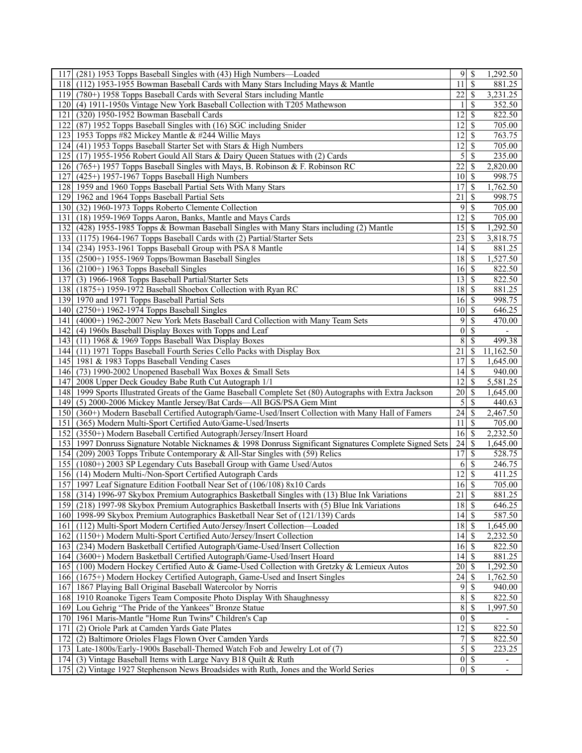| (281) 1953 Topps Baseball Singles with (43) High Numbers—Loaded<br>117 <sub>1</sub>                     |                    | $9$ \ $\frac{1}{3}$ | 1,292.50                 |
|---------------------------------------------------------------------------------------------------------|--------------------|---------------------|--------------------------|
| (112) 1953-1955 Bowman Baseball Cards with Many Stars Including Mays & Mantle<br>118                    | 11                 | <sup>\$</sup>       | 881.25                   |
| 119 (780+) 1958 Topps Baseball Cards with Several Stars including Mantle                                | 22                 | \$                  | 3,231.25                 |
| <b>120</b><br>(4) 1911-1950s Vintage New York Baseball Collection with T205 Mathewson                   |                    | \$                  | 352.50                   |
| 121<br>(320) 1950-1952 Bowman Baseball Cards                                                            | 12                 | \$                  | 822.50                   |
| (87) 1952 Topps Baseball Singles with (16) SGC including Snider<br>122                                  | 12                 | \$                  | 705.00                   |
| 123 1953 Topps #82 Mickey Mantle & #244 Willie Mays                                                     | 12                 | S                   | 763.75                   |
| 124 (41) 1953 Topps Baseball Starter Set with Stars & High Numbers                                      | 12                 | \$                  | 705.00                   |
| 125 (17) 1955-1956 Robert Gould All Stars & Dairy Queen Statues with (2) Cards                          | 5                  | \$                  | 235.00                   |
| 126 (765+) 1957 Topps Baseball Singles with Mays, B. Robinson & F. Robinson RC                          | 22                 | \$                  | 2,820.00                 |
| (425+) 1957-1967 Topps Baseball High Numbers<br>127                                                     | 10 <sup>1</sup>    | <sup>\$</sup>       | 998.75                   |
| 128 1959 and 1960 Topps Baseball Partial Sets With Many Stars                                           | 17                 | <sup>\$</sup>       |                          |
|                                                                                                         |                    |                     | 1,762.50                 |
| 129 1962 and 1964 Topps Baseball Partial Sets                                                           | 21                 | \$                  | 998.75                   |
| 130<br>(32) 1960-1973 Topps Roberto Clemente Collection                                                 | 9                  | \$                  | 705.00                   |
| 131<br>(18) 1959-1969 Topps Aaron, Banks, Mantle and Mays Cards                                         | 12                 | \$                  | 705.00                   |
| 132 (428) 1955-1985 Topps & Bowman Baseball Singles with Many Stars including (2) Mantle                | 15                 | \$                  | 1,292.50                 |
| 133 (1175) 1964-1967 Topps Baseball Cards with (2) Partial/Starter Sets                                 | 23                 | \$                  | 3,818.75                 |
| 134 (234) 1953-1961 Topps Baseball Group with PSA 8 Mantle                                              | 14                 | \$                  | 881.25                   |
| 135 (2500+) 1955-1969 Topps/Bowman Baseball Singles                                                     | 18                 | \$                  | 1,527.50                 |
| 136 $(2100+)$ 1963 Topps Baseball Singles                                                               | 16                 | \$                  | 822.50                   |
| (3) 1966-1968 Topps Baseball Partial/Starter Sets<br>137                                                | 13                 | $\mathcal{S}$       | 822.50                   |
| 138 (1875+) 1959-1972 Baseball Shoebox Collection with Ryan RC                                          | 18                 | \$                  | 881.25                   |
| 139 1970 and 1971 Topps Baseball Partial Sets                                                           | 16                 | \$                  | 998.75                   |
| 140 <sup> </sup><br>$(2750+)$ 1962-1974 Topps Baseball Singles                                          | <sup>10</sup>      | S                   | 646.25                   |
| (4000+) 1962-2007 New York Mets Baseball Card Collection with Many Team Sets<br>141                     | 9                  | \$                  | 470.00                   |
| 142 (4) 1960s Baseball Display Boxes with Topps and Leaf                                                | $\vert 0 \vert$    | \$                  | $\overline{\phantom{a}}$ |
| 143 (11) 1968 & 1969 Topps Baseball Wax Display Boxes                                                   | 8                  | \$                  | 499.38                   |
| 144 (11) 1971 Topps Baseball Fourth Series Cello Packs with Display Box                                 | 21                 | \$                  | 11,162.50                |
|                                                                                                         | 17                 | \$                  |                          |
| 145 1981 & 1983 Topps Baseball Vending Cases                                                            |                    |                     | 1,645.00                 |
| 146 (73) 1990-2002 Unopened Baseball Wax Boxes & Small Sets                                             |                    |                     | 940.00                   |
| 2008 Upper Deck Goudey Babe Ruth Cut Autograph 1/1<br>1471                                              | 12                 | \$                  | 5,581.25                 |
| 148 1999 Sports Illustrated Greats of the Game Baseball Complete Set (80) Autographs with Extra Jackson | 20 <sup>2</sup>    | \$                  | 1,645.00                 |
| 149<br>(5) 2000-2006 Mickey Mantle Jersey/Bat Cards-All BGS/PSA Gem Mint                                | 5                  | <sup>\$</sup>       | 440.63                   |
| 150<br>(360+) Modern Baseball Certified Autograph/Game-Used/Insert Collection with Many Hall of Famers  | 24                 | \$                  | 2,467.50                 |
| (365) Modern Multi-Sport Certified Auto/Game-Used/Inserts<br>151                                        | 11                 | -\$                 | 705.00                   |
| (3550+) Modern Baseball Certified Autograph/Jersey/Insert Hoard<br>152                                  | $16 \mid$ \$       |                     | 2,232.50                 |
| 153 1997 Donruss Signature Notable Nicknames & 1998 Donruss Significant Signatures Complete Signed Sets |                    |                     | 1,645.00                 |
| 154 (209) 2003 Topps Tribute Contemporary & All-Star Singles with (59) Relics                           | 17                 | \$                  | 528.75                   |
| 155 (1080+) 2003 SP Legendary Cuts Baseball Group with Game Used/Autos                                  | 6                  | \$                  | 246.75                   |
| 156 (14) Modern Multi-/Non-Sport Certified Autograph Cards                                              | 12                 | <sup>\$</sup>       | 411.25                   |
| 157 1997 Leaf Signature Edition Football Near Set of (106/108) 8x10 Cards                               | 16                 | \$                  | 705.00                   |
| 158 (314) 1996-97 Skybox Premium Autographics Basketball Singles with (13) Blue Ink Variations          | $\overline{21}$ \$ |                     | 881.25                   |
| 159 (218) 1997-98 Skybox Premium Autographics Basketball Inserts with (5) Blue Ink Variations           | $18\overline{3}$   |                     | 646.25                   |
| 160 1998-99 Skybox Premium Autographics Basketball Near Set of (121/139) Cards                          | 4                  | <sup>\$</sup>       | 587.50                   |
| (112) Multi-Sport Modern Certified Auto/Jersey/Insert Collection-Loaded<br>161                          |                    |                     | 1,645.00                 |
| (1150+) Modern Multi-Sport Certified Auto/Jersey/Insert Collection<br>162                               | 14                 | - \$                | 2,232.50                 |
| (234) Modern Basketball Certified Autograph/Game-Used/Insert Collection<br>1631                         | 16                 | \$                  | 822.50                   |
| 164 (3600+) Modern Basketball Certified Autograph/Game-Used/Insert Hoard                                |                    |                     | 881.25                   |
| 165 (100) Modern Hockey Certified Auto & Game-Used Collection with Gretzky & Lemieux Autos              | 20                 | \$                  | 1,292.50                 |
| 166 (1675+) Modern Hockey Certified Autograph, Game-Used and Insert Singles                             | 24                 | S                   | 1,762.50                 |
| 1867 Playing Ball Original Baseball Watercolor by Norris<br>167                                         | 9                  | \$                  | 940.00                   |
| 168                                                                                                     | 8 <sup>1</sup>     | \$                  | 822.50                   |
| 1910 Roanoke Tigers Team Composite Photo Display With Shaughnessy                                       |                    |                     |                          |
| 169<br>Lou Gehrig "The Pride of the Yankees" Bronze Statue                                              | 8 <sup>1</sup>     | S                   | 1,997.50                 |
| 170 <sup> </sup><br>1961 Maris-Mantle "Home Run Twins" Children's Cap                                   | $\vert 0 \vert$    | \$                  |                          |
| 171<br>(2) Oriole Park at Camden Yards Gate Plates                                                      | 12                 | \$                  | 822.50                   |
| (2) Baltimore Orioles Flags Flown Over Camden Yards<br>172                                              | 7                  | \$                  | 822.50                   |
| 173 Late-1800s/Early-1900s Baseball-Themed Watch Fob and Jewelry Lot of (7)                             |                    | 5s                  | 223.25                   |
| 174 (3) Vintage Baseball Items with Large Navy B18 Quilt & Ruth                                         |                    | $\overline{0 S}$    | $\overline{\phantom{a}}$ |
| 175 (2) Vintage 1927 Stephenson News Broadsides with Ruth, Jones and the World Series                   | 0                  | \$                  | $\overline{\phantom{a}}$ |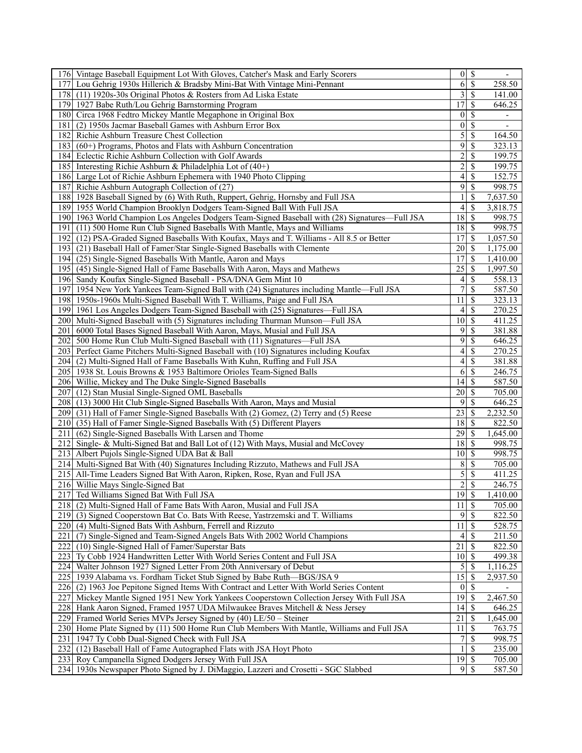| 176 Vintage Baseball Equipment Lot With Gloves, Catcher's Mask and Early Scorers               |                          | $0 \mid S$               | $\overline{\phantom{a}}$     |
|------------------------------------------------------------------------------------------------|--------------------------|--------------------------|------------------------------|
| 177 Lou Gehrig 1930s Hillerich & Bradsby Mini-Bat With Vintage Mini-Pennant                    | 6 <sup>1</sup>           | $\overline{\mathcal{S}}$ | 258.50                       |
| 178 (11) 1920s-30s Original Photos & Rosters from Ad Liska Estate                              | 3                        | $\mathcal{S}$            | 141.00                       |
| 179 1927 Babe Ruth/Lou Gehrig Barnstorming Program                                             | 17                       | \$                       | 646.25                       |
| 180 Circa 1968 Fedtro Mickey Mantle Megaphone in Original Box                                  | $\boldsymbol{0}$         | $\mathcal{S}$            | $\qquad \qquad \blacksquare$ |
| 181<br>(2) 1950s Jacmar Baseball Games with Ashburn Error Box                                  | $\mathbf{0}$             | $\mathcal{S}$            | $\overline{\phantom{a}}$     |
| 182 Richie Ashburn Treasure Chest Collection                                                   | $\overline{5}$           | \$                       | 164.50                       |
| 183 (60+) Programs, Photos and Flats with Ashburn Concentration                                | 9                        | \$                       | 323.13                       |
|                                                                                                |                          |                          | 199.75                       |
| 184 Eclectic Richie Ashburn Collection with Golf Awards                                        | $\overline{c}$           | \$                       |                              |
| 185 Interesting Richie Ashburn & Philadelphia Lot of (40+)                                     | $\overline{c}$           | \$                       | 199.75                       |
| 186 Large Lot of Richie Ashburn Ephemera with 1940 Photo Clipping                              | $\overline{\mathcal{L}}$ | $\mathcal{S}$            | 152.75                       |
| 187 Richie Ashburn Autograph Collection of (27)                                                | 9                        | $\overline{\mathcal{S}}$ | 998.75                       |
| 188 1928 Baseball Signed by (6) With Ruth, Ruppert, Gehrig, Hornsby and Full JSA               |                          | \$                       | 7,637.50                     |
| 189 1955 World Champion Brooklyn Dodgers Team-Signed Ball With Full JSA                        | 4                        | \$                       | 3,818.75                     |
| 190 1963 World Champion Los Angeles Dodgers Team-Signed Baseball with (28) Signatures—Full JSA | 18                       | -\$                      | 998.75                       |
| (11) 500 Home Run Club Signed Baseballs With Mantle, Mays and Williams<br>191                  | 18                       | \$                       | 998.75                       |
| 192 (12) PSA-Graded Signed Baseballs With Koufax, Mays and T. Williams - All 8.5 or Better     | 17                       | -\$                      | 1,057.50                     |
| 193 (21) Baseball Hall of Famer/Star Single-Signed Baseballs with Clemente                     | 20                       | -\$                      | 1,175.00                     |
| 194 (25) Single-Signed Baseballs With Mantle, Aaron and Mays                                   | 17                       | <sup>\$</sup>            | 1,410.00                     |
| 195 (45) Single-Signed Hall of Fame Baseballs With Aaron, Mays and Mathews                     | 25                       | -\$                      | 1,997.50                     |
| 196 Sandy Koufax Single-Signed Baseball - PSA/DNA Gem Mint 10                                  | 4                        | <sup>\$</sup>            | 558.13                       |
| 197   1954 New York Yankees Team-Signed Ball with (24) Signatures including Mantle—Full JSA    | $\overline{7}$           | $\overline{\mathcal{S}}$ | 587.50                       |
| 198 1950s-1960s Multi-Signed Baseball With T. Williams, Paige and Full JSA                     | 11                       | \$                       | 323.13                       |
| 199 1961 Los Angeles Dodgers Team-Signed Baseball with (25) Signatures—Full JSA                | 4                        | \$                       | 270.25                       |
| 200 Multi-Signed Baseball with (5) Signatures including Thurman Munson-Full JSA                | 10                       | $\mathcal{S}$            | 411.25                       |
| 201 6000 Total Bases Signed Baseball With Aaron, Mays, Musial and Full JSA                     | 9                        | $\mathcal{S}$            | 381.88                       |
| 202<br>500 Home Run Club Multi-Signed Baseball with (11) Signatures—Full JSA                   | 9                        | $\overline{\mathcal{S}}$ | 646.25                       |
|                                                                                                | 4                        | <sup>\$</sup>            | 270.25                       |
| 203 Perfect Game Pitchers Multi-Signed Baseball with (10) Signatures including Koufax          |                          |                          |                              |
| 204 (2) Multi-Signed Hall of Fame Baseballs With Kuhn, Ruffing and Full JSA                    | 4                        | \$                       | 381.88                       |
| 205 1938 St. Louis Browns & 1953 Baltimore Orioles Team-Signed Balls                           | 6                        | $\mathcal{S}$            | 246.75                       |
| 206 Willie, Mickey and The Duke Single-Signed Baseballs                                        | 14                       | $\mathcal{S}$            | 587.50                       |
| 207 (12) Stan Musial Single-Signed OML Baseballs                                               | 20                       | $\overline{\mathcal{S}}$ | 705.00                       |
| 208 (13) 3000 Hit Club Single-Signed Baseballs With Aaron, Mays and Musial                     | 9                        | <sup>\$</sup>            | 646.25                       |
| 209 (31) Hall of Famer Single-Signed Baseballs With (2) Gomez, (2) Terry and (5) Reese         | 23                       | \$                       | 2,232.50                     |
| 210 (35) Hall of Famer Single-Signed Baseballs With (5) Different Players                      | 18                       | - \$                     | 822.50                       |
| (62) Single-Signed Baseballs With Larsen and Thome<br>211                                      | 29                       | $\mathcal{S}$            | 1,645.00                     |
| 212 Single- & Multi-Signed Bat and Ball Lot of (12) With Mays, Musial and McCovey              | 18                       | S                        | 998.75                       |
| 213 Albert Pujols Single-Signed UDA Bat & Ball                                                 | $10 \mid S$              |                          | 998.75                       |
| 214 Multi-Signed Bat With (40) Signatures Including Rizzuto, Mathews and Full JSA              | 8                        | -S                       | 705.00                       |
| 215 All-Time Leaders Signed Bat With Aaron, Ripken, Rose, Ryan and Full JSA                    | 5                        | <sup>\$</sup>            | 411.25                       |
| 216 Willie Mays Single-Signed Bat                                                              | $\boldsymbol{2}$         | \$                       | 246.75                       |
| 217 Ted Williams Signed Bat With Full JSA                                                      | $\overline{19}$          | $\overline{\mathcal{S}}$ | 1,410.00                     |
| 218 (2) Multi-Signed Hall of Fame Bats With Aaron, Musial and Full JSA                         | 11                       | $\overline{\mathcal{S}}$ | 705.00                       |
| 219 (3) Signed Cooperstown Bat Co. Bats With Reese, Yastrzemski and T. Williams                | 9                        | -\$                      | 822.50                       |
| 220 (4) Multi-Signed Bats With Ashburn, Ferrell and Rizzuto                                    | 11                       | \$                       | 528.75                       |
| (7) Single-Signed and Team-Signed Angels Bats With 2002 World Champions<br>221                 | 4                        | -\$                      | 211.50                       |
| 222<br>(10) Single-Signed Hall of Famer/Superstar Bats                                         | 21                       | $\mathcal{S}$            | 822.50                       |
| 223<br>Ty Cobb 1924 Handwritten Letter With World Series Content and Full JSA                  | $10 \mid S$              |                          | 499.38                       |
| 224 Walter Johnson 1927 Signed Letter From 20th Anniversary of Debut                           | 5                        | S                        | 1,116.25                     |
|                                                                                                |                          |                          |                              |
| 225 1939 Alabama vs. Fordham Ticket Stub Signed by Babe Ruth—BGS/JSA 9                         | 15                       | -S                       | 2,937.50                     |
| 226 (2) 1963 Joe Pepitone Signed Items With Contract and Letter With World Series Content      | $\vert 0 \vert$          | -\$                      |                              |
| 227<br>Mickey Mantle Signed 1951 New York Yankees Cooperstown Collection Jersey With Full JSA  | $\overline{19}$          | -\$                      | 2,467.50                     |
| 228 Hank Aaron Signed, Framed 1957 UDA Milwaukee Braves Mitchell & Ness Jersey                 | 14                       | l \$                     | 646.25                       |
| 229 Framed World Series MVPs Jersey Signed by (40) LE/50 – Steiner                             | 21                       | -\$                      | 1,645.00                     |
| 230 Home Plate Signed by (11) 500 Home Run Club Members With Mantle, Williams and Full JSA     | 11                       | -\$                      | 763.75                       |
| 1947 Ty Cobb Dual-Signed Check with Full JSA<br>231                                            |                          | <sup>\$</sup>            | 998.75                       |
| 232<br>(12) Baseball Hall of Fame Autographed Flats with JSA Hoyt Photo                        |                          | <sup>S</sup>             | 235.00                       |
| 233 Roy Campanella Signed Dodgers Jersey With Full JSA                                         | $\overline{19}$ \$       |                          | 705.00                       |
| 234   1930s Newspaper Photo Signed by J. DiMaggio, Lazzeri and Crosetti - SGC Slabbed          | $\overline{9}$           | -S                       | 587.50                       |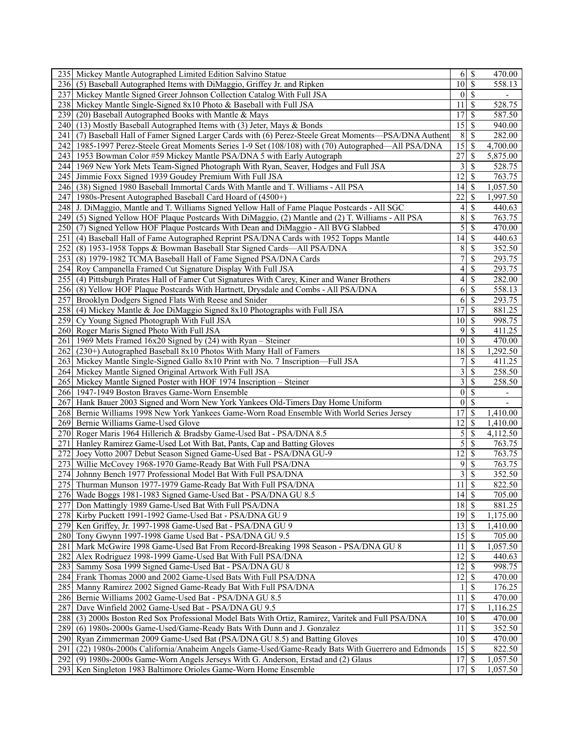|      | 235 Mickey Mantle Autographed Limited Edition Salvino Statue                                        |                                |               | 470.00                   |
|------|-----------------------------------------------------------------------------------------------------|--------------------------------|---------------|--------------------------|
|      | 236 (5) Baseball Autographed Items with DiMaggio, Griffey Jr. and Ripken                            | $\overline{10}$ \$             |               | 558.13                   |
| 237  | Mickey Mantle Signed Greer Johnson Collection Catalog With Full JSA                                 | 0 <sup>1</sup>                 | <sup>\$</sup> | $\overline{\phantom{a}}$ |
|      | 238 Mickey Mantle Single-Signed 8x10 Photo & Baseball with Full JSA                                 | 11                             | S             | 528.75                   |
|      | 239 (20) Baseball Autographed Books with Mantle & Mays                                              | 17                             | <sup>\$</sup> | 587.50                   |
|      | 240 (13) Mostly Baseball Autographed Items with (3) Jeter, Mays & Bonds                             | 15                             | \$            | 940.00                   |
|      |                                                                                                     |                                |               |                          |
| 241  | (7) Baseball Hall of Famer Signed Larger Cards with (6) Perez-Steele Great Moments-PSA/DNA Authent  | 8                              | S             | 282.00                   |
|      | 242 1985-1997 Perez-Steele Great Moments Series 1-9 Set (108/108) with (70) Autographed—All PSA/DNA | $\overline{15}$                | \$            | 4,700.00                 |
|      | 243 1953 Bowman Color #59 Mickey Mantle PSA/DNA 5 with Early Autograph                              | 27                             | S             | 5,875.00                 |
|      | 244 1969 New York Mets Team-Signed Photograph With Ryan, Seaver, Hodges and Full JSA                | $\overline{3}$                 | S             | 528.75                   |
|      | 245 Jimmie Foxx Signed 1939 Goudey Premium With Full JSA                                            | 12                             | S             | 763.75                   |
|      | 246 (38) Signed 1980 Baseball Immortal Cards With Mantle and T. Williams - All PSA                  | 4                              | \$            | 1,057.50                 |
|      | 247 1980s-Present Autographed Baseball Card Hoard of (4500+)                                        | 22                             | \$            | 1,997.50                 |
|      | 248 J. DiMaggio, Mantle and T. Williams Signed Yellow Hall of Fame Plaque Postcards - All SGC       | $\left 4\right $               | \$            | 440.63                   |
|      | 249 (5) Signed Yellow HOF Plaque Postcards With DiMaggio, (2) Mantle and (2) T. Williams - All PSA  | $\boldsymbol{8}$               | \$            | 763.75                   |
|      | 250 (7) Signed Yellow HOF Plaque Postcards With Dean and DiMaggio - All BVG Slabbed                 | $\vert$                        | \$            | 470.00                   |
|      | 251 (4) Baseball Hall of Fame Autographed Reprint PSA/DNA Cards with 1952 Topps Mantle              | 14                             | \$            | 440.63                   |
|      | 252 (8) 1953-1958 Topps & Bowman Baseball Star Signed Cards—All PSA/DNA                             | 8 <sup>1</sup>                 | \$            | 352.50                   |
|      | 253 (8) 1979-1982 TCMA Baseball Hall of Fame Signed PSA/DNA Cards                                   | 7                              |               | 293.75                   |
|      |                                                                                                     |                                | \$            |                          |
|      | 254 Roy Campanella Framed Cut Signature Display With Full JSA                                       | $\vert 4 \vert$                | S             | 293.75                   |
| 255  | (4) Pittsburgh Pirates Hall of Famer Cut Signatures With Carey, Kiner and Waner Brothers            | $\left 4\right $               | \$            | 282.00                   |
|      | 256 (8) Yellow HOF Plaque Postcards With Hartnett, Drysdale and Combs - All PSA/DNA                 | $6\overline{6}$                | \$            | 558.13                   |
| 257  | Brooklyn Dodgers Signed Flats With Reese and Snider                                                 | 6                              | \$            | 293.75                   |
| 258  | (4) Mickey Mantle & Joe DiMaggio Signed 8x10 Photographs with Full JSA                              | 17                             | \$            | 881.25                   |
|      | 259 Cy Young Signed Photograph With Full JSA                                                        | 10 <sup>1</sup>                | S             | 998.75                   |
|      | 260 Roger Maris Signed Photo With Full JSA                                                          | 9                              | \$            | 411.25                   |
|      | 261   1969 Mets Framed 16x20 Signed by (24) with Ryan - Steiner                                     | 10 <sup>1</sup>                | S             | 470.00                   |
|      | 262 (230+) Autographed Baseball 8x10 Photos With Many Hall of Famers                                | 18                             | S             | 1,292.50                 |
|      | 263 Mickey Mantle Single-Signed Gallo 8x10 Print with No. 7 Inscription-Full JSA                    | 7                              | \$            | 411.25                   |
|      | 264 Mickey Mantle Signed Original Artwork With Full JSA                                             | $\overline{\mathbf{3}}$        | S             | 258.50                   |
|      | 265 Mickey Mantle Signed Poster with HOF 1974 Inscription – Steiner                                 | $\overline{3}$                 | \$            | 258.50                   |
|      | 266 1947-1949 Boston Braves Game-Worn Ensemble                                                      | 0                              | \$            |                          |
|      |                                                                                                     | $\vert 0 \vert$                | \$            |                          |
|      | 267 Hank Bauer 2003 Signed and Worn New York Yankees Old-Timers Day Home Uniform                    |                                |               | $\overline{\phantom{a}}$ |
|      | 268 Bernie Williams 1998 New York Yankees Game-Worn Road Ensemble With World Series Jersey          | 17                             | \$            | 1,410.00                 |
|      | 269 Bernie Williams Game-Used Glove                                                                 | 12                             | S             | 1,410.00                 |
|      | 270 Roger Maris 1964 Hillerich & Bradsby Game-Used Bat - PSA/DNA 8.5                                | $\vert 5 \vert$                | \$            | 4,112.50                 |
|      | 271 Hanley Ramirez Game-Used Lot With Bat, Pants, Cap and Batting Gloves                            | $\overline{5}$                 | \$            | 763.75                   |
|      | 272 Joey Votto 2007 Debut Season Signed Game-Used Bat - PSA/DNA GU-9                                | 12                             | \$            | 763.75                   |
|      | 273 Willie McCovey 1968-1970 Game-Ready Bat With Full PSA/DNA                                       | 9                              | \$            | 763.75                   |
|      | 274 Johnny Bench 1977 Professional Model Bat With Full PSA/DNA                                      | $\overline{3}$                 | S             | 352.50                   |
|      | 275 Thurman Munson 1977-1979 Game-Ready Bat With Full PSA/DNA                                       | 11                             | <sup>\$</sup> | 822.50                   |
|      | 276 Wade Boggs 1981-1983 Signed Game-Used Bat - PSA/DNA GU 8.5                                      | $\overline{14}$ \$             |               | 705.00                   |
|      | 277 Don Mattingly 1989 Game-Used Bat With Full PSA/DNA                                              | $\overline{18}$ $\overline{5}$ |               | 881.25                   |
|      | 278 Kirby Puckett 1991-1992 Game-Used Bat - PSA/DNA GU 9                                            | 19 <sup> </sup>                | S.            | 1,175.00                 |
|      | 279 Ken Griffey, Jr. 1997-1998 Game-Used Bat - PSA/DNA GU 9                                         | $13 \mid$ \$                   |               | 1,410.00                 |
|      | 280 Tony Gwynn 1997-1998 Game Used Bat - PSA/DNA GU 9.5                                             | 15                             | <sup>\$</sup> | 705.00                   |
|      |                                                                                                     |                                |               |                          |
| 281  | Mark McGwire 1998 Game-Used Bat From Record-Breaking 1998 Season - PSA/DNA GU 8                     | 11                             | S             | 1,057.50                 |
|      | 282 Alex Rodriguez 1998-1999 Game-Used Bat With Full PSA/DNA                                        | 12                             | S             | 440.63                   |
| 2831 | Sammy Sosa 1999 Signed Game-Used Bat - PSA/DNA GU 8                                                 | 12 <sup>1</sup>                | S             | 998.75                   |
|      | 284 Frank Thomas 2000 and 2002 Game-Used Bats With Full PSA/DNA                                     | 12                             | S             | 470.00                   |
|      | 285 Manny Ramirez 2002 Signed Game-Ready Bat With Full PSA/DNA                                      |                                | S             | 176.25                   |
|      | 286 Bernie Williams 2002 Game-Used Bat - PSA/DNA GU 8.5                                             | 11                             | <sup>\$</sup> | 470.00                   |
| 287  | Dave Winfield 2002 Game-Used Bat - PSA/DNA GU 9.5                                                   | 17                             | S             | 1,116.25                 |
| 288  | (3) 2000s Boston Red Sox Professional Model Bats With Ortiz, Ramirez, Varitek and Full PSA/DNA      | 10 <sup>1</sup>                | S             | 470.00                   |
| 289  | (6) 1980s-2000s Game-Used/Game-Ready Bats With Dunn and J. Gonzalez                                 | 11                             | S             | 352.50                   |
| 290  | Ryan Zimmerman 2009 Game-Used Bat (PSA/DNA GU 8.5) and Batting Gloves                               | $10 \mid S$                    |               | 470.00                   |
| 291  | (22) 1980s-2000s California/Anaheim Angels Game-Used/Game-Ready Bats With Guerrero and Edmonds      |                                |               | 822.50                   |
|      | 292 (9) 1980s-2000s Game-Worn Angels Jerseys With G. Anderson, Erstad and (2) Glaus                 | 17 <sup>1</sup>                | S             | 1,057.50                 |
|      | 293 Ken Singleton 1983 Baltimore Orioles Game-Worn Home Ensemble                                    | 17 <sup> </sup>                | S             | 1,057.50                 |
|      |                                                                                                     |                                |               |                          |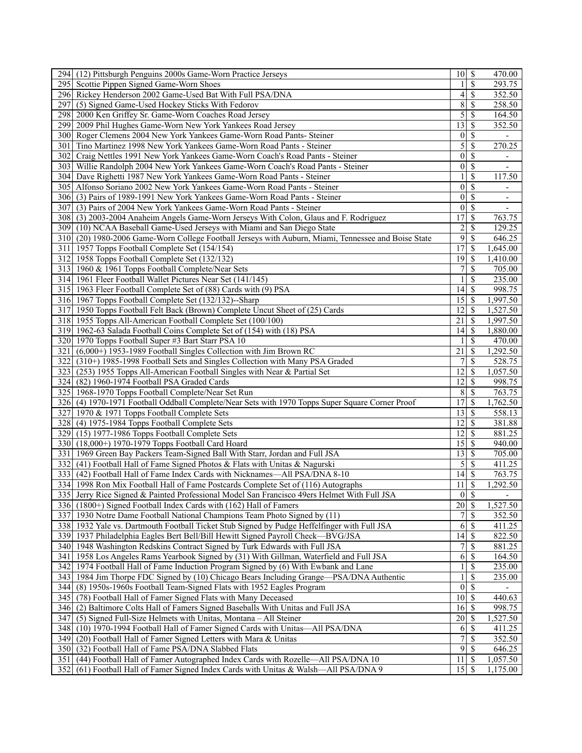|       | 294 (12) Pittsburgh Penguins 2000s Game-Worn Practice Jerseys                                       | $10 \mid$ \$       |               | 470.00                   |
|-------|-----------------------------------------------------------------------------------------------------|--------------------|---------------|--------------------------|
|       | 295 Scottie Pippen Signed Game-Worn Shoes                                                           |                    | S             | 293.75                   |
|       | 296 Rickey Henderson 2002 Game-Used Bat With Full PSA/DNA                                           | 4                  | \$            | 352.50                   |
| 297   | (5) Signed Game-Used Hockey Sticks With Fedorov                                                     | 8                  | \$            | 258.50                   |
|       | 298   2000 Ken Griffey Sr. Game-Worn Coaches Road Jersey                                            | 5                  | \$            | 164.50                   |
|       | 299 2009 Phil Hughes Game-Worn New York Yankees Road Jersey                                         | 13                 | \$            | 352.50                   |
|       | 300 Roger Clemens 2004 New York Yankees Game-Worn Road Pants- Steiner                               | $\vert 0 \vert$    | \$            |                          |
| 301 I | Tino Martinez 1998 New York Yankees Game-Worn Road Pants - Steiner                                  | 5                  | \$            | 270.25                   |
|       | 302 Craig Nettles 1991 New York Yankees Game-Worn Coach's Road Pants - Steiner                      | $\mathbf{0}$       | \$            |                          |
|       | 303 Willie Randolph 2004 New York Yankees Game-Worn Coach's Road Pants - Steiner                    | $\vert 0 \vert$    | \$            |                          |
|       |                                                                                                     |                    |               |                          |
|       | 304 Dave Righetti 1987 New York Yankees Game-Worn Road Pants - Steiner                              |                    | \$            | 117.50                   |
|       | 305 Alfonso Soriano 2002 New York Yankees Game-Worn Road Pants - Steiner                            | $\boldsymbol{0}$   | \$            |                          |
|       | 306 (3) Pairs of 1989-1991 New York Yankees Game-Worn Road Pants - Steiner                          | $\vert 0 \vert$    | \$            | $\overline{\phantom{a}}$ |
| 307   | (3) Pairs of 2004 New York Yankees Game-Worn Road Pants - Steiner                                   | $\mathbf{0}$       | \$            |                          |
|       | 308 (3) 2003-2004 Anaheim Angels Game-Worn Jerseys With Colon, Glaus and F. Rodriguez               | 17                 | \$            | 763.75                   |
|       | 309 (10) NCAA Baseball Game-Used Jerseys with Miami and San Diego State                             | $\overline{c}$     | \$            | 129.25                   |
|       | 310 (20) 1980-2006 Game-Worn College Football Jerseys with Auburn, Miami, Tennessee and Boise State | 9                  | S             | 646.25                   |
|       | 311 1957 Topps Football Complete Set (154/154)                                                      | 17                 | S             | 1,645.00                 |
|       | 312 1958 Topps Football Complete Set (132/132)                                                      | 19                 | \$            | 1,410.00                 |
|       | 313 1960 & 1961 Topps Football Complete/Near Sets                                                   | 7                  | \$            | 705.00                   |
|       | 314 1961 Fleer Football Wallet Pictures Near Set (141/145)                                          |                    | \$            | 235.00                   |
|       | 315 1963 Fleer Football Complete Set of (88) Cards with (9) PSA                                     | 14                 | <sup>\$</sup> | 998.75                   |
|       | 316 1967 Topps Football Complete Set (132/132)--Sharp                                               | 15                 | S             | 1,997.50                 |
|       | 317 1950 Topps Football Felt Back (Brown) Complete Uncut Sheet of (25) Cards                        | 12                 | \$            | 1,527.50                 |
|       | 318 1955 Topps All-American Football Complete Set (100/100)                                         | 21                 | S             | 1,997.50                 |
|       | 319 1962-63 Salada Football Coins Complete Set of (154) with (18) PSA                               | 14                 | S             | 1,880.00                 |
|       | 320 1970 Topps Football Super #3 Bart Starr PSA 10                                                  |                    | <sup>\$</sup> | 470.00                   |
|       | 321 (6,000+) 1953-1989 Football Singles Collection with Jim Brown RC                                | 21                 | \$            | 1,292.50                 |
|       | 322 (310+) 1985-1998 Football Sets and Singles Collection with Many PSA Graded                      | 7                  | \$            | 528.75                   |
|       | 323 (253) 1955 Topps All-American Football Singles with Near & Partial Set                          | 12                 | S             | 1,057.50                 |
|       | 324 (82) 1960-1974 Football PSA Graded Cards                                                        | 12                 | \$            | 998.75                   |
|       |                                                                                                     | 8                  | <sup>\$</sup> | 763.75                   |
|       | 325 1968-1970 Topps Football Complete/Near Set Run                                                  |                    |               |                          |
|       | 326 (4) 1970-1971 Football Oddball Complete/Near Sets with 1970 Topps Super Square Corner Proof     | 17                 | \$            | 1,762.50                 |
|       | 327 1970 & 1971 Topps Football Complete Sets                                                        | 13                 | S             | 558.13                   |
|       | 328 (4) 1975-1984 Topps Football Complete Sets                                                      | 12                 | \$            | 381.88                   |
|       | 329 (15) 1977-1986 Topps Football Complete Sets                                                     | 12                 | \$            | 881.25                   |
|       | 330 (18,000+) 1970-1979 Topps Football Card Hoard                                                   | 15                 | <sup>\$</sup> | $\frac{1}{940.00}$       |
|       | 331   1969 Green Bay Packers Team-Signed Ball With Starr, Jordan and Full JSA                       | 13                 | S             | 705.00                   |
|       | 332 (41) Football Hall of Fame Signed Photos & Flats with Unitas & Nagurski                         | 5                  | S             | 411.25                   |
|       | 333 (42) Football Hall of Fame Index Cards with Nicknames—All PSA/DNA 8-10                          | 14                 | -S            | 763.75                   |
|       | 334 1998 Ron Mix Football Hall of Fame Postcards Complete Set of (116) Autographs                   | 11                 | <sup>\$</sup> | ,292.50                  |
|       | 335 Jerry Rice Signed & Painted Professional Model San Francisco 49ers Helmet With Full JSA         |                    | $0 \mid \$$   |                          |
|       | 336 (1800+) Signed Football Index Cards with (162) Hall of Famers                                   | $\overline{20}$ \$ |               | 1,527.50                 |
| 337   | 1930 Notre Dame Football National Champions Team Photo Signed by (11)                               | 7                  | S             | 352.50                   |
|       | 338 1932 Yale vs. Dartmouth Football Ticket Stub Signed by Pudge Heffelfinger with Full JSA         | 6                  | \$            | 411.25                   |
|       | 339 1937 Philadelphia Eagles Bert Bell/Bill Hewitt Signed Payroll Check—BVG/JSA                     | 14                 | - \$          | 822.50                   |
|       | 340 1948 Washington Redskins Contract Signed by Turk Edwards with Full JSA                          | 7                  | \$            | 881.25                   |
|       | 341 1958 Los Angeles Rams Yearbook Signed by (31) With Gillman, Waterfield and Full JSA             | 6                  | S             | 164.50                   |
| 342   | 1974 Football Hall of Fame Induction Program Signed by (6) With Ewbank and Lane                     |                    | \$            | 235.00                   |
|       | 343   1984 Jim Thorpe FDC Signed by (10) Chicago Bears Including Grange—PSA/DNA Authentic           |                    | \$            | 235.00                   |
| 3441  | (8) 1950s-1960s Football Team-Signed Flats with 1952 Eagles Program                                 | $\overline{0}$     | $\mathcal{S}$ |                          |
|       | 345 (78) Football Hall of Famer Signed Flats with Many Deceased                                     | $\overline{10}$ \$ |               | 440.63                   |
|       |                                                                                                     |                    |               | 998.75                   |
|       | 346 (2) Baltimore Colts Hall of Famers Signed Baseballs With Unitas and Full JSA                    |                    |               |                          |
| 347   | (5) Signed Full-Size Helmets with Unitas, Montana - All Steiner                                     | 20 <sup> </sup>    | S             | 1,527.50                 |
|       | 348 (10) 1970-1994 Football Hall of Famer Signed Cards with Unitas—All PSA/DNA                      | 6                  | <sup>\$</sup> | 411.25                   |
| 349   | (20) Football Hall of Famer Signed Letters with Mara & Unitas                                       | 7                  | \$            | 352.50                   |
|       | 350 (32) Football Hall of Fame PSA/DNA Slabbed Flats                                                |                    | 95            | 646.25                   |
| 351   | (44) Football Hall of Famer Autographed Index Cards with Rozelle-All PSA/DNA 10                     | 11                 | - \$          | 1,057.50                 |
|       | 352 (61) Football Hall of Famer Signed Index Cards with Unitas & Walsh—All PSA/DNA 9                | 15 <sup>1</sup>    | S             | 1,175.00                 |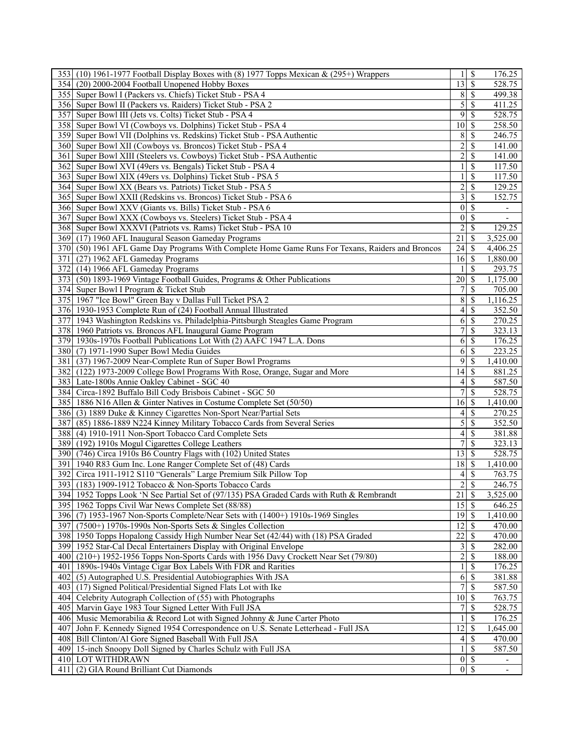| 353 (10) 1961-1977 Football Display Boxes with (8) 1977 Topps Mexican $\&$ (295+) Wrappers       | 1                                 | \$            | 176.25                   |
|--------------------------------------------------------------------------------------------------|-----------------------------------|---------------|--------------------------|
| 354 (20) 2000-2004 Football Unopened Hobby Boxes                                                 | $\overline{13}$                   | l S           | 528.75                   |
| 355 Super Bowl I (Packers vs. Chiefs) Ticket Stub - PSA 4                                        | 8                                 | \$            | 499.38                   |
| 356 Super Bowl II (Packers vs. Raiders) Ticket Stub - PSA 2                                      | 5                                 | \$            | $\overline{411.25}$      |
| 357 Super Bowl III (Jets vs. Colts) Ticket Stub - PSA 4                                          | $\overline{9}$                    | \$            | 528.75                   |
| 358 Super Bowl VI (Cowboys vs. Dolphins) Ticket Stub - PSA 4                                     | 10 <sup>1</sup>                   | \$            | 258.50                   |
| 359 Super Bowl VII (Dolphins vs. Redskins) Ticket Stub - PSA Authentic                           | 8                                 | \$            | 246.75                   |
| 360 Super Bowl XII (Cowboys vs. Broncos) Ticket Stub - PSA 4                                     | $\overline{2}$                    | \$            | 141.00                   |
|                                                                                                  |                                   | \$            | 141.00                   |
| 361 Super Bowl XIII (Steelers vs. Cowboys) Ticket Stub - PSA Authentic                           | $\overline{\mathbf{c}}$           |               |                          |
| 362 Super Bowl XVI (49ers vs. Bengals) Ticket Stub - PSA 4                                       | 1                                 | \$            | 117.50                   |
| 363 Super Bowl XIX (49ers vs. Dolphins) Ticket Stub - PSA 5                                      |                                   | \$            | 117.50                   |
| 364 Super Bowl XX (Bears vs. Patriots) Ticket Stub - PSA 5                                       | $\overline{\mathbf{c}}$           | \$            | 129.25                   |
| 365 Super Bowl XXII (Redskins vs. Broncos) Ticket Stub - PSA 6                                   | $\frac{3}{ }$                     | \$            | 152.75                   |
| 366 Super Bowl XXV (Giants vs. Bills) Ticket Stub - PSA 6                                        | $\vert 0 \vert$                   | \$            |                          |
| 367 Super Bowl XXX (Cowboys vs. Steelers) Ticket Stub - PSA 4                                    | $\vert 0 \vert$                   | \$            |                          |
| 368 Super Bowl XXXVI (Patriots vs. Rams) Ticket Stub - PSA 10                                    | $\overline{2}$                    | \$            | 129.25                   |
| 369 (17) 1960 AFL Inaugural Season Gameday Programs                                              | 21                                | <sup>\$</sup> | 3,525.00                 |
| 370 (50) 1961 AFL Game Day Programs With Complete Home Game Runs For Texans, Raiders and Broncos | 24                                | \$            | 4,406.25                 |
| 371<br>(27) 1962 AFL Gameday Programs                                                            | 16                                | \$            | 1,880.00                 |
| 372 (14) 1966 AFL Gameday Programs                                                               |                                   | S             | 293.75                   |
| 373 (50) 1893-1969 Vintage Football Guides, Programs & Other Publications                        | 20 <sup>2</sup>                   | \$            | 1,175.00                 |
| 374 Super Bowl I Program & Ticket Stub                                                           | 7                                 | <sup>\$</sup> | 705.00                   |
| 375 1967 "Ice Bowl" Green Bay v Dallas Full Ticket PSA 2                                         | 8                                 | \$            | 1,116.25                 |
| 376 1930-1953 Complete Run of (24) Football Annual Illustrated                                   | 4                                 | S             | 352.50                   |
| 377 1943 Washington Redskins vs. Philadelphia-Pittsburgh Steagles Game Program                   | $6 \mid$                          | \$            | 270.25                   |
| 378 1960 Patriots vs. Broncos AFL Inaugural Game Program                                         | 7                                 | \$            | 323.13                   |
| 379 1930s-1970s Football Publications Lot With (2) AAFC 1947 L.A. Dons                           | $6 \mid$                          | \$            | 176.25                   |
|                                                                                                  |                                   |               |                          |
| 380 (7) 1971-1990 Super Bowl Media Guides                                                        | 6                                 | \$            | 223.25                   |
| 381 (37) 1967-2009 Near-Complete Run of Super Bowl Programs                                      | $\overline{9}$                    | \$            | 1,410.00                 |
| 382 (122) 1973-2009 College Bowl Programs With Rose, Orange, Sugar and More                      | 14                                | S             | 881.25                   |
| 383 Late-1800s Annie Oakley Cabinet - SGC 40                                                     | $\left 4\right $                  | \$            | 587.50                   |
| 384 Circa-1892 Buffalo Bill Cody Brisbois Cabinet - SGC 50                                       | 7                                 | S             | 528.75                   |
| 385 1886 N16 Allen & Ginter Natives in Costume Complete Set (50/50)                              | 16                                | \$            | 1,410.00                 |
| 386 (3) 1889 Duke & Kinney Cigarettes Non-Sport Near/Partial Sets                                | 4                                 | S             | 270.25                   |
| 387 (85) 1886-1889 N224 Kinney Military Tobacco Cards from Several Series                        | 5                                 | \$            | 352.50                   |
| 388 (4) 1910-1911 Non-Sport Tobacco Card Complete Sets                                           | $\left 4\right $                  | \$            | 381.88                   |
| 389 (192) 1910s Mogul Cigarettes College Leathers                                                | 7                                 | \$            | 323.13                   |
| 390 (746) Circa 1910s B6 Country Flags with (102) United States                                  | 13                                | \$            | 528.75                   |
| 391   1940 R83 Gum Inc. Lone Ranger Complete Set of (48) Cards                                   | 18                                | S             | 1,410.00                 |
| Circa 1911-1912 S110 "Generals" Large Premium Silk Pillow Top<br>392                             | 4 <sup>1</sup>                    | S             | 763.75                   |
| 393 (183) 1909-1912 Tobacco & Non-Sports Tobacco Cards                                           | $\sqrt{2}$                        | \$            | 246.75                   |
| 394 1952 Topps Look 'N See Partial Set of (97/135) PSA Graded Cards with Ruth & Rembrandt        | $\overline{21}$                   | $\mathcal{S}$ | 3,525.00                 |
| 395   1962 Topps Civil War News Complete Set (88/88)                                             | $\overline{15}$ \ $\overline{\$}$ |               | 646.25                   |
| 396 (7) 1953-1967 Non-Sports Complete/Near Sets with (1400+) 1910s-1969 Singles                  | $\overline{19}$ \$                |               | 1,410.00                 |
|                                                                                                  |                                   |               |                          |
| (7500+) 1970s-1990s Non-Sports Sets & Singles Collection<br>397                                  | $12 \mid$ \$                      |               | 470.00                   |
| 398<br>1950 Topps Hopalong Cassidy High Number Near Set (42/44) with (18) PSA Graded             | 22                                | \$            | 470.00                   |
| 399 1952 Star-Cal Decal Entertainers Display with Original Envelope                              | $\overline{3}$                    | S             | 282.00                   |
| 400 (210+) 1952-1956 Topps Non-Sports Cards with 1956 Davy Crockett Near Set (79/80)             | $\overline{2}$                    | \$            | 188.00                   |
| 401   1890s-1940s Vintage Cigar Box Labels With FDR and Rarities                                 |                                   | \$            | 176.25                   |
| 402<br>(5) Autographed U.S. Presidential Autobiographies With JSA                                | 6                                 | \$            | 381.88                   |
| 403 (17) Signed Political/Presidential Signed Flats Lot with Ike                                 | 7                                 | \$            | 587.50                   |
| 404<br>Celebrity Autograph Collection of (55) with Photographs                                   | $10 \mid S$                       |               | 763.75                   |
| 405<br>Marvin Gaye 1983 Tour Signed Letter With Full JSA                                         | 7 <sup>1</sup>                    | \$            | 528.75                   |
| 406 Music Memorabilia & Record Lot with Signed Johnny & June Carter Photo                        |                                   | \$            | 176.25                   |
| 407<br>John F. Kennedy Signed 1954 Correspondence on U.S. Senate Letterhead - Full JSA           | 12                                | S             | 1,645.00                 |
| Bill Clinton/Al Gore Signed Baseball With Full JSA<br>408                                        | $\frac{4}{ }$                     | \$            | 470.00                   |
| 409 15-inch Snoopy Doll Signed by Charles Schulz with Full JSA                                   |                                   | $\mathcal{S}$ | 587.50                   |
| 410 LOT WITHDRAWN                                                                                |                                   | $0 \mid S$    | $\overline{\phantom{a}}$ |
| (2) GIA Round Brilliant Cut Diamonds<br>411                                                      |                                   | $\sqrt{0}$    |                          |
|                                                                                                  |                                   |               |                          |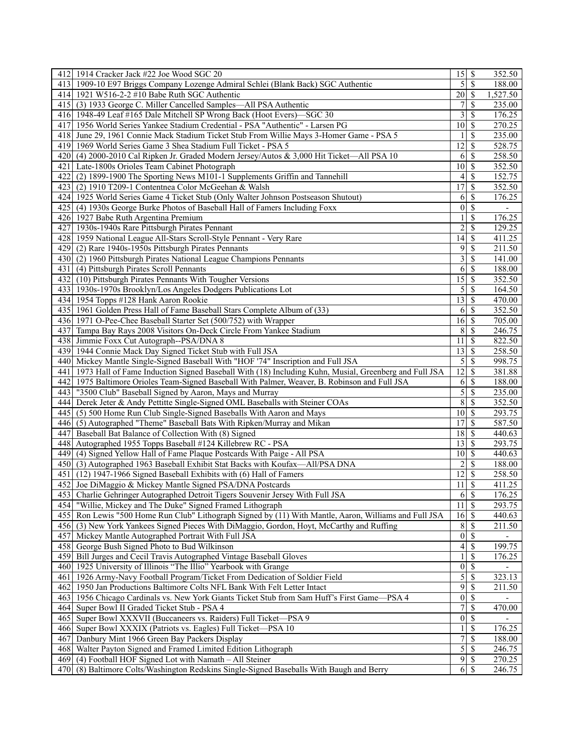|      | 412 1914 Cracker Jack #22 Joe Wood SGC 20                                                               |                         |                          | 352.50                   |
|------|---------------------------------------------------------------------------------------------------------|-------------------------|--------------------------|--------------------------|
|      | 413 1909-10 E97 Briggs Company Lozenge Admiral Schlei (Blank Back) SGC Authentic                        |                         | $5\sqrt{S}$              | 188.00                   |
|      | 414 1921 W516-2-2 #10 Babe Ruth SGC Authentic                                                           | 20                      | S                        | 1,527.50                 |
|      | 415 (3) 1933 George C. Miller Cancelled Samples—All PSA Authentic                                       | 7                       | \$                       | 235.00                   |
|      | 416 1948-49 Leaf #165 Dale Mitchell SP Wrong Back (Hoot Evers)-SGC 30                                   | $\overline{\mathbf{3}}$ | S                        | 176.25                   |
|      | 417 1956 World Series Yankee Stadium Credential - PSA "Authentic" - Larsen PG                           | 10 <sup>1</sup>         | \$                       | 270.25                   |
|      | 418 June 29, 1961 Connie Mack Stadium Ticket Stub From Willie Mays 3-Homer Game - PSA 5                 |                         | S                        | 235.00                   |
|      | 419 1969 World Series Game 3 Shea Stadium Full Ticket - PSA 5                                           | $\overline{12}$         | \$                       | 528.75                   |
|      | 420 (4) 2000-2010 Cal Ripken Jr. Graded Modern Jersey/Autos & 3,000 Hit Ticket—All PSA 10               | 6                       | \$                       | 258.50                   |
|      | 421 Late-1800s Orioles Team Cabinet Photograph                                                          | 10 <sup>1</sup>         | S                        | 352.50                   |
|      | (2) 1899-1900 The Sporting News M101-1 Supplements Griffin and Tannehill                                |                         | <sup>\$</sup>            |                          |
| 4221 |                                                                                                         | 4 <sup>1</sup><br>17    |                          | 152.75                   |
|      | 423 (2) 1910 T209-1 Contentnea Color McGeehan & Walsh                                                   |                         | S                        | 352.50                   |
|      | 424   1925 World Series Game 4 Ticket Stub (Only Walter Johnson Postseason Shutout)                     | 61                      | S                        | 176.25                   |
|      | 425 (4) 1930s George Burke Photos of Baseball Hall of Famers Including Foxx                             | $\vert 0 \vert$         | \$                       | $\overline{\phantom{0}}$ |
|      | 426 1927 Babe Ruth Argentina Premium                                                                    |                         | \$                       | 176.25                   |
|      | 427 1930s-1940s Rare Pittsburgh Pirates Pennant                                                         | $\overline{2}$          | \$                       | 129.25                   |
|      | 428   1959 National League All-Stars Scroll-Style Pennant - Very Rare                                   | 14                      | <sup>\$</sup>            | 411.25                   |
|      | 429 (2) Rare 1940s-1950s Pittsburgh Pirates Pennants                                                    | 9                       | \$                       | 211.50                   |
|      | 430 (2) 1960 Pittsburgh Pirates National League Champions Pennants                                      | 3                       | \$                       | 141.00                   |
|      | 431 (4) Pittsburgh Pirates Scroll Pennants                                                              | $6\overline{6}$         | \$                       | 188.00                   |
|      | 432 (10) Pittsburgh Pirates Pennants With Tougher Versions                                              | 15                      | \$                       | 352.50                   |
|      | 433 1930s-1970s Brooklyn/Los Angeles Dodgers Publications Lot                                           |                         |                          | 164.50                   |
|      | 434 1954 Topps #128 Hank Aaron Rookie                                                                   | 13                      | \$                       | 470.00                   |
|      | 435 1961 Golden Press Hall of Fame Baseball Stars Complete Album of (33)                                | 6                       | S                        | 352.50                   |
|      | 436 1971 O-Pee-Chee Baseball Starter Set (500/752) with Wrapper                                         | 16                      | S                        | 705.00                   |
|      | 437 Tampa Bay Rays 2008 Visitors On-Deck Circle From Yankee Stadium                                     | 8                       | <sup>\$</sup>            | 246.75                   |
|      | 438 Jimmie Foxx Cut Autograph--PSA/DNA 8                                                                | 11                      | S                        | 822.50                   |
|      | 439 1944 Connie Mack Day Signed Ticket Stub with Full JSA                                               | 13                      | S                        | 258.50                   |
|      | 440   Mickey Mantle Single-Signed Baseball With "HOF '74" Inscription and Full JSA                      | $\mathcal{S}$           | S                        | 998.75                   |
| 441  | 1973 Hall of Fame Induction Signed Baseball With (18) Including Kuhn, Musial, Greenberg and Full JSA    | 12                      | S                        | 381.88                   |
|      | 442 1975 Baltimore Orioles Team-Signed Baseball With Palmer, Weaver, B. Robinson and Full JSA           | 6                       | \$                       | 188.00                   |
|      |                                                                                                         | $\overline{5}$          | S                        | 235.00                   |
|      | 443   "3500 Club" Baseball Signed by Aaron, Mays and Murray                                             |                         |                          |                          |
|      | 444 Derek Jeter & Andy Pettitte Single-Signed OML Baseballs with Steiner COAs                           | $\overline{8}$          | <sup>\$</sup>            | 352.50                   |
|      | 445 (5) 500 Home Run Club Single-Signed Baseballs With Aaron and Mays                                   | 10 <sup>1</sup>         | S                        | 293.75                   |
|      | 446 (5) Autographed "Theme" Baseball Bats With Ripken/Murray and Mikan                                  | 17                      | S                        | 587.50                   |
| 4471 | Baseball Bat Balance of Collection With (8) Signed                                                      | 18                      | S                        | 440.63                   |
|      | 448 Autographed 1955 Topps Baseball #124 Killebrew RC - PSA                                             | $13 \mid$ \$            |                          | 293.75                   |
|      | 449 (4) Signed Yellow Hall of Fame Plaque Postcards With Paige - All PSA                                | 10 <sup>1</sup>         | S                        | 440.63                   |
|      | 450 (3) Autographed 1963 Baseball Exhibit Stat Backs with Koufax-All/PSA DNA                            | $\overline{2}$          | S                        | 188.00                   |
|      | 451 (12) 1947-1966 Signed Baseball Exhibits with (6) Hall of Famers                                     | 12                      | S                        | 258.50                   |
|      | 452 Joe DiMaggio & Mickey Mantle Signed PSA/DNA Postcards                                               | 11                      | <sup>\$</sup>            | 411.25                   |
|      | 453 Charlie Gehringer Autographed Detroit Tigers Souvenir Jersey With Full JSA                          |                         | 6S                       | 176.25                   |
|      | 454 "Willie, Mickey and The Duke" Signed Framed Lithograph                                              | 11                      | \$                       | 293.75                   |
|      | 455   Ron Lewis "500 Home Run Club" Lithograph Signed by (11) With Mantle, Aaron, Williams and Full JSA | $16 \mid S$             |                          | 440.63                   |
|      | 456 (3) New York Yankees Signed Pieces With DiMaggio, Gordon, Hoyt, McCarthy and Ruffing                |                         | $8 \mid S$               | 211.50                   |
| 457  | Mickey Mantle Autographed Portrait With Full JSA                                                        | 0                       | \$                       |                          |
| 458  | George Bush Signed Photo to Bud Wilkinson                                                               | $\overline{4}$          | $\overline{\mathcal{S}}$ | 199.75                   |
| 459  | Bill Jurges and Cecil Travis Autographed Vintage Baseball Gloves                                        |                         | \$                       | 176.25                   |
|      | 460 1925 University of Illinois "The Illio" Yearbook with Grange                                        | $\vert 0 \vert$         | \$                       |                          |
| 461  | 1926 Army-Navy Football Program/Ticket From Dedication of Soldier Field                                 | $\overline{5}$          | S                        | 323.13                   |
| 462  | 1950 Jan Productions Baltimore Colts NFL Bank With Felt Letter Intact                                   | $\overline{9}$          | \$                       | 211.50                   |
| 463  | 1956 Chicago Cardinals vs. New York Giants Ticket Stub from Sam Huff's First Game-PSA 4                 | 0                       | \$                       |                          |
| 464  | Super Bowl II Graded Ticket Stub - PSA 4                                                                | $7\vert$                | \$                       | 470.00                   |
| 465  | Super Bowl XXXVII (Buccaneers vs. Raiders) Full Ticket-PSA 9                                            | $\vert 0 \vert$         | \$                       |                          |
|      |                                                                                                         |                         |                          |                          |
|      | 466 Super Bowl XXXIX (Patriots vs. Eagles) Full Ticket—PSA 10                                           |                         | \$                       | 176.25                   |
| 467  | Danbury Mint 1966 Green Bay Packers Display                                                             | 7                       | <sup>\$</sup>            | 188.00                   |
| 468  | Walter Payton Signed and Framed Limited Edition Lithograph                                              | $\overline{5}$          | S                        | 246.75                   |
|      | 469 (4) Football HOF Signed Lot with Namath - All Steiner                                               | 9                       | \$                       | 270.25                   |
|      | 470 (8) Baltimore Colts/Washington Redskins Single-Signed Baseballs With Baugh and Berry                | 6                       | S                        | 246.75                   |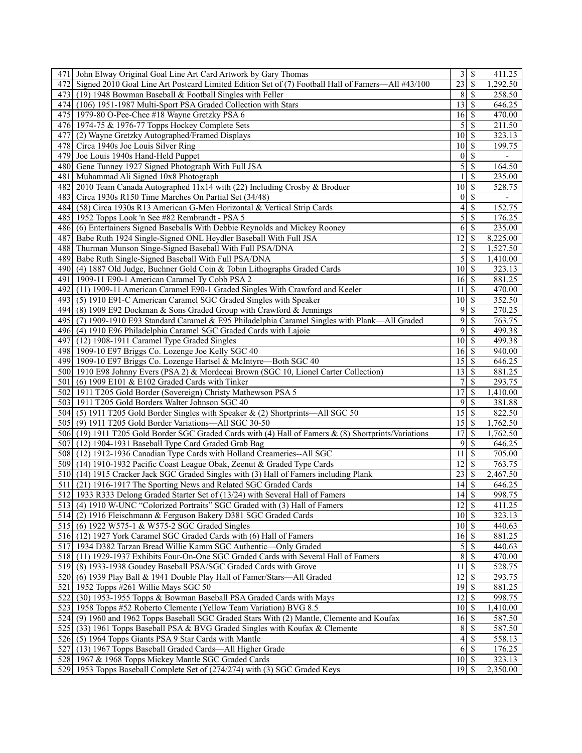| 471 John Elway Original Goal Line Art Card Artwork by Gary Thomas                                     |                    |               | 411.25                   |
|-------------------------------------------------------------------------------------------------------|--------------------|---------------|--------------------------|
| 472 Signed 2010 Goal Line Art Postcard Limited Edition Set of (7) Football Hall of Famers—All #43/100 | $\overline{23}$    | \$            | 1,292.50                 |
| 473 (19) 1948 Bowman Baseball & Football Singles with Feller                                          | $8$   $\sqrt{5}$   |               | 258.50                   |
| 474 (106) 1951-1987 Multi-Sport PSA Graded Collection with Stars                                      | 13                 | <sup>\$</sup> | 646.25                   |
| 475 1979-80 O-Pee-Chee #18 Wayne Gretzky PSA 6                                                        |                    |               | 470.00                   |
| 476 1974-75 & 1976-77 Topps Hockey Complete Sets                                                      |                    |               | 211.50                   |
| (2) Wayne Gretzky Autographed/Framed Displays<br>477 I                                                | 10 <sup>1</sup>    | <sup>\$</sup> | 323.13                   |
| 478 Circa 1940s Joe Louis Silver Ring                                                                 | $\overline{10}$ \$ |               | 199.75                   |
|                                                                                                       |                    |               |                          |
| 479 Joe Louis 1940s Hand-Held Puppet                                                                  | 0                  | \$            |                          |
| 480 Gene Tunney 1927 Signed Photograph With Full JSA                                                  | $\vert 5 \vert$    | \$            | 164.50                   |
| 481 Muhammad Ali Signed 10x8 Photograph                                                               | 1                  | \$            | 235.00                   |
| 482 2010 Team Canada Autographed 11x14 with (22) Including Crosby & Broduer                           | 10 <sup>1</sup>    | \$            | 528.75                   |
| 483 Circa 1930s R150 Time Marches On Partial Set (34/48)                                              | 0                  | \$            | $\overline{\phantom{a}}$ |
| 484 (58) Circa 1930s R13 American G-Men Horizontal & Vertical Strip Cards                             | 4                  | \$            | 152.75                   |
| 485   1952 Topps Look 'n See #82 Rembrandt - PSA 5                                                    | $\mathfrak{S}$     | \$            | 176.25                   |
| 486 (6) Entertainers Signed Baseballs With Debbie Reynolds and Mickey Rooney                          | $6\vert$           | \$            | 235.00                   |
| 487 Babe Ruth 1924 Single-Signed ONL Heydler Baseball With Full JSA                                   | $\overline{12}$    | \$            | 8,225.00                 |
| 488 Thurman Munson Singe-Signed Baseball With Full PSA/DNA                                            | $\overline{2}$     | S             | 1,527.50                 |
| 489<br>Babe Ruth Single-Signed Baseball With Full PSA/DNA                                             | $\vert 5 \vert$    | \$            | 1,410.00                 |
| 490 (4) 1887 Old Judge, Buchner Gold Coin & Tobin Lithographs Graded Cards                            | $10 \mid S$        |               | 323.13                   |
| 1909-11 E90-1 American Caramel Ty Cobb PSA 2<br>491                                                   | $16 \mid$ \$       |               | 881.25                   |
| 492 (11) 1909-11 American Caramel E90-1 Graded Singles With Crawford and Keeler                       | 11                 | \$            | 470.00                   |
| 493 (5) 1910 E91-C American Caramel SGC Graded Singles with Speaker                                   | $\overline{10}$ \$ |               | 352.50                   |
| 494 (8) 1909 E92 Dockman & Sons Graded Group with Crawford & Jennings                                 | 9                  | \$            | 270.25                   |
| 495 (7) 1909-1910 E93 Standard Caramel & E95 Philadelphia Caramel Singles with Plank—All Graded       | 9                  | \$            | 763.75                   |
| 496 (4) 1910 E96 Philadelphia Caramel SGC Graded Cards with Lajoie                                    | 9                  | <sup>\$</sup> | 499.38                   |
| 497 (12) 1908-1911 Caramel Type Graded Singles                                                        | 10 <sup>1</sup>    | \$            | 499.38                   |
|                                                                                                       |                    |               |                          |
| 498 1909-10 E97 Briggs Co. Lozenge Joe Kelly SGC 40                                                   | $16 \mid$ \$       |               | 940.00                   |
| 499 1909-10 E97 Briggs Co. Lozenge Hartsel & McIntyre-Both SGC 40                                     | 15                 | <sup>\$</sup> | 646.25                   |
| 500   1910 E98 Johnny Evers (PSA 2) & Mordecai Brown (SGC 10, Lionel Carter Collection)               | 13                 | l \$          | 881.25                   |
| 501 (6) 1909 E101 & E102 Graded Cards with Tinker                                                     | $7\vert$           | <sup>\$</sup> | 293.75                   |
| 502 1911 T205 Gold Border (Sovereign) Christy Mathewson PSA 5                                         | 17                 | \$            | 1,410.00                 |
| 503 1911 T205 Gold Borders Walter Johnson SGC 40                                                      | 9                  | $\mathcal{S}$ | 381.88                   |
| 504 (5) 1911 T205 Gold Border Singles with Speaker & (2) Shortprints—All SGC 50                       | 15                 | \$            | 822.50                   |
| 505 (9) 1911 T205 Gold Border Variations—All SGC 30-50                                                |                    |               | 1,762.50                 |
| 506 (19) 1911 T205 Gold Border SGC Graded Cards with (4) Hall of Famers & (8) Shortprints/Variations  | 17                 | S             | 1,762.50                 |
| 507 (12) 1904-1931 Baseball Type Card Graded Grab Bag                                                 | $\overline{9}$     | \$            | 646.25                   |
| 508 (12) 1912-1936 Canadian Type Cards with Holland Creameries--All SGC                               | 11                 | <sup>\$</sup> | 705.00                   |
| 509 (14) 1910-1932 Pacific Coast League Obak, Zeenut & Graded Type Cards                              | 12                 | \$            | 763.75                   |
| 510 (14) 1915 Cracker Jack SGC Graded Singles with (3) Hall of Famers including Plank                 | 23                 | S             | 2,467.50                 |
| 511 (21) 1916-1917 The Sporting News and Related SGC Graded Cards                                     | 14                 | \$            | 646.25                   |
| 512 1933 R333 Delong Graded Starter Set of (13/24) with Several Hall of Famers                        | $\overline{14}$ \$ |               | 998.75                   |
| 513 (4) 1910 W-UNC "Colorized Portraits" SGC Graded with (3) Hall of Famers                           | $\overline{12}$ \$ |               | 411.25                   |
| 514 (2) 1916 Fleischmann & Ferguson Bakery D381 SGC Graded Cards                                      | $10 \mid S$        |               | 323.13                   |
| 515 (6) 1922 W575-1 & W575-2 SGC Graded Singles                                                       | $10 \mid$ \$       |               | 440.63                   |
| 516 (12) 1927 York Caramel SGC Graded Cards with (6) Hall of Famers                                   |                    |               | 881.25                   |
| 517 1934 D382 Tarzan Bread Willie Kamm SGC Authentic-Only Graded                                      | $\mathfrak{S}$     | \$            | 440.63                   |
| 518 (11) 1929-1937 Exhibits Four-On-One SGC Graded Cards with Several Hall of Famers                  | 8S                 |               | 470.00                   |
| 519 (8) 1933-1938 Goudey Baseball PSA/SGC Graded Cards with Grove                                     | 11                 | \$            | 528.75                   |
|                                                                                                       | $12 \mid$ \$       |               | 293.75                   |
| 520 (6) 1939 Play Ball & 1941 Double Play Hall of Famer/Stars—All Graded                              |                    |               |                          |
| 521 1952 Topps #261 Willie Mays SGC 50                                                                |                    |               | 881.25                   |
| 522 (30) 1953-1955 Topps & Bowman Baseball PSA Graded Cards with Mays                                 | 12                 | S             | 998.75                   |
| 523 1958 Topps #52 Roberto Clemente (Yellow Team Variation) BVG 8.5                                   | $10 \mid S$        |               | 1,410.00                 |
| 524 (9) 1960 and 1962 Topps Baseball SGC Graded Stars With (2) Mantle, Clemente and Koufax            | 16                 | \$            | 587.50                   |
| 525 (33) 1961 Topps Baseball PSA & BVG Graded Singles with Koufax & Clemente                          | 8                  | l \$          | 587.50                   |
| 526 (5) 1964 Topps Giants PSA 9 Star Cards with Mantle                                                | $\overline{4}$     | <sup>\$</sup> | 558.13                   |
| 527<br>(13) 1967 Topps Baseball Graded Cards-All Higher Grade                                         | 6                  | S             | 176.25                   |
| 528 1967 & 1968 Topps Mickey Mantle SGC Graded Cards                                                  | $10 \mid S$        |               | 323.13                   |
| 529 1953 Topps Baseball Complete Set of (274/274) with (3) SGC Graded Keys                            | 19                 | \$.           | 2,350.00                 |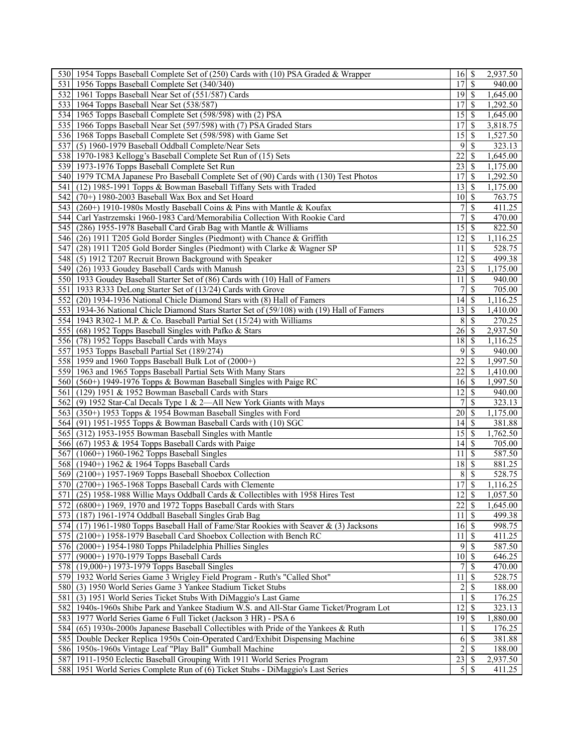|     | 530 1954 Topps Baseball Complete Set of (250) Cards with (10) PSA Graded & Wrapper         | $16 \mid$ \$       |               | 2,937.50 |
|-----|--------------------------------------------------------------------------------------------|--------------------|---------------|----------|
|     | 531 1956 Topps Baseball Complete Set (340/340)                                             |                    |               | 940.00   |
|     | 532 1961 Topps Baseball Near Set of (551/587) Cards                                        | $19$ $\sqrt{5}$    |               | 1,645.00 |
|     | 533 1964 Topps Baseball Near Set (538/587)                                                 | 17 <sup>1</sup>    | <sup>\$</sup> | 1,292.50 |
|     | 534 1965 Topps Baseball Complete Set (598/598) with (2) PSA                                | 15                 | <sup>\$</sup> | 1,645.00 |
|     | 535 1966 Topps Baseball Near Set (597/598) with (7) PSA Graded Stars                       | 17                 | \$            | 3,818.75 |
|     | 536 1968 Topps Baseball Complete Set (598/598) with Game Set                               | 15                 | <sup>\$</sup> | 1,527.50 |
| 537 | (5) 1960-1979 Baseball Oddball Complete/Near Sets                                          | 9                  | \$            | 323.13   |
|     | 538 1970-1983 Kellogg's Baseball Complete Set Run of (15) Sets                             | 22                 | <sup>\$</sup> | 1,645.00 |
|     | 539 1973-1976 Topps Baseball Complete Set Run                                              | 23                 | <sup>\$</sup> | 1,175.00 |
|     |                                                                                            | 17                 |               |          |
|     | 540 1979 TCMA Japanese Pro Baseball Complete Set of (90) Cards with (130) Test Photos      |                    | S             | 1,292.50 |
| 541 | (12) 1985-1991 Topps & Bowman Baseball Tiffany Sets with Traded                            | 13 <sup>1</sup>    | <sup>\$</sup> | 1,175.00 |
|     | 542 (70+) 1980-2003 Baseball Wax Box and Set Hoard                                         | 10 <sup>1</sup>    | \$            | 763.75   |
|     | 543 (260+) 1910-1980s Mostly Baseball Coins & Pins with Mantle & Koufax                    | 7                  | <sup>\$</sup> | 411.25   |
|     | 544 Carl Yastrzemski 1960-1983 Card/Memorabilia Collection With Rookie Card                | $\overline{7}$     | <sup>\$</sup> | 470.00   |
|     | 545 (286) 1955-1978 Baseball Card Grab Bag with Mantle & Williams                          | 15                 | <sup>\$</sup> | 822.50   |
|     | 546 (26) 1911 T205 Gold Border Singles (Piedmont) with Chance & Griffith                   | 12 <sup>1</sup>    | <sup>\$</sup> | 1,116.25 |
| 547 | (28) 1911 T205 Gold Border Singles (Piedmont) with Clarke & Wagner SP                      | 11                 | \$            | 528.75   |
|     | 548 (5) 1912 T207 Recruit Brown Background with Speaker                                    | 12                 | <sup>\$</sup> | 499.38   |
|     | 549 (26) 1933 Goudey Baseball Cards with Manush                                            | 23                 | <sup>\$</sup> | 1,175.00 |
|     | 550 1933 Goudey Baseball Starter Set of (86) Cards with (10) Hall of Famers                | 11                 | S             | 940.00   |
|     | 551 1933 R333 DeLong Starter Set of (13/24) Cards with Grove                               | 7 <sup>1</sup>     | \$            | 705.00   |
| 552 | (20) 1934-1936 National Chicle Diamond Stars with (8) Hall of Famers                       | 14                 | \$            | 1,116.25 |
|     | 553 1934-36 National Chicle Diamond Stars Starter Set of (59/108) with (19) Hall of Famers | 13                 | <sup>\$</sup> | 1,410.00 |
|     | 554 1943 R302-1 M.P. & Co. Baseball Partial Set (15/24) with Williams                      | 8                  | <sup>\$</sup> | 270.25   |
|     | 555 (68) 1952 Topps Baseball Singles with Pafko & Stars                                    | 26                 | \$            | 2,937.50 |
|     | 556 (78) 1952 Topps Baseball Cards with Mays                                               | 18                 | \$            | 1,116.25 |
|     | 557 1953 Topps Baseball Partial Set (189/274)                                              | 9                  | \$            | 940.00   |
|     |                                                                                            | 22                 | <sup>\$</sup> | 1,997.50 |
|     | 558 1959 and 1960 Topps Baseball Bulk Lot of (2000+)                                       |                    | <sup>\$</sup> |          |
|     | 559 1963 and 1965 Topps Baseball Partial Sets With Many Stars                              | 22                 |               | 1,410.00 |
|     | 560 (560+) 1949-1976 Topps & Bowman Baseball Singles with Paige RC                         | 16                 | S             | 1,997.50 |
|     | 561 (129) 1951 & 1952 Bowman Baseball Cards with Stars                                     | 2                  | \$            | 940.00   |
|     | 562 (9) 1952 Star-Cal Decals Type 1 & 2—All New York Giants with Mays                      | 7                  | \$            | 323.13   |
|     | 563 (350+) 1953 Topps & 1954 Bowman Baseball Singles with Ford                             | 20                 | <sup>\$</sup> | 1,175.00 |
|     | 564 (91) 1951-1955 Topps & Bowman Baseball Cards with (10) SGC                             | 14                 | <sup>\$</sup> | 381.88   |
|     | 565 (312) 1953-1955 Bowman Baseball Singles with Mantle                                    | 15                 | \$            | 1,762.50 |
|     | 566 (67) 1953 & 1954 Topps Baseball Cards with Paige                                       | $\overline{14}$ \$ |               | 705.00   |
|     | 567 (1060+) 1960-1962 Topps Baseball Singles                                               | 11                 | \$            | 587.50   |
|     | 568 (1940+) 1962 & 1964 Topps Baseball Cards                                               | 18                 | <sup>\$</sup> | 881.25   |
|     | 569 (2100+) 1957-1969 Topps Baseball Shoebox Collection                                    | 8 <sup>1</sup>     | <sup>\$</sup> | 528.75   |
|     | 570 $(2700+)$ 1965-1968 Topps Baseball Cards with Clemente                                 | 17                 | \$            | 1,116.25 |
|     | 571 (25) 1958-1988 Willie Mays Oddball Cards & Collectibles with 1958 Hires Test           | $\overline{12}$ \$ |               | 1,057.50 |
|     | 572 (6800+) 1969, 1970 and 1972 Topps Baseball Cards with Stars                            | $\overline{22}$    | $\mathbb{S}$  | 1,645.00 |
|     | 573 (187) 1961-1974 Oddball Baseball Singles Grab Bag                                      | $11 \mid S$        |               | 499.38   |
|     | 574 (17) 1961-1980 Topps Baseball Hall of Fame/Star Rookies with Seaver & (3) Jacksons     | $16 \mid$ \$       |               | 998.75   |
| 575 | (2100+) 1958-1979 Baseball Card Shoebox Collection with Bench RC                           | 11 l               | \$            | 411.25   |
|     | 576 (2000+) 1954-1980 Topps Philadelphia Phillies Singles                                  | 95                 |               | 587.50   |
|     | 577 (9000+) 1970-1979 Topps Baseball Cards                                                 | 10 <sup>1</sup>    | \$            | 646.25   |
|     |                                                                                            | 7 <sup>1</sup>     | <sup>\$</sup> | 470.00   |
|     | 578 (19,000+) 1973-1979 Topps Baseball Singles                                             |                    |               |          |
|     | 579 1932 World Series Game 3 Wrigley Field Program - Ruth's "Called Shot"                  | 11                 | <sup>\$</sup> | 528.75   |
|     | 580 (3) 1950 World Series Game 3 Yankee Stadium Ticket Stubs                               | $2\vert$           | <sup>\$</sup> | 188.00   |
| 581 | (3) 1951 World Series Ticket Stubs With DiMaggio's Last Game                               |                    | <sup>\$</sup> | 176.25   |
|     | 582 1940s-1960s Shibe Park and Yankee Stadium W.S. and All-Star Game Ticket/Program Lot    | 12                 | \$            | 323.13   |
|     | 583 1977 World Series Game 6 Full Ticket (Jackson 3 HR) - PSA 6                            | $\overline{19}$ \$ |               | 1,880.00 |
|     | 584 (65) 1930s-2000s Japanese Baseball Collectibles with Pride of the Yankees & Ruth       |                    | <sup>\$</sup> | 176.25   |
|     | 585 Double Decker Replica 1950s Coin-Operated Card/Exhibit Dispensing Machine              | 6                  | S             | 381.88   |
|     | 586 1950s-1960s Vintage Leaf "Play Ball" Gumball Machine                                   | $\sqrt{2}$         |               | 188.00   |
|     | 587 1911-1950 Eclectic Baseball Grouping With 1911 World Series Program                    | $23 \mid$ \$       |               | 2,937.50 |
|     | 588 1951 World Series Complete Run of (6) Ticket Stubs - DiMaggio's Last Series            |                    | $5\sqrt{S}$   | 411.25   |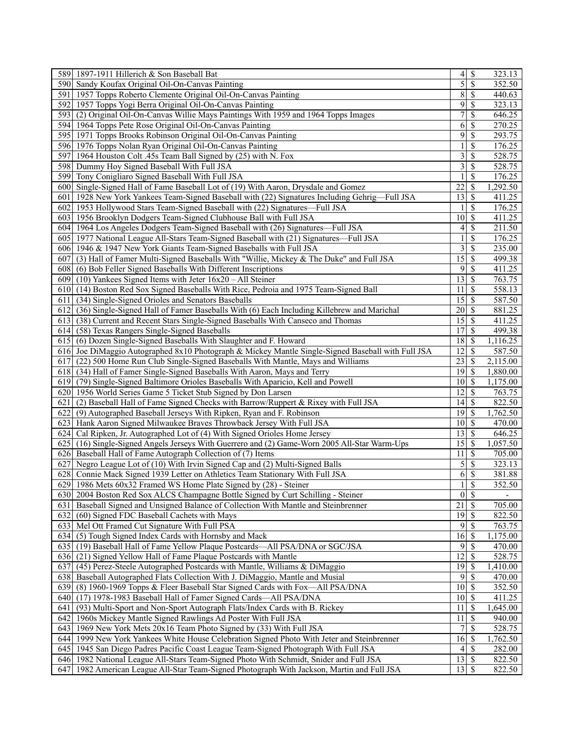| 589 1897-1911 Hillerich & Son Baseball Bat                                                        | 4               | \$                  | 323.13   |
|---------------------------------------------------------------------------------------------------|-----------------|---------------------|----------|
| 590 Sandy Koufax Original Oil-On-Canvas Painting                                                  | $\overline{5}$  | \$                  | 352.50   |
| 591   1957 Topps Roberto Clemente Original Oil-On-Canvas Painting                                 | 8               | \$                  | 440.63   |
| 592 1957 Topps Yogi Berra Original Oil-On-Canvas Painting                                         | $\overline{9}$  | S                   | 323.13   |
| 593 (2) Original Oil-On-Canvas Willie Mays Paintings With 1959 and 1964 Topps Images              | 7               | \$                  | 646.25   |
| 594 1964 Topps Pete Rose Original Oil-On-Canvas Painting                                          | $6 \mid$        | \$                  | 270.25   |
| 595 1971 Topps Brooks Robinson Original Oil-On-Canvas Painting                                    | $\overline{9}$  | \$                  | 293.75   |
| 596 1976 Topps Nolan Ryan Original Oil-On-Canvas Painting                                         | 1               | \$                  | 176.25   |
| 597 1964 Houston Colt .45s Team Ball Signed by (25) with N. Fox                                   | 3               | \$                  | 528.75   |
| 598 Dummy Hoy Signed Baseball With Full JSA                                                       | 3               | \$                  | 528.75   |
| 599 Tony Conigliaro Signed Baseball With Full JSA                                                 |                 | \$                  | 176.25   |
| 600 Single-Signed Hall of Fame Baseball Lot of (19) With Aaron, Drysdale and Gomez                | 22              | \$                  | 1,292.50 |
| 601 1928 New York Yankees Team-Signed Baseball with (22) Signatures Including Gehrig-Full JSA     | 13              | \$                  | 411.25   |
|                                                                                                   |                 | \$                  | 176.25   |
| 602 1953 Hollywood Stars Team-Signed Baseball with (22) Signatures—Full JSA                       | 10 <sup>1</sup> |                     |          |
| 603 1956 Brooklyn Dodgers Team-Signed Clubhouse Ball with Full JSA                                |                 | \$                  | 411.25   |
| 604 1964 Los Angeles Dodgers Team-Signed Baseball with (26) Signatures—Full JSA                   | 4               | \$                  | 211.50   |
| 605 1977 National League All-Stars Team-Signed Baseball with (21) Signatures—Full JSA             | 1               | \$                  | 176.25   |
| 606 1946 & 1947 New York Giants Team-Signed Baseballs with Full JSA                               | $\vert$         | \$                  | 235.00   |
| 607 (3) Hall of Famer Multi-Signed Baseballs With "Willie, Mickey & The Duke" and Full JSA        | 15              | \$                  | 499.38   |
| 608 (6) Bob Feller Signed Baseballs With Different Inscriptions                                   | $\overline{9}$  | S                   | 411.25   |
| 609 $(10)$ Yankees Signed Items with Jeter $16x20 - All Steiner$                                  | 13              | \$                  | 763.75   |
| 610 (14) Boston Red Sox Signed Baseballs With Rice, Pedroia and 1975 Team-Signed Ball             | 11              | <sup>\$</sup>       | 558.13   |
| (34) Single-Signed Orioles and Senators Baseballs<br>6111                                         | 15              | \$                  | 587.50   |
| (36) Single-Signed Hall of Famer Baseballs With (6) Each Including Killebrew and Marichal<br>6121 | 20              | S                   | 881.25   |
| 613 (38) Current and Recent Stars Single-Signed Baseballs With Canseco and Thomas                 | 15              | -S                  | 411.25   |
| 614 (58) Texas Rangers Single-Signed Baseballs                                                    | 17              | S                   | 499.38   |
| 615 (6) Dozen Single-Signed Baseballs With Slaughter and F. Howard                                | 18              | S                   | 1,116.25 |
| 616 Joe DiMaggio Autographed 8x10 Photograph & Mickey Mantle Single-Signed Baseball with Full JSA | 12              | \$                  | 587.50   |
| 6171<br>(22) 500 Home Run Club Single-Signed Baseballs With Mantle, Mays and Williams             | 23              | S                   | 2,115.00 |
| 618 (34) Hall of Famer Single-Signed Baseballs With Aaron, Mays and Terry                         |                 |                     | 1,880.00 |
| 619 (79) Single-Signed Baltimore Orioles Baseballs With Aparicio, Kell and Powell                 | 10 <sup> </sup> | <sup>\$</sup>       | 1,175.00 |
| 620 1956 World Series Game 5 Ticket Stub Signed by Don Larsen                                     | 12              | <sup>\$</sup>       | 763.75   |
| (2) Baseball Hall of Fame Signed Checks with Barrow/Ruppert & Rixey with Full JSA<br>621 I        | 4               | \$                  | 822.50   |
| 622 (9) Autographed Baseball Jerseys With Ripken, Ryan and F. Robinson                            | 19              | S                   | 1,762.50 |
| 623 Hank Aaron Signed Milwaukee Braves Throwback Jersey With Full JSA                             | $10 \mid S$     |                     | 470.00   |
| 624 Cal Ripken, Jr. Autographed Lot of (4) With Signed Orioles Home Jersey                        |                 |                     | 646.25   |
| 625 (16) Single-Signed Angels Jerseys With Guerrero and (2) Game-Worn 2005 All-Star Warm-Ups      | $15$   \$       |                     | 1,057.50 |
| 626 Baseball Hall of Fame Autograph Collection of (7) Items                                       | 11              | \$                  | 705.00   |
| 627                                                                                               | $\mathfrak{S}$  | \$                  | 323.13   |
| Negro League Lot of (10) With Irvin Signed Cap and (2) Multi-Signed Balls                         |                 |                     |          |
| 628 Connie Mack Signed 1939 Letter on Athletics Team Stationary With Full JSA                     | 6               | \$                  | 381.88   |
| 629 1986 Mets 60x32 Framed WS Home Plate Signed by (28) - Steiner                                 | 1               | \$                  | 352.50   |
| 630 2004 Boston Red Sox ALCS Champagne Bottle Signed by Curt Schilling - Steiner                  |                 | $0 \mid \mathsf{S}$ |          |
| 631 Baseball Signed and Unsigned Balance of Collection With Mantle and Steinbrenner               | 21              | \$                  | 705.00   |
| 632<br>(60) Signed FDC Baseball Cachets with Mays                                                 | 19              | \$                  | 822.50   |
| 633 Mel Ott Framed Cut Signature With Full PSA                                                    |                 | $9$ $\sqrt{3}$      | 763.75   |
| $\overline{634}$ (5) Tough Signed Index Cards with Hornsby and Mack                               | 16              | \$                  | 1,175.00 |
| 635<br>(19) Baseball Hall of Fame Yellow Plaque Postcards-All PSA/DNA or SGC/JSA                  |                 | $9$ \ $\frac{1}{3}$ | 470.00   |
| 636 (21) Signed Yellow Hall of Fame Plaque Postcards with Mantle                                  | 12              | \$                  | 528.75   |
| 637<br>(45) Perez-Steele Autographed Postcards with Mantle, Williams & DiMaggio                   | 19              | \$                  | 1,410.00 |
| Baseball Autographed Flats Collection With J. DiMaggio, Mantle and Musial<br>638                  | 9               | S                   | 470.00   |
| 639 (8) 1960-1969 Topps & Fleer Baseball Star Signed Cards with Fox—All PSA/DNA                   | 10 <sup>1</sup> | <sup>\$</sup>       | 352.50   |
| 640 (17) 1978-1983 Baseball Hall of Famer Signed Cards—All PSA/DNA                                | $10$   \$       |                     | 411.25   |
| (93) Multi-Sport and Non-Sport Autograph Flats/Index Cards with B. Rickey<br>641                  | 11              | \$                  | 1,645.00 |
| 642<br>1960s Mickey Mantle Signed Rawlings Ad Poster With Full JSA                                | 11              | \$                  | 940.00   |
| 643 1969 New York Mets 20x16 Team Photo Signed by (33) With Full JSA                              | 7               | S                   | 528.75   |
| 644 1999 New York Yankees White House Celebration Signed Photo With Jeter and Steinbrenner        | 16              | \$                  | 1,762.50 |
| 645 1945 San Diego Padres Pacific Coast League Team-Signed Photograph With Full JSA               |                 |                     | 282.00   |
| 646 1982 National League All-Stars Team-Signed Photo With Schmidt, Snider and Full JSA            |                 |                     | 822.50   |
|                                                                                                   |                 |                     |          |
| 647 1982 American League All-Star Team-Signed Photograph With Jackson, Martin and Full JSA        | 13              | <sup>\$</sup>       | 822.50   |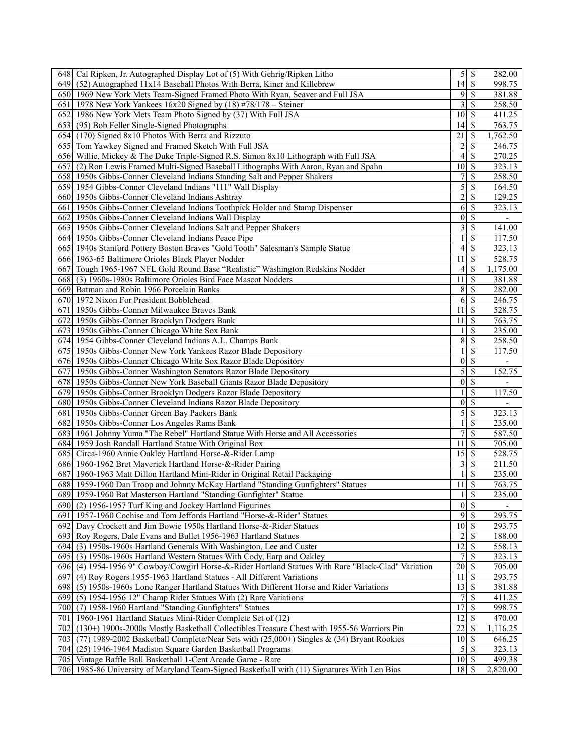| 648 Cal Ripken, Jr. Autographed Display Lot of (5) With Gehrig/Ripken Litho                         | $5$                     | \$              | 282.00                   |
|-----------------------------------------------------------------------------------------------------|-------------------------|-----------------|--------------------------|
| 649 (52) Autographed 11x14 Baseball Photos With Berra, Kiner and Killebrew                          | $14$ S                  |                 | 998.75                   |
| 650 1969 New York Mets Team-Signed Framed Photo With Ryan, Seaver and Full JSA                      | 9                       | S               | 381.88                   |
| 651   1978 New York Yankees $16x20$ Signed by $(18)$ #78/178 – Steiner                              | 3                       | S               | 258.50                   |
| 652 1986 New York Mets Team Photo Signed by (37) With Full JSA                                      | 10 <sup>1</sup>         | S               | 411.25                   |
| 653 (95) Bob Feller Single-Signed Photographs                                                       | 14I                     | \$              | 763.75                   |
| 654 (170) Signed 8x10 Photos With Berra and Rizzuto                                                 | 21                      | <sup>\$</sup>   | 1,762.50                 |
| 655 Tom Yawkey Signed and Framed Sketch With Full JSA                                               | 2                       | \$              | 246.75                   |
|                                                                                                     |                         |                 |                          |
| 656 Willie, Mickey & The Duke Triple-Signed R.S. Simon 8x10 Lithograph with Full JSA                | 4                       | S               | 270.25                   |
| 657 (2) Ron Lewis Framed Multi-Signed Baseball Lithographs With Aaron, Ryan and Spahn               | 10 <sup>1</sup>         | S               | 323.13                   |
| 658 1950s Gibbs-Conner Cleveland Indians Standing Salt and Pepper Shakers                           | 7                       | \$              | 258.50                   |
| 659 1954 Gibbs-Conner Cleveland Indians "111" Wall Display                                          | 5                       | <sup>\$</sup>   | 164.50                   |
| 660 1950s Gibbs-Conner Cleveland Indians Ashtray                                                    | $\overline{\mathbf{c}}$ | \$              | 129.25                   |
| 661 1950s Gibbs-Conner Cleveland Indians Toothpick Holder and Stamp Dispenser                       | 6                       | S               | 323.13                   |
| 662 1950s Gibbs-Conner Cleveland Indians Wall Display                                               | $\vert 0 \vert$         | S               | $\overline{\phantom{a}}$ |
| 663 1950s Gibbs-Conner Cleveland Indians Salt and Pepper Shakers                                    | 3                       | \$              | 141.00                   |
| 664 1950s Gibbs-Conner Cleveland Indians Peace Pipe                                                 | 1                       | <sup>\$</sup>   | 117.50                   |
| 665 1940s Stanford Pottery Boston Braves "Gold Tooth" Salesman's Sample Statue                      | 4                       | \$              | 323.13                   |
| 666 1963-65 Baltimore Orioles Black Player Nodder                                                   | 11                      | S               | 528.75                   |
| 667 Tough 1965-1967 NFL Gold Round Base "Realistic" Washington Redskins Nodder                      | 4                       | \$              | 1,175.00                 |
| 668 (3) 1960s-1980s Baltimore Orioles Bird Face Mascot Nodders                                      | 11                      | <sup>\$</sup>   | 381.88                   |
| 669 Batman and Robin 1966 Porcelain Banks                                                           | $8\,$                   | <sup>\$</sup>   | 282.00                   |
| 670 1972 Nixon For President Bobblehead                                                             | 6                       | <sup>\$</sup>   | 246.75                   |
|                                                                                                     |                         |                 |                          |
| 671 1950s Gibbs-Conner Milwaukee Braves Bank                                                        | 11                      | S               | 528.75                   |
| 672 1950s Gibbs-Conner Brooklyn Dodgers Bank                                                        | 11                      | \$              | 763.75                   |
| 673 1950s Gibbs-Conner Chicago White Sox Bank                                                       |                         | \$              | 235.00                   |
| 674 1954 Gibbs-Conner Cleveland Indians A.L. Champs Bank                                            | 8                       | <sup>\$</sup>   | 258.50                   |
| 675 1950s Gibbs-Conner New York Yankees Razor Blade Depository                                      | 1                       | \$              | 117.50                   |
| 676 1950s Gibbs-Conner Chicago White Sox Razor Blade Depository                                     | 0                       | \$              |                          |
| 677 1950s Gibbs-Conner Washington Senators Razor Blade Depository                                   | 5                       | S               | 152.75                   |
| 678 1950s Gibbs-Conner New York Baseball Giants Razor Blade Depository                              | $\vert 0 \vert$         | \$              |                          |
| 679 1950s Gibbs-Conner Brooklyn Dodgers Razor Blade Depository                                      | 1                       | <sup>\$</sup>   | 117.50                   |
| 680 1950s Gibbs-Conner Cleveland Indians Razor Blade Depository                                     | $\vert 0 \vert$         | <sup>\$</sup>   | $\overline{\phantom{a}}$ |
| 681   1950s Gibbs-Conner Green Bay Packers Bank                                                     | 5                       | \$              | 323.13                   |
| 682 1950s Gibbs-Conner Los Angeles Rams Bank                                                        | 1                       | \$              | 235.00                   |
| 683 1961 Johnny Yuma "The Rebel" Hartland Statue With Horse and All Accessories                     | 7                       | \$              | 587.50                   |
| 684 1959 Josh Randall Hartland Statue With Original Box                                             | 11                      | <sup>\$</sup>   | 705.00                   |
| 685 Circa-1960 Annie Oakley Hartland Horse-&-Rider Lamp                                             | 15                      | <sup>\$</sup>   | 528.75                   |
|                                                                                                     |                         | S               |                          |
| 686 1960-1962 Bret Maverick Hartland Horse-&-Rider Pairing                                          | 3                       |                 | 211.50                   |
| 687 1960-1963 Matt Dillon Hartland Mini-Rider in Original Retail Packaging                          | 1                       | S               | 235.00                   |
| 688 1959-1960 Dan Troop and Johnny McKay Hartland "Standing Gunfighters" Statues                    | 11                      | <sup>\$</sup>   | 763.75                   |
| 689 1959-1960 Bat Masterson Hartland "Standing Gunfighter" Statue                                   | $\overline{1}$          | $\overline{\$}$ | 235.00                   |
| 690 (2) 1956-1957 Turf King and Jockey Hartland Figurines                                           |                         | $0\sqrt{s}$     |                          |
| 691   1957-1960 Cochise and Tom Jeffords Hartland "Horse-&-Rider" Statues                           | 9                       | \$              | 293.75                   |
| 692 Davy Crockett and Jim Bowie 1950s Hartland Horse-&-Rider Statues                                | $10 \mid S$             |                 | 293.75                   |
| 693 Roy Rogers, Dale Evans and Bullet 1956-1963 Hartland Statues                                    | $2\vert$                | \$              | 188.00                   |
| 694 (3) 1950s-1960s Hartland Generals With Washington, Lee and Custer                               | 12                      | <sup>\$</sup>   | 558.13                   |
| 695 (3) 1950s-1960s Hartland Western Statues With Cody, Earp and Oakley                             | 7                       | \$              | 323.13                   |
| 696 (4) 1954-1956 9" Cowboy/Cowgirl Horse-&-Rider Hartland Statues With Rare "Black-Clad" Variation | 20                      | S               | 705.00                   |
| (4) Roy Rogers 1955-1963 Hartland Statues - All Different Variations<br>697                         | 11                      | S               | 293.75                   |
| 698 (5) 1950s-1960s Lone Ranger Hartland Statues With Different Horse and Rider Variations          | 13                      | <sup>\$</sup>   | 381.88                   |
| 699 (5) 1954-1956 12" Champ Rider Statues With (2) Rare Variations                                  | 7                       | <sup>\$</sup>   | $\overline{411.25}$      |
| 700 (7) 1958-1960 Hartland "Standing Gunfighters" Statues                                           | 17                      | \$              | 998.75                   |
|                                                                                                     | 12                      |                 | 470.00                   |
| 701   1960-1961 Hartland Statues Mini-Rider Complete Set of (12)                                    |                         | S               |                          |
| (130+) 1900s-2000s Mostly Basketball Collectibles Treasure Chest with 1955-56 Warriors Pin<br>702   | 22                      | S               | 1,116.25                 |
| (77) 1989-2002 Basketball Complete/Near Sets with $(25,000+)$ Singles & (34) Bryant Rookies<br>703  | 10 <sup>1</sup>         | <sup>\$</sup>   | 646.25                   |
| 704 (25) 1946-1964 Madison Square Garden Basketball Programs                                        | $\vert$                 | l \$            | 323.13                   |
| 705 Vintage Baffle Ball Basketball 1-Cent Arcade Game - Rare                                        | $10 \mid$ \$            |                 | 499.38                   |
| 706 1985-86 University of Maryland Team-Signed Basketball with (11) Signatures With Len Bias        | 18                      | S               | 2,820.00                 |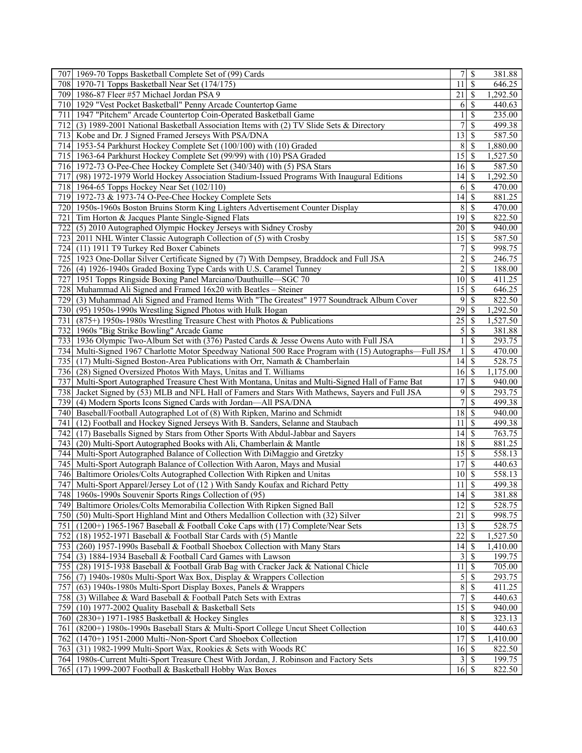|                  | 707 1969-70 Topps Basketball Complete Set of (99) Cards                                                                              |                    |                          | 381.88               |
|------------------|--------------------------------------------------------------------------------------------------------------------------------------|--------------------|--------------------------|----------------------|
|                  | 708 1970-71 Topps Basketball Near Set (174/175)                                                                                      | 11                 | <sup>\$</sup>            | 646.25               |
| 709              | 1986-87 Fleer #57 Michael Jordan PSA 9                                                                                               | 21                 | \$                       | 1,292.50             |
| 710              | 1929 "Vest Pocket Basketball" Penny Arcade Countertop Game                                                                           | 6                  | \$                       | 440.63               |
| 711              | 1947 "Pitchem" Arcade Countertop Coin-Operated Basketball Game                                                                       |                    | S                        | 235.00               |
| 712 <sup> </sup> | (3) 1989-2001 National Basketball Association Items with (2) TV Slide Sets & Directory                                               | 7                  | \$                       | 499.38               |
|                  | 713 Kobe and Dr. J Signed Framed Jerseys With PSA/DNA                                                                                | 13                 | S                        | 587.50               |
|                  | 714 1953-54 Parkhurst Hockey Complete Set (100/100) with (10) Graded                                                                 | 8                  | <sup>\$</sup>            | 1,880.00             |
|                  | 715 1963-64 Parkhurst Hockey Complete Set (99/99) with (10) PSA Graded                                                               | 15                 | \$                       | 1,527.50             |
|                  | 716 1972-73 O-Pee-Chee Hockey Complete Set (340/340) with (5) PSA Stars                                                              | 16                 | - \$                     | 587.50               |
| 717              | (98) 1972-1979 World Hockey Association Stadium-Issued Programs With Inaugural Editions                                              | 14                 | \$                       | ,292.50              |
|                  | 718 1964-65 Topps Hockey Near Set (102/110)                                                                                          | 6                  | \$                       | 470.00               |
|                  | 719 1972-73 & 1973-74 O-Pee-Chee Hockey Complete Sets                                                                                | 14                 | \$                       | 881.25               |
| 720              | 1950s-1960s Boston Bruins Storm King Lighters Advertisement Counter Display                                                          | 8                  | \$                       | 470.00               |
| 721              | Tim Horton & Jacques Plante Single-Signed Flats                                                                                      | 19                 | S                        | 822.50               |
| 722              | (5) 2010 Autographed Olympic Hockey Jerseys with Sidney Crosby                                                                       | 20                 | \$                       | 940.00               |
|                  | 723 [2011 NHL Winter Classic Autograph Collection of (5) with Crosby                                                                 | 15                 | \$                       | 587.50               |
| 724              | (11) 1911 T9 Turkey Red Boxer Cabinets                                                                                               | 7                  | \$                       | 998.75               |
|                  | 725 1923 One-Dollar Silver Certificate Signed by (7) With Dempsey, Braddock and Full JSA                                             | $\overline{c}$     | \$                       | 246.75               |
|                  | 726 (4) 1926-1940s Graded Boxing Type Cards with U.S. Caramel Tunney                                                                 | $\overline{2}$     | S                        | 188.00               |
| 727I             | 1951 Topps Ringside Boxing Panel Marciano/Dauthuille-SGC 70                                                                          | 10 <sup>1</sup>    | <sup>\$</sup>            | 411.25               |
|                  | 728 Muhammad Ali Signed and Framed 16x20 with Beatles – Steiner                                                                      | 15                 | <sup>\$</sup>            | 646.25               |
|                  |                                                                                                                                      | 9                  | S                        | 822.50               |
| 729              | (3) Muhammad Ali Signed and Framed Items With "The Greatest" 1977 Soundtrack Album Cover                                             | 29                 |                          |                      |
| 730<br>731       | (95) 1950s-1990s Wrestling Signed Photos with Hulk Hogan<br>$(875+)$ 1950s-1980s Wrestling Treasure Chest with Photos & Publications | 25                 | \$<br>S                  | 1,292.50<br>1,527.50 |
|                  | 732 1960s "Big Strike Bowling" Arcade Game                                                                                           | 5                  | \$                       | 381.88               |
|                  | 733 1936 Olympic Two-Album Set with (376) Pasted Cards & Jesse Owens Auto with Full JSA                                              |                    | \$                       | 293.75               |
| 734              | Multi-Signed 1967 Charlotte Motor Speedway National 500 Race Program with (15) Autographs—Full JSA                                   |                    | S                        | 470.00               |
|                  | 735 (17) Multi-Signed Boston-Area Publications with Orr, Namath & Chamberlain                                                        | 14                 | \$                       | 528.75               |
|                  | 736 (28) Signed Oversized Photos With Mays, Unitas and T. Williams                                                                   | 16                 | l \$                     | 1,175.00             |
| 737              | Multi-Sport Autographed Treasure Chest With Montana, Unitas and Multi-Signed Hall of Fame Bat                                        | 17                 | \$                       | 940.00               |
| 738              | Jacket Signed by (53) MLB and NFL Hall of Famers and Stars With Mathews, Sayers and Full JSA                                         | $\overline{9}$     | \$                       | $\overline{293.75}$  |
| 739              | (4) Modern Sports Icons Signed Cards with Jordan—All PSA/DNA                                                                         | 7                  | \$                       | 499.38               |
| 740              | Baseball/Football Autographed Lot of (8) With Ripken, Marino and Schmidt                                                             | 18                 | \$                       | 940.00               |
| 741              | (12) Football and Hockey Signed Jerseys With B. Sanders, Selanne and Staubach                                                        | 11                 | S                        | 499.38               |
| 742 I            | (17) Baseballs Signed by Stars from Other Sports With Abdul-Jabbar and Sayers                                                        | 14                 | \$                       | 763.75               |
| 743              | (20) Multi-Sport Autographed Books with Ali, Chamberlain & Mantle                                                                    | 18                 | <sup>\$</sup>            | 881.25               |
| 744              | Multi-Sport Autographed Balance of Collection With DiMaggio and Gretzky                                                              | 15                 | <sup>\$</sup>            | 558.13               |
|                  | 745 Multi-Sport Autograph Balance of Collection With Aaron, Mays and Musial                                                          | 17                 | S                        | 440.63               |
|                  | 746 Baltimore Orioles/Colts Autographed Collection With Ripken and Unitas                                                            | 10 <sup>1</sup>    | ${\mathbb S}$            | 558.13               |
|                  | 747 Multi-Sport Apparel/Jersey Lot of (12) With Sandy Koufax and Richard Petty                                                       | 11                 | <sup>\$</sup>            | 499.38               |
|                  | 748 1960s-1990s Souvenir Sports Rings Collection of (95)                                                                             | $\overline{14}$ \$ |                          | 381.88               |
| 749              | Baltimore Orioles/Colts Memorabilia Collection With Ripken Signed Ball                                                               | 12                 | $\overline{\mathcal{S}}$ | 528.75               |
| 750              | (50) Multi-Sport Highland Mint and Others Medallion Collection with (32) Silver                                                      | 21                 | S                        | 998.75               |
| 751              | (1200+) 1965-1967 Baseball & Football Coke Caps with (17) Complete/Near Sets                                                         | 13                 | - \$                     | 528.75               |
| 752              | (18) 1952-1971 Baseball & Football Star Cards with (5) Mantle                                                                        | 22                 | \$                       | 1,527.50             |
| 753              | (260) 1957-1990s Baseball & Football Shoebox Collection with Many Stars                                                              | 4                  | $\mathbf{\$}$            | 1,410.00             |
| 754              | (3) 1884-1934 Baseball & Football Card Games with Lawson                                                                             |                    | <sup>\$</sup>            | 199.75               |
| 755              | (28) 1915-1938 Baseball & Football Grab Bag with Cracker Jack & National Chicle                                                      | 11                 | S                        | 705.00               |
|                  | 756 (7) 1940s-1980s Multi-Sport Wax Box, Display & Wrappers Collection                                                               | 5                  | S                        | 293.75               |
| 757              | (63) 1940s-1980s Multi-Sport Display Boxes, Panels & Wrappers                                                                        | 8                  | \$                       | 411.25               |
| 758              | (3) Willabee & Ward Baseball & Football Patch Sets with Extras                                                                       | $\overline{7}$     | \$                       | 440.63               |
| 759              | (10) 1977-2002 Quality Baseball & Basketball Sets                                                                                    | $\overline{15}$    | S                        | 940.00               |
| 760              | (2830+) 1971-1985 Basketball & Hockey Singles                                                                                        | 8                  | S                        | 323.13               |
| 761              | (8200+) 1980s-1990s Baseball Stars & Multi-Sport College Uncut Sheet Collection                                                      | $10 \mid S$        |                          | 440.63               |
| 762              | (1470+) 1951-2000 Multi-/Non-Sport Card Shoebox Collection                                                                           | 17                 | <sup>\$</sup>            | 1,410.00             |
| 763              | (31) 1982-1999 Multi-Sport Wax, Rookies & Sets with Woods RC                                                                         | 16                 | l S                      | 822.50               |
|                  | 764 1980s-Current Multi-Sport Treasure Chest With Jordan, J. Robinson and Factory Sets                                               |                    | -S                       | 199.75               |
| 765              | (17) 1999-2007 Football & Basketball Hobby Wax Boxes                                                                                 | 16                 | \$                       | 822.50               |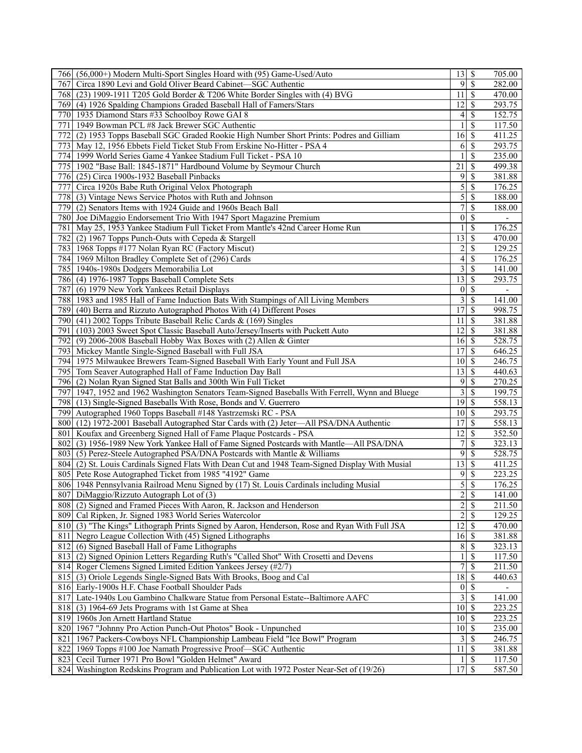|      | 766 (56,000+) Modern Multi-Sport Singles Hoard with (95) Game-Used/Auto                         |                          |                   | 705.00                   |
|------|-------------------------------------------------------------------------------------------------|--------------------------|-------------------|--------------------------|
| 767  | Circa 1890 Levi and Gold Oliver Beard Cabinet-SGC Authentic                                     |                          | $9\sqrt{5}$       | 282.00                   |
| 768  | (23) 1909-1911 T205 Gold Border & T206 White Border Singles with (4) BVG                        | 11                       | \$                | 470.00                   |
| 769  | (4) 1926 Spalding Champions Graded Baseball Hall of Famers/Stars                                | 12                       | S                 | 293.75                   |
| 770  | 1935 Diamond Stars #33 Schoolboy Rowe GAI 8                                                     | 4                        | S                 | 152.75                   |
| 771  | 1949 Bowman PCL #8 Jack Brewer SGC Authentic                                                    |                          | <sup>\$</sup>     | 117.50                   |
| 772  | (2) 1953 Topps Baseball SGC Graded Rookie High Number Short Prints: Podres and Gilliam          | 16                       | - \$              | 411.25                   |
| 773  | May 12, 1956 Ebbets Field Ticket Stub From Erskine No-Hitter - PSA 4                            | 6                        | \$                | 293.75                   |
|      | 774   1999 World Series Game 4 Yankee Stadium Full Ticket - PSA 10                              |                          | \$                | 235.00                   |
|      |                                                                                                 | 21                       |                   |                          |
|      | 775 1902 "Base Ball: 1845-1871" Hardbound Volume by Seymour Church                              |                          | \$                | 499.38                   |
|      | 776 (25) Circa 1900s-1932 Baseball Pinbacks                                                     | 9                        | \$                | 381.88                   |
| 777  | Circa 1920s Babe Ruth Original Velox Photograph                                                 | 5                        | \$                | 176.25                   |
| 778  | (3) Vintage News Service Photos with Ruth and Johnson                                           | $\vert 5 \vert$          | \$                | 188.00                   |
| 779  | (2) Senators Items with 1924 Guide and 1960s Beach Ball                                         | 7                        | \$                | 188.00                   |
|      | 780 Joe DiMaggio Endorsement Trio With 1947 Sport Magazine Premium                              | $\vert 0 \vert$          | \$                | $\overline{\phantom{a}}$ |
|      | 781 May 25, 1953 Yankee Stadium Full Ticket From Mantle's 42nd Career Home Run                  |                          | \$                | 176.25                   |
| 782  | (2) 1967 Topps Punch-Outs with Cepeda & Stargell                                                | 13                       | <sup>\$</sup>     | 470.00                   |
|      | 783 1968 Topps #177 Nolan Ryan RC (Factory Miscut)                                              | $\overline{c}$           | \$                | 129.25                   |
|      | 784 1969 Milton Bradley Complete Set of (296) Cards                                             | $\overline{\mathcal{L}}$ | \$                | 176.25                   |
|      | 785 1940s-1980s Dodgers Memorabilia Lot                                                         | 3                        | \$                | 141.00                   |
|      | 786 (4) 1976-1987 Topps Baseball Complete Sets                                                  | 13                       | \$                | 293.75                   |
| 787  | (6) 1979 New York Yankees Retail Displays                                                       |                          | $\overline{0 S}$  | $\overline{\phantom{a}}$ |
|      | 788 1983 and 1985 Hall of Fame Induction Bats With Stampings of All Living Members              | $\overline{3}$           | \$                | 141.00                   |
|      |                                                                                                 | 17                       | S                 | 998.75                   |
|      | 789 (40) Berra and Rizzuto Autographed Photos With (4) Different Poses                          |                          |                   |                          |
|      | 790 (41) 2002 Topps Tribute Baseball Relic Cards $\&$ (169) Singles                             | 11                       | S                 | 381.88                   |
| 791  | (103) 2003 Sweet Spot Classic Baseball Auto/Jersey/Inserts with Puckett Auto                    | 12                       | <sup>\$</sup>     | 381.88                   |
| 792  | (9) 2006-2008 Baseball Hobby Wax Boxes with (2) Allen & Ginter                                  | 16                       | \$                | 528.75                   |
| 7931 | Mickey Mantle Single-Signed Baseball with Full JSA                                              | 17                       | \$                | 646.25                   |
|      | 794 1975 Milwaukee Brewers Team-Signed Baseball With Early Yount and Full JSA                   | 10 <sup>1</sup>          | S                 | 246.75                   |
|      | 795 Tom Seaver Autographed Hall of Fame Induction Day Ball                                      | 13                       | -S                | 440.63                   |
|      | 796 (2) Nolan Ryan Signed Stat Balls and 300th Win Full Ticket                                  | $\overline{9}$           | \$                | $\overline{270.25}$      |
|      | 797 1947, 1952 and 1962 Washington Senators Team-Signed Baseballs With Ferrell, Wynn and Bluege | $\overline{\mathbf{3}}$  | \$                | 199.75                   |
| 798  | (13) Single-Signed Baseballs With Rose, Bonds and V. Guerrero                                   | $\overline{19}$          | - \$              | 558.13                   |
|      | 799 Autographed 1960 Topps Baseball #148 Yastrzemski RC - PSA                                   | 10 <sup>1</sup>          | S                 | 293.75                   |
|      | 800 (12) 1972-2001 Baseball Autographed Star Cards with (2) Jeter-All PSA/DNA Authentic         | 17                       | <sup>\$</sup>     | 558.13                   |
|      | 801 Koufax and Greenberg Signed Hall of Fame Plaque Postcards - PSA                             | 12                       | <sup>\$</sup>     | 352.50                   |
|      | 802 (3) 1956-1989 New York Yankee Hall of Fame Signed Postcards with Mantle—All PSA/DNA         | $\overline{7}$           | S                 | 323.13                   |
|      | 803 (5) Perez-Steele Autographed PSA/DNA Postcards with Mantle & Williams                       | 9                        | \$                | 528.75                   |
|      | 804 (2) St. Louis Cardinals Signed Flats With Dean Cut and 1948 Team-Signed Display With Musial | $\overline{13}$          | \$                | 411.25                   |
|      |                                                                                                 |                          |                   |                          |
|      | 805 Pete Rose Autographed Ticket from 1985 "4192" Game                                          | $\overline{9}$           | S                 | 223.25                   |
|      | 806 1948 Pennsylvania Railroad Menu Signed by (17) St. Louis Cardinals including Musial         | $\mathfrak{S}$           | \$                | 176.25                   |
|      | 807 DiMaggio/Rizzuto Autograph Lot of (3)                                                       |                          | $\overline{2}$ \$ | 141.00                   |
|      | 808 (2) Signed and Framed Pieces With Aaron, R. Jackson and Henderson                           | $\overline{2}$           | \$                | 211.50                   |
|      | 809 Cal Ripken, Jr. Signed 1983 World Series Watercolor                                         | $\overline{2}$           | \$                | 129.25                   |
|      | 810 (3) "The Kings" Lithograph Prints Signed by Aaron, Henderson, Rose and Ryan With Full JSA   | $12 \mid$ \$             |                   | 470.00                   |
|      | 811 Negro League Collection With (45) Signed Lithographs                                        |                          |                   | 381.88                   |
|      | 812 (6) Signed Baseball Hall of Fame Lithographs                                                |                          | $8$   \$          | 323.13                   |
|      | 813 (2) Signed Opinion Letters Regarding Ruth's "Called Shot" With Crosetti and Devens          |                          | \$                | 117.50                   |
|      | 814 Roger Clemens Signed Limited Edition Yankees Jersey (#2/7)                                  | 7                        | S                 | 211.50                   |
|      | 815 (3) Oriole Legends Single-Signed Bats With Brooks, Boog and Cal                             | 18S                      |                   | 440.63                   |
|      | 816 Early-1900s H.F. Chase Football Shoulder Pads                                               |                          | $0\vert$ \$       |                          |
|      | 817 Late-1940s Lou Gambino Chalkware Statue from Personal Estate--Baltimore AAFC                | $\overline{3}$           | - \$              | $\overline{141.00}$      |
|      | 818 (3) 1964-69 Jets Programs with 1st Game at Shea                                             | $\overline{10}$ \$       |                   | 223.25                   |
|      | 819 1960s Jon Arnett Hartland Statue                                                            | $10 \mid S$              |                   | 223.25                   |
|      | 820 1967 "Johnny Pro Action Punch-Out Photos" Book - Unpunched                                  | $10 \mid$ \$             |                   | 235.00                   |
|      |                                                                                                 |                          |                   |                          |
| 821  | 1967 Packers-Cowboys NFL Championship Lambeau Field "Ice Bowl" Program                          | $\overline{3}$           | \$                | 246.75                   |
|      | 822 1969 Topps #100 Joe Namath Progressive Proof—SGC Authentic                                  | 11                       | - \$              | 381.88                   |
|      | 823 Cecil Turner 1971 Pro Bowl "Golden Helmet" Award                                            |                          | -\$               | 117.50<br>587.50         |
|      | 824 Washington Redskins Program and Publication Lot with 1972 Poster Near-Set of (19/26)        |                          |                   |                          |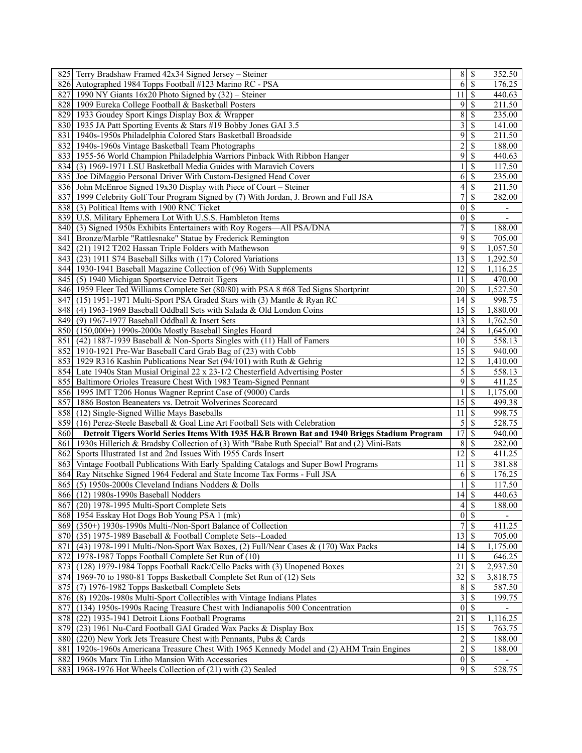| 825 Terry Bradshaw Framed 42x34 Signed Jersey - Steiner                                                          |                         | $8$   \$               | 352.50   |
|------------------------------------------------------------------------------------------------------------------|-------------------------|------------------------|----------|
| 826 Autographed 1984 Topps Football #123 Marino RC - PSA                                                         |                         | 6S                     | 176.25   |
| 827   1990 NY Giants 16x20 Photo Signed by $(32)$ – Steiner                                                      | 11                      | <sup>\$</sup>          | 440.63   |
| 828 1909 Eureka College Football & Basketball Posters                                                            | 9                       | \$                     | 211.50   |
| 829 1933 Goudey Sport Kings Display Box & Wrapper                                                                | $\sqrt{8}$              | \$                     | 235.00   |
| 830 1935 JA Patt Sporting Events & Stars #19 Bobby Jones GAI 3.5                                                 | 3                       | \$                     | 141.00   |
| 831 1940s-1950s Philadelphia Colored Stars Basketball Broadside                                                  | 9                       | \$                     | 211.50   |
| 832 1940s-1960s Vintage Basketball Team Photographs                                                              | $\overline{2}$          | \$                     | 188.00   |
| 833 1955-56 World Champion Philadelphia Warriors Pinback With Ribbon Hanger                                      | 9                       | \$                     | 440.63   |
| 834 (3) 1969-1971 LSU Basketball Media Guides with Maravich Covers                                               | 1                       | \$                     | 117.50   |
|                                                                                                                  |                         |                        |          |
| 835 Joe DiMaggio Personal Driver With Custom-Designed Head Cover                                                 | 6                       | \$                     | 235.00   |
| 836 John McEnroe Signed 19x30 Display with Piece of Court – Steiner                                              | $\vert 4 \vert$         | \$                     | 211.50   |
| 837 1999 Celebrity Golf Tour Program Signed by (7) With Jordan, J. Brown and Full JSA                            | 7                       | \$                     | 282.00   |
| 838 (3) Political Items with 1900 RNC Ticket                                                                     | 0                       | \$                     |          |
| 839 U.S. Military Ephemera Lot With U.S.S. Hambleton Items                                                       | $\vert 0 \vert$         | <sup>\$</sup>          |          |
| 840 (3) Signed 1950s Exhibits Entertainers with Roy Rogers—All PSA/DNA                                           | $\overline{7}$          | \$                     | 188.00   |
| 841 Bronze/Marble "Rattlesnake" Statue by Frederick Remington                                                    | 9                       | <sup>\$</sup>          | 705.00   |
| 842 (21) 1912 T202 Hassan Triple Folders with Mathewson                                                          | 9                       | <sup>\$</sup>          | 1,057.50 |
| 843 (23) 1911 S74 Baseball Silks with (17) Colored Variations                                                    | 13                      | \$                     | 1,292.50 |
| 844   1930-1941 Baseball Magazine Collection of (96) With Supplements                                            | 12                      | <sup>\$</sup>          | 1,116.25 |
| 845 (5) 1940 Michigan Sportservice Detroit Tigers                                                                | 11                      | <sup>\$</sup>          | 470.00   |
| 846 1959 Fleer Ted Williams Complete Set (80/80) with PSA 8 #68 Ted Signs Shortprint                             | 20                      | - \$                   | 1,527.50 |
| 847 (15) 1951-1971 Multi-Sport PSA Graded Stars with (3) Mantle & Ryan RC                                        | 14                      | <sup>\$</sup>          | 998.75   |
| 848 (4) 1963-1969 Baseball Oddball Sets with Salada & Old London Coins                                           | 15                      | S                      | 1,880.00 |
| 849 (9) 1967-1977 Baseball Oddball & Insert Sets                                                                 | 13                      | S                      | 1,762.50 |
| 850 (150,000+) 1990s-2000s Mostly Baseball Singles Hoard                                                         | 24                      | \$                     | 1,645.00 |
| 851 (42) 1887-1939 Baseball & Non-Sports Singles with (11) Hall of Famers                                        | 10                      | S                      | 558.13   |
| 852 1910-1921 Pre-War Baseball Card Grab Bag of (23) with Cobb                                                   | 15                      | <sup>\$</sup>          | 940.00   |
| 853 1929 R316 Kashin Publications Near Set (94/101) with Ruth & Gehrig                                           | 12                      | S                      | 1,410.00 |
| 854 Late 1940s Stan Musial Original 22 x 23-1/2 Chesterfield Advertising Poster                                  | 5                       | <sup>\$</sup>          | 558.13   |
| 855 Baltimore Orioles Treasure Chest With 1983 Team-Signed Pennant                                               | 9                       | <sup>\$</sup>          | 411.25   |
|                                                                                                                  |                         | <sup>\$</sup>          | 1,175.00 |
| 856 1995 IMT T206 Honus Wagner Reprint Case of (9000) Cards                                                      |                         |                        |          |
| 857 1886 Boston Beaneaters vs. Detroit Wolverines Scorecard                                                      | $\overline{15}$         | <sup>\$</sup>          | 499.38   |
|                                                                                                                  |                         |                        | 998.75   |
| 858 (12) Single-Signed Willie Mays Baseballs                                                                     | 11                      | \$                     |          |
| 859 (16) Perez-Steele Baseball & Goal Line Art Football Sets with Celebration                                    | $\overline{5}$          | <sup>\$</sup>          | 528.75   |
| 860<br>Detroit Tigers World Series Items With 1935 H&B Brown Bat and 1940 Briggs Stadium Program                 | 17                      | \$                     | 940.00   |
| 861 1930s Hillerich & Bradsby Collection of (3) With "Babe Ruth Special" Bat and (2) Mini-Bats                   | 8                       | <sup>\$</sup>          | 282.00   |
| 862 Sports Illustrated 1st and 2nd Issues With 1955 Cards Insert                                                 | 12                      | <sup>\$</sup>          | 411.25   |
| 863 Vintage Football Publications With Early Spalding Catalogs and Super Bowl Programs                           | 11                      | \$                     | 381.88   |
| 864 Ray Nitschke Signed 1964 Federal and State Income Tax Forms - Full JSA                                       | 6                       | <sup>\$</sup>          | 176.25   |
| 865 (5) 1950s-2000s Cleveland Indians Nodders & Dolls                                                            |                         | \$                     | 117.50   |
| 866 (12) 1980s-1990s Baseball Nodders                                                                            | $\overline{14}$ \$      |                        | 440.63   |
| 867 (20) 1978-1995 Multi-Sport Complete Sets                                                                     | $\overline{4}$          | \$                     | 188.00   |
| 868 1954 Esskay Hot Dogs Bob Young PSA 1 (mk)                                                                    | 0                       | S                      |          |
| 869 (350+) 1930s-1990s Multi-/Non-Sport Balance of Collection                                                    | $7\overline{)}$         | \$                     |          |
|                                                                                                                  |                         | <sup>\$</sup>          | 411.25   |
| 870 (35) 1975-1989 Baseball & Football Complete Sets--Loaded                                                     | 13                      |                        | 705.00   |
| 871 (43) 1978-1991 Multi-/Non-Sport Wax Boxes, (2) Full/Near Cases & (170) Wax Packs                             | $14 \mid$ \$            |                        | 1,175.00 |
| 872 1978-1987 Topps Football Complete Set Run of (10)                                                            | 11                      | <sup>\$</sup>          | 646.25   |
| 873 (128) 1979-1984 Topps Football Rack/Cello Packs with (3) Unopened Boxes                                      | 21                      | S                      | 2,937.50 |
| 874 1969-70 to 1980-81 Topps Basketball Complete Set Run of (12) Sets                                            | 32                      | S                      | 3,818.75 |
| 875 (7) 1976-1982 Topps Basketball Complete Sets                                                                 | 8                       | <sup>\$</sup>          | 587.50   |
| 876 (8) 1920s-1980s Multi-Sport Collectibles with Vintage Indians Plates                                         | $\overline{\mathbf{3}}$ | <sup>\$</sup>          | 199.75   |
| 877 (134) 1950s-1990s Racing Treasure Chest with Indianapolis 500 Concentration                                  | 0                       | <sup>\$</sup>          |          |
| 878 (22) 1935-1941 Detroit Lions Football Programs                                                               | 21                      | \$                     | 1,116.25 |
| 879 (23) 1961 Nu-Card Football GAI Graded Wax Packs & Display Box                                                | 15                      | S                      | 763.75   |
| 880 (220) New York Jets Treasure Chest with Pennants, Pubs & Cards                                               | $\overline{2}$          | \$                     | 188.00   |
| 1920s-1960s Americana Treasure Chest With 1965 Kennedy Model and (2) AHM Train Engines<br>881                    | $\overline{2}$          | <sup>\$</sup>          | 188.00   |
| 882 1960s Marx Tin Litho Mansion With Accessories<br>883 1968-1976 Hot Wheels Collection of (21) with (2) Sealed | 9                       | $\overline{0}$ s<br>\$ | 528.75   |